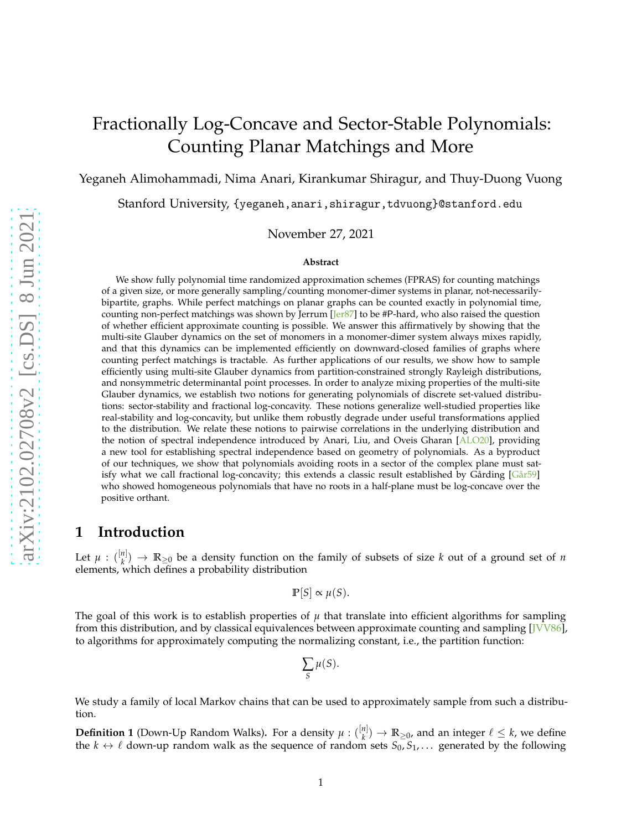# Fractionally Log-Concave and Sector-Stable Polynomials: Counting Planar Matchings and More

Yeganeh Alimohammadi, Nima Anari, Kirankumar Shiragur, and Thuy-Duong Vuong

Stanford University, {yeganeh,anari,shiragur,tdvuong}@stanford.edu

November 27, 2021

#### **Abstract**

We show fully polynomial time randomized approximation schemes (FPRAS) for counting matchings of a given size, or more generally sampling/counting monomer-dimer systems in planar, not-necessarilybipartite, graphs. While perfect matchings on planar graphs can be counted exactly in polynomial time, counting non-perfect matchings was shown by Jerrum  $\text{Jer87}$  to be #P-hard, who also raised the question of whether efficient approximate counting is possible. We answer this affirmatively by showing that the multi-site Glauber dynamics on the set of monomers in a monomer-dimer system always mixes rapidly, and that this dynamics can be implemented efficiently on downward-closed families of graphs where counting perfect matchings is tractable. As further applications of our results, we show how to sample efficiently using multi-site Glauber dynamics from partition-constrained strongly Rayleigh distributions, and nonsymmetric determinantal point processes. In order to analyze mixing properties of the multi-site Glauber dynamics, we establish two notions for generating polynomials of discrete set-valued distributions: sector-stability and fractional log-concavity. These notions generalize well-studied properties like real-stability and log-concavity, but unlike them robustly degrade under useful transformations applied to the distribution. We relate these notions to pairwise correlations in the underlying distribution and the notion of spectral independence introduced by Anari, Liu, and Oveis Gharan [\[ALO20\]](#page-32-0), providing a new tool for establishing spectral independence based on geometry of polynomials. As a byproduct of our techniques, we show that polynomials avoiding roots in a sector of the complex plane must satisfy what we call fractional log-concavity; this extends a classic result established by Gårding  $[Gar59]$ who showed homogeneous polynomials that have no roots in a half-plane must be log-concave over the positive orthant.

### **1 Introduction**

Let  $\mu$  :  $\binom{[n]}{k}$  $\binom{n}{k}$   $\rightarrow$  **R**<sub>20</sub> be a density function on the family of subsets of size *k* out of a ground set of *n* elements, which defines a probability distribution

$$
\mathbb{P}[S] \propto \mu(S).
$$

The goal of this work is to establish properties of  $\mu$  that translate into efficient algorithms for sampling from this distribution, and by classical equivalences between approximate counting and sampling [\[JVV86\]](#page-34-2), to algorithms for approximately computing the normalizing constant, i.e., the partition function:

$$
\sum_{S} \mu(S).
$$

<span id="page-0-0"></span>We study a family of local Markov chains that can be used to approximately sample from such a distribution.

**Definition 1** (Down-Up Random Walks). For a density  $\mu$  :  $\binom{[n]}{k}$  $\binom{n}{k}$   $\rightarrow$  **R**<sub>≥0</sub>, and an integer  $\ell \leq k$ , we define the  $k \leftrightarrow \ell$  down-up random walk as the sequence of random sets  $S_0, S_1, \ldots$  generated by the following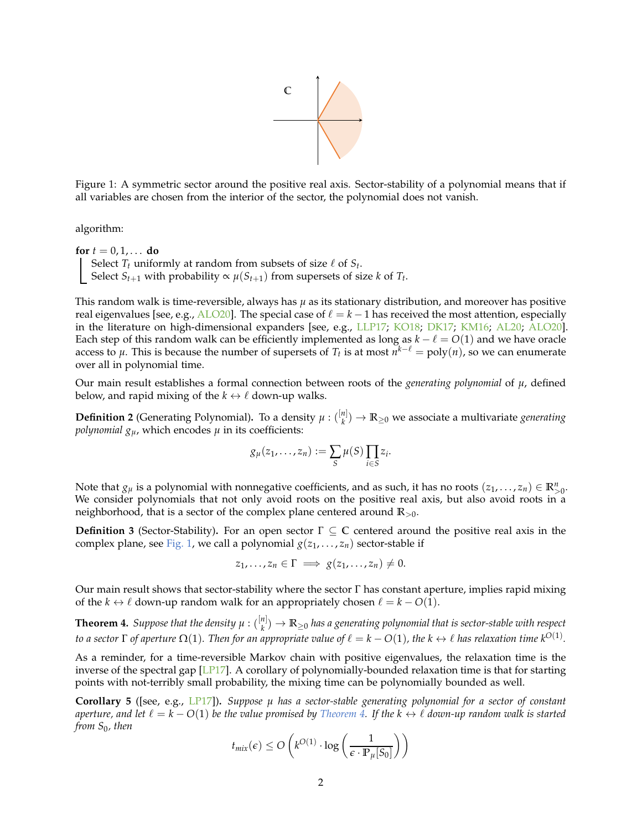

<span id="page-1-0"></span>Figure 1: A symmetric sector around the positive real axis. Sector-stability of a polynomial means that if all variables are chosen from the interior of the sector, the polynomial does not vanish.

algorithm:

**for**  $t = 0, 1, \ldots$  **do** Select  $T_t$  uniformly at random from subsets of size  $\ell$  of  $S_t$ . Select  $S_{t+1}$  with probability  $\propto \mu(S_{t+1})$  from supersets of size *k* of  $T_t$ .

This random walk is time-reversible, always has *µ* as its stationary distribution, and moreover has positive real eigenvalues [see, e.g., [ALO20\]](#page-32-0). The special case of  $\ell = k - 1$  has received the most attention, especially in the literature on high-dimensional expanders [see, e.g., [LLP17;](#page-35-0) [KO18;](#page-34-3) [DK17;](#page-33-0) [KM16](#page-34-4); [AL20](#page-32-1); [ALO20](#page-32-0)]. Each step of this random walk can be efficiently implemented as long as  $k - \ell = O(1)$  and we have oracle access to  $\mu$ . This is because the number of supersets of  $T_t$  is at most  $n^{k-\ell} = \text{poly}(n)$ , so we can enumerate over all in polynomial time.

Our main result establishes a formal connection between roots of the *generating polynomial* of *µ*, defined below, and rapid mixing of the  $k \leftrightarrow \ell$  down-up walks.

**Definition 2** (Generating Polynomial). To a density  $\mu$  :  $\binom{[n]}{k}$  $\binom{n}{k} \rightarrow \mathbb{R}_{\geq 0}$  we associate a multivariate *generating polynomial*  $g_u$ , which encodes  $\mu$  in its coefficients:

$$
g_{\mu}(z_1,\ldots,z_n):=\sum_{S}\mu(S)\prod_{i\in S}z_i.
$$

Note that  $g_\mu$  is a polynomial with nonnegative coefficients, and as such, it has no roots  $(z_1, \ldots, z_n) \in \mathbb{R}_{>0}^n$ . We consider polynomials that not only avoid roots on the positive real axis, but also avoid roots in a neighborhood, that is a sector of the complex plane centered around **R**>0.

<span id="page-1-2"></span>**Definition 3** (Sector-Stability)**.** For an open sector Γ ⊆ **C** centered around the positive real axis in the complex plane, see [Fig. 1,](#page-1-0) we call a polynomial  $g(z_1, \ldots, z_n)$  sector-stable if

$$
z_1,\ldots,z_n\in\Gamma\implies g(z_1,\ldots,z_n)\neq 0.
$$

<span id="page-1-1"></span>Our main result shows that sector-stability where the sector Γ has constant aperture, implies rapid mixing of the  $k \leftrightarrow \ell$  down-up random walk for an appropriately chosen  $\ell = k - O(1)$ .

**Theorem 4.** Suppose that the density  $\mu$  :  $\binom{[n]}{k}$ *k* ) → **R**≥<sup>0</sup> *has a generating polynomial that is sector-stable with respect to a sector*  $\Gamma$  *of aperture*  $\Omega(1)$ *. Then for an appropriate value of*  $\ell = k - O(1)$ *, the*  $k \leftrightarrow \ell$  *has relaxation time*  $k^{O(1)}$ *.* 

As a reminder, for a time-reversible Markov chain with positive eigenvalues, the relaxation time is the inverse of the spectral gap [\[LP17](#page-35-1)]. A corollary of polynomially-bounded relaxation time is that for starting points with not-terribly small probability, the mixing time can be polynomially bounded as well.

**Corollary 5** ([see, e.g., [LP17](#page-35-1)])**.** *Suppose µ has a sector-stable generating polynomial for a sector of constant aperture, and let*  $\ell = k - O(1)$  *be the value promised by [Theorem 4.](#page-1-1) If the*  $k \leftrightarrow \ell$  *down-up random walk is started from S*0*, then*

$$
t_{mix}(\epsilon) \leq O\left(k^{O(1)} \cdot \log\left(\frac{1}{\epsilon \cdot \mathbb{P}_{\mu}[S_0]}\right)\right)
$$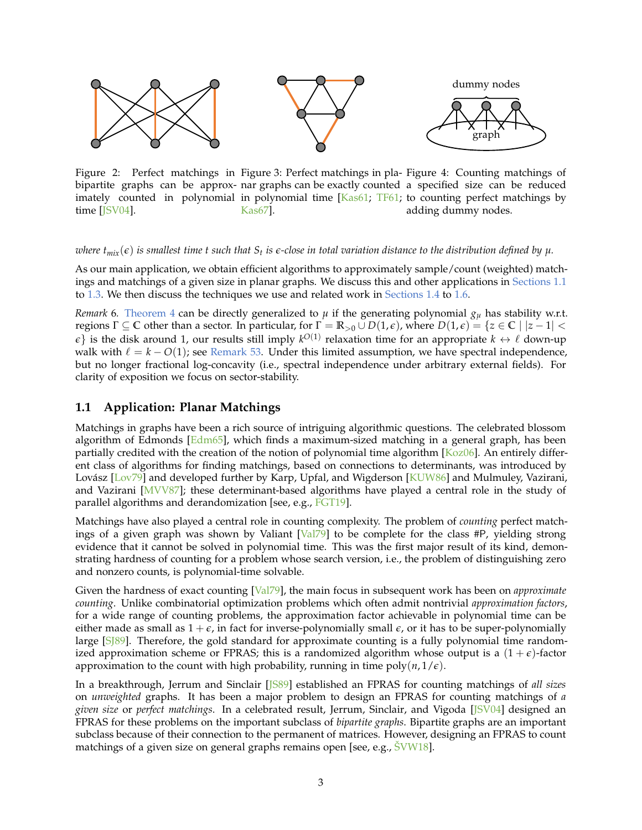

<span id="page-2-3"></span><span id="page-2-2"></span><span id="page-2-1"></span>Figure 2: Perfect matchings in Figure 3: Perfect matchings in pla- Figure 4: Counting matchings of bipartite graphs can be approx-nar graphs can be exactly counted a specified size can be reduced imately counted in polynomial in polynomial time [\[Kas61;](#page-34-6) [TF61](#page-35-2); to counting perfect matchings by time [\[JSV04\]](#page-34-5). [Kas67](#page-34-7)]. adding dummy nodes.

 $w$ here  $t_{mix}(\epsilon)$  is smallest time  $t$  such that  $S_t$  is  $\epsilon$ -close in total variation distance to the distribution defined by  $\mu.$ 

As our main application, we obtain efficient algorithms to approximately sample/count (weighted) matchings and matchings of a given size in planar graphs. We discuss this and other applications in [Sections 1.1](#page-2-0) to [1.3.](#page-6-0) We then discuss the techniques we use and related work in [Sections 1.4](#page-6-1) to [1.6.](#page-11-0)

*Remark* 6. [Theorem 4](#page-1-1) can be directly generalized to  $\mu$  if the generating polynomial  $g_{\mu}$  has stability w.r.t. **regions** Γ ⊆ **C** other than a sector. In particular, for  $Γ = ℝ_{>0} ∪ D(1, ε)$ , where  $D(1, ε) = {z ∈ ℂ \mid |z - 1| <$  $\epsilon$ } is the disk around 1, our results still imply  $k^{O(1)}$  relaxation time for an appropriate  $k \leftrightarrow \ell$  down-up walk with  $\ell = k - O(1)$ ; see [Remark 53.](#page-22-0) Under this limited assumption, we have spectral independence, but no longer fractional log-concavity (i.e., spectral independence under arbitrary external fields). For clarity of exposition we focus on sector-stability.

### <span id="page-2-0"></span>**1.1 Application: Planar Matchings**

Matchings in graphs have been a rich source of intriguing algorithmic questions. The celebrated blossom algorithm of Edmonds  $[Edm65]$ , which finds a maximum-sized matching in a general graph, has been partially credited with the creation of the notion of polynomial time algorithm [\[Koz06](#page-34-8)]. An entirely different class of algorithms for finding matchings, based on connections to determinants, was introduced by Lovász [\[Lov79](#page-35-3)] and developed further by Karp, Upfal, and Wigderson [\[KUW86\]](#page-34-9) and Mulmuley, Vazirani, and Vazirani [\[MVV87](#page-35-4)]; these determinant-based algorithms have played a central role in the study of parallel algorithms and derandomization [see, e.g., [FGT19\]](#page-33-2).

Matchings have also played a central role in counting complexity. The problem of *counting* perfect matchings of a given graph was shown by Valiant [\[Val79](#page-35-5)] to be complete for the class #P, yielding strong evidence that it cannot be solved in polynomial time. This was the first major result of its kind, demonstrating hardness of counting for a problem whose search version, i.e., the problem of distinguishing zero and nonzero counts, is polynomial-time solvable.

Given the hardness of exact counting [\[Val79](#page-35-5)], the main focus in subsequent work has been on *approximate counting*. Unlike combinatorial optimization problems which often admit nontrivial *approximation factors*, for a wide range of counting problems, the approximation factor achievable in polynomial time can be either made as small as  $1 + \epsilon$ , in fact for inverse-polynomially small  $\epsilon$ , or it has to be super-polynomially large [S[89]. Therefore, the gold standard for approximate counting is a fully polynomial time randomized approximation scheme or FPRAS; this is a randomized algorithm whose output is a  $(1+\epsilon)$ -factor approximation to the count with high probability, running in time  $poly(n, 1/\epsilon)$ .

In a breakthrough, Jerrum and Sinclair [\[JS89\]](#page-34-10) established an FPRAS for counting matchings of *all sizes* on *unweighted* graphs. It has been a major problem to design an FPRAS for counting matchings of *a given size* or *perfect matchings*. In a celebrated result, Jerrum, Sinclair, and Vigoda [\[JSV04](#page-34-5)] designed an FPRAS for these problems on the important subclass of *bipartite graphs*. Bipartite graphs are an important subclass because of their connection to the permanent of matrices. However, designing an FPRAS to count matchings of a given size on general graphs remains open [see, e.g.,  $\text{SWW18}$ ].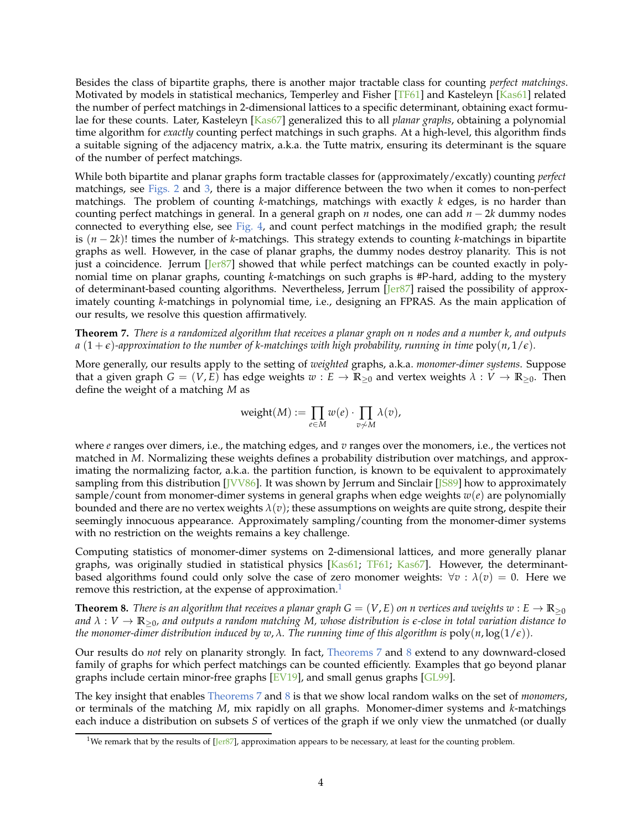Besides the class of bipartite graphs, there is another major tractable class for counting *perfect matchings*. Motivated by models in statistical mechanics, Temperley and Fisher [\[TF61](#page-35-2)] and Kasteleyn [\[Kas61](#page-34-6)] related the number of perfect matchings in 2-dimensional lattices to a specific determinant, obtaining exact formulae for these counts. Later, Kasteleyn [\[Kas67](#page-34-7)] generalized this to all *planar graphs*, obtaining a polynomial time algorithm for *exactly* counting perfect matchings in such graphs. At a high-level, this algorithm finds a suitable signing of the adjacency matrix, a.k.a. the Tutte matrix, ensuring its determinant is the square of the number of perfect matchings.

While both bipartite and planar graphs form tractable classes for (approximately/excatly) counting *perfect* matchings, see [Figs. 2](#page-2-1) and [3,](#page-2-2) there is a major difference between the two when it comes to non-perfect matchings. The problem of counting *k*-matchings, matchings with exactly *k* edges, is no harder than counting perfect matchings in general. In a general graph on *n* nodes, one can add *n* − 2*k* dummy nodes connected to everything else, see [Fig. 4,](#page-2-3) and count perfect matchings in the modified graph; the result is (*n* − 2*k*)! times the number of *k*-matchings. This strategy extends to counting *k*-matchings in bipartite graphs as well. However, in the case of planar graphs, the dummy nodes destroy planarity. This is not just a coincidence. Jerrum [\[Jer87\]](#page-34-0) showed that while perfect matchings can be counted exactly in polynomial time on planar graphs, counting *k*-matchings on such graphs is #P-hard, adding to the mystery of determinant-based counting algorithms. Nevertheless, Jerrum [\[Jer87\]](#page-34-0) raised the possibility of approximately counting *k*-matchings in polynomial time, i.e., designing an FPRAS. As the main application of our results, we resolve this question affirmatively.

<span id="page-3-1"></span>**Theorem 7.** *There is a randomized algorithm that receives a planar graph on n nodes and a number k, and outputs a*  $(1+\epsilon)$ -approximation to the number of k-matchings with high probability, running in time  $poly(n, 1/\epsilon)$ .

More generally, our results apply to the setting of *weighted* graphs, a.k.a. *monomer-dimer systems*. Suppose that a given graph  $G = (V, E)$  has edge weights  $w : E \to \mathbb{R}_{\geq 0}$  and vertex weights  $\lambda : V \to \mathbb{R}_{\geq 0}$ . Then define the weight of a matching *M* as

$$
\text{weight}(M) := \prod_{e \in M} w(e) \cdot \prod_{v \not\sim M} \lambda(v),
$$

where *e* ranges over dimers, i.e., the matching edges, and *v* ranges over the monomers, i.e., the vertices not matched in *M*. Normalizing these weights defines a probability distribution over matchings, and approximating the normalizing factor, a.k.a. the partition function, is known to be equivalent to approximately sampling from this distribution [\[JVV86](#page-34-2)]. It was shown by Jerrum and Sinclair [\[JS89](#page-34-10)] how to approximately sample/count from monomer-dimer systems in general graphs when edge weights *w*(*e*) are polynomially bounded and there are no vertex weights *λ*(*v*); these assumptions on weights are quite strong, despite their seemingly innocuous appearance. Approximately sampling/counting from the monomer-dimer systems with no restriction on the weights remains a key challenge.

Computing statistics of monomer-dimer systems on 2-dimensional lattices, and more generally planar graphs, was originally studied in statistical physics [\[Kas61](#page-34-6); [TF61;](#page-35-2) [Kas67](#page-34-7)]. However, the determinantbased algorithms found could only solve the case of zero monomer weights:  $\forall v : \lambda(v) = 0$ . Here we remove this restriction, at the expense of approximation.<sup>[1](#page-3-0)</sup>

<span id="page-3-2"></span>**Theorem 8.** *There is an algorithm that receives a planar graph*  $G = (V, E)$  *on n vertices and weights*  $w : E \to \mathbb{R}_{\geq 0}$ and  $\lambda : V \to \mathbb{R}_{\geq 0}$ , and outputs a random matching M, whose distribution is  $\epsilon$ -close in total variation distance to *the monomer-dimer distribution induced by*  $w$ *,*  $\lambda$ *. The running time of this algorithm is*  $poly(n, \log(1/\epsilon))$ *.* 

Our results do *not* rely on planarity strongly. In fact, [Theorems 7](#page-3-1) and [8](#page-3-2) extend to any downward-closed family of graphs for which perfect matchings can be counted efficiently. Examples that go beyond planar graphs include certain minor-free graphs  $[EV19]$ , and small genus graphs  $[GL99]$ .

The key insight that enables [Theorems 7](#page-3-1) and [8](#page-3-2) is that we show local random walks on the set of *monomers*, or terminals of the matching *M*, mix rapidly on all graphs. Monomer-dimer systems and *k*-matchings each induce a distribution on subsets *S* of vertices of the graph if we only view the unmatched (or dually

<span id="page-3-0"></span><sup>&</sup>lt;sup>1</sup>We remark that by the results of  $[Jer87]$ , approximation appears to be necessary, at least for the counting problem.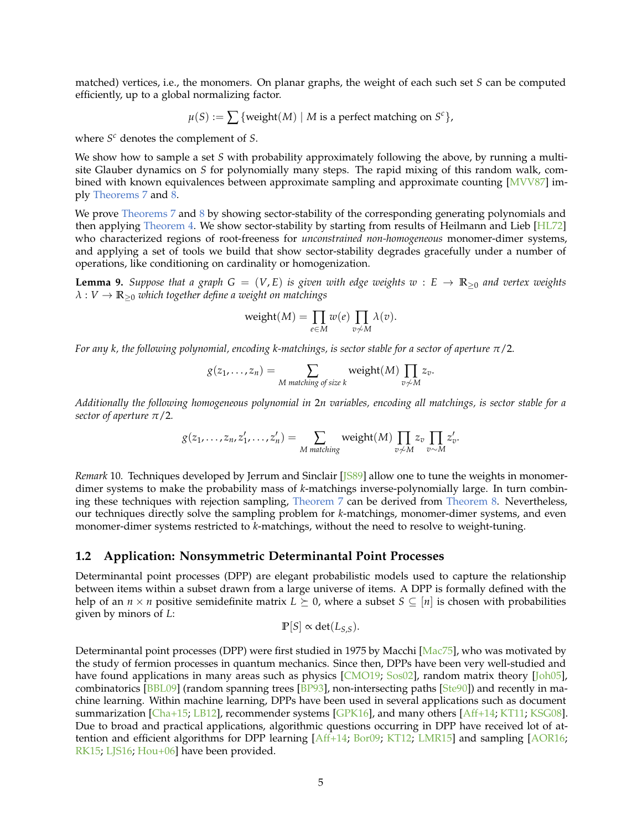matched) vertices, i.e., the monomers. On planar graphs, the weight of each such set *S* can be computed efficiently, up to a global normalizing factor.

$$
\mu(S) := \sum \{weight(M) \mid M \text{ is a perfect matching on } S^c \},
$$

where *S <sup>c</sup>* denotes the complement of *S*.

We show how to sample a set *S* with probability approximately following the above, by running a multisite Glauber dynamics on *S* for polynomially many steps. The rapid mixing of this random walk, combined with known equivalences between approximate sampling and approximate counting [\[MVV87](#page-35-4)] imply [Theorems 7](#page-3-1) and [8.](#page-3-2)

We prove [Theorems 7](#page-3-1) and [8](#page-3-2) by showing sector-stability of the corresponding generating polynomials and then applying [Theorem 4.](#page-1-1) We show sector-stability by starting from results of Heilmann and Lieb [\[HL72\]](#page-34-12) who characterized regions of root-freeness for *unconstrained non-homogeneous* monomer-dimer systems, and applying a set of tools we build that show sector-stability degrades gracefully under a number of operations, like conditioning on cardinality or homogenization.

<span id="page-4-0"></span>**Lemma 9.** *Suppose that a graph*  $G = (V, E)$  *is given with edge weights*  $w : E \to \mathbb{R}_{\geq 0}$  *and vertex weights λ* : *V* → **R**≥<sup>0</sup> *which together define a weight on matchings*

$$
\operatorname{weight}(M) = \prod_{e \in M} w(e) \prod_{v \not\sim M} \lambda(v).
$$

*For any k, the following polynomial, encoding k-matchings, is sector stable for a sector of aperture π*/2*.*

$$
g(z_1,...,z_n)=\sum_{M \text{ matching of size } k} weight(M) \prod_{v \neq M} z_v.
$$

*Additionally the following homogeneous polynomial in* 2*n variables, encoding all matchings, is sector stable for a sector of aperture π*/2*.*

$$
g(z_1,\ldots,z_n,z'_1,\ldots,z'_n)=\sum_{M\text{ matching}} weight(M)\prod_{v\neq M}z_v\prod_{v\sim M}z'_v.
$$

*Remark* 10*.* Techniques developed by Jerrum and Sinclair [\[JS89](#page-34-10)] allow one to tune the weights in monomerdimer systems to make the probability mass of *k*-matchings inverse-polynomially large. In turn combining these techniques with rejection sampling, [Theorem 7](#page-3-1) can be derived from [Theorem 8.](#page-3-2) Nevertheless, our techniques directly solve the sampling problem for *k*-matchings, monomer-dimer systems, and even monomer-dimer systems restricted to *k*-matchings, without the need to resolve to weight-tuning.

#### **1.2 Application: Nonsymmetric Determinantal Point Processes**

Determinantal point processes (DPP) are elegant probabilistic models used to capture the relationship between items within a subset drawn from a large universe of items. A DPP is formally defined with the help of an *n* × *n* positive semidefinite matrix  $L \succeq 0$ , where a subset  $S \subseteq [n]$  is chosen with probabilities given by minors of *L*:

$$
\mathbb{P}[S] \propto \det(L_{S,S}).
$$

Determinantal point processes (DPP) were first studied in 1975 by Macchi [\[Mac75](#page-35-8)], who was motivated by the study of fermion processes in quantum mechanics. Since then, DPPs have been very well-studied and have found applications in many areas such as physics [\[CMO19;](#page-33-4) [Sos02](#page-35-9)], random matrix theory [\[Joh05\]](#page-34-13), combinatorics [\[BBL09\]](#page-33-5) (random spanning trees [\[BP93\]](#page-33-6), non-intersecting paths [\[Ste90\]](#page-35-10)) and recently in machine learning. Within machine learning, DPPs have been used in several applications such as document summarization [\[Cha+15](#page-33-7); [LB12\]](#page-34-14), recommender systems [\[GPK16\]](#page-34-15), and many others [\[Aff+14](#page-32-2); [KT11;](#page-34-16) [KSG08](#page-34-17)]. Due to broad and practical applications, algorithmic questions occurring in DPP have received lot of attention and efficient algorithms for DPP learning [\[Aff+14](#page-32-2); [Bor09;](#page-33-8) [KT12;](#page-34-18) [LMR15](#page-35-11)] and sampling [\[AOR16;](#page-32-3) [RK15;](#page-35-12) [LJS16](#page-35-13); [Hou+06](#page-34-19)] have been provided.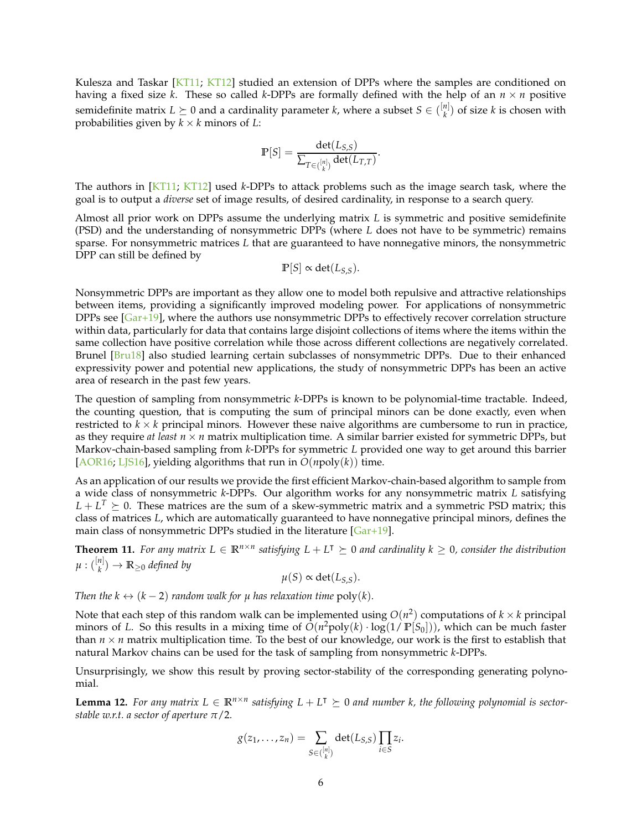Kulesza and Taskar [\[KT11](#page-34-16); [KT12](#page-34-18)] studied an extension of DPPs where the samples are conditioned on having a fixed size *k*. These so called *k*-DPPs are formally defined with the help of an  $n \times n$  positive semidefinite matrix  $L \succeq 0$  and a cardinality parameter *k*, where a subset  $S \in \binom{[n]}{k}$  $\binom{n}{k}$  of size *k* is chosen with probabilities given by  $k \times k$  minors of *L*:

$$
\mathbb{P}[S] = \frac{\det(L_{S,S})}{\sum_{T \in \binom{[n]}{k}} \det(L_{T,T})}.
$$

The authors in [\[KT11;](#page-34-16) [KT12](#page-34-18)] used *k*-DPPs to attack problems such as the image search task, where the goal is to output a *diverse* set of image results, of desired cardinality, in response to a search query.

Almost all prior work on DPPs assume the underlying matrix *L* is symmetric and positive semidefinite (PSD) and the understanding of nonsymmetric DPPs (where *L* does not have to be symmetric) remains sparse. For nonsymmetric matrices *L* that are guaranteed to have nonnegative minors, the nonsymmetric DPP can still be defined by

$$
\mathbb{P}[S] \propto \det(L_{S,S}).
$$

Nonsymmetric DPPs are important as they allow one to model both repulsive and attractive relationships between items, providing a significantly improved modeling power. For applications of nonsymmetric DPPs see [\[Gar+19\]](#page-33-9), where the authors use nonsymmetric DPPs to effectively recover correlation structure within data, particularly for data that contains large disjoint collections of items where the items within the same collection have positive correlation while those across different collections are negatively correlated. Brunel [\[Bru18\]](#page-33-10) also studied learning certain subclasses of nonsymmetric DPPs. Due to their enhanced expressivity power and potential new applications, the study of nonsymmetric DPPs has been an active area of research in the past few years.

The question of sampling from nonsymmetric *k*-DPPs is known to be polynomial-time tractable. Indeed, the counting question, that is computing the sum of principal minors can be done exactly, even when restricted to  $k \times k$  principal minors. However these naive algorithms are cumbersome to run in practice, as they require *at least*  $n \times n$  matrix multiplication time. A similar barrier existed for symmetric DPPs, but Markov-chain-based sampling from *k*-DPPs for symmetric *L* provided one way to get around this barrier [\[AOR16;](#page-32-3) [LJS16\]](#page-35-13), yielding algorithms that run in  $O(npoly(k))$  time.

As an application of our results we provide the first efficient Markov-chain-based algorithm to sample from a wide class of nonsymmetric *k*-DPPs. Our algorithm works for any nonsymmetric matrix *L* satisfying  $L + L<sup>T</sup> \geq 0$ . These matrices are the sum of a skew-symmetric matrix and a symmetric PSD matrix; this class of matrices *L*, which are automatically guaranteed to have nonnegative principal minors, defines the main class of nonsymmetric DPPs studied in the literature  $[Gar+19]$  $[Gar+19]$ .

<span id="page-5-0"></span>**Theorem 11.** For any matrix  $L \in \mathbb{R}^{n \times n}$  satisfying  $L + L^T \succeq 0$  and cardinality  $k \geq 0$ , consider the distribution  $\mu:([\frac{n}{k}]$  $\mathbb{R}^{n|0}_{\geq 0}$  *defined by* 

$$
\mu(S) \propto \det(L_{S,S}).
$$

*Then the k*  $\leftrightarrow$  (*k* − 2) *random walk for µ has relaxation time* poly(*k*).

Note that each step of this random walk can be implemented using  $O(n^2)$  computations of  $k \times k$  principal minors of *L*. So this results in a mixing time of *O*(*n* <sup>2</sup>poly(*k*) · log(1/ **P**[*S*0])), which can be much faster than  $n \times n$  matrix multiplication time. To the best of our knowledge, our work is the first to establish that natural Markov chains can be used for the task of sampling from nonsymmetric *k*-DPPs.

Unsurprisingly, we show this result by proving sector-stability of the corresponding generating polynomial.

**Lemma 12.** For any matrix  $L \in \mathbb{R}^{n \times n}$  satisfying  $L + L^{\dagger} \succeq 0$  and number k, the following polynomial is sector*stable w.r.t. a sector of aperture π*/2*.*

$$
g(z_1,\ldots,z_n)=\sum_{S\in\binom{[n]}{k}}\det(L_{S,S})\prod_{i\in S}z_i.
$$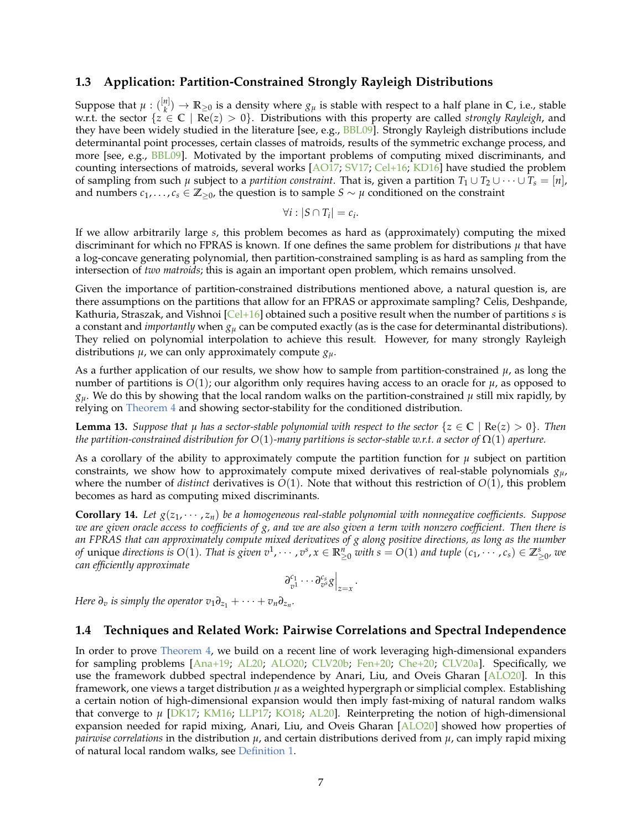#### <span id="page-6-0"></span>**1.3 Application: Partition-Constrained Strongly Rayleigh Distributions**

Suppose that  $\mu$  :  $\binom{[n]}{k}$  $\binom{n}{k}$   $\rightarrow$  **R**<sub>≥0</sub> is a density where  $g_\mu$  is stable with respect to a half plane in **C**, i.e., stable w.r.t. the sector  $\{z \in \mathbb{C} \mid \text{Re}(z) > 0\}$ . Distributions with this property are called *strongly Rayleigh*, and they have been widely studied in the literature [see, e.g., [BBL09\]](#page-33-5). Strongly Rayleigh distributions include determinantal point processes, certain classes of matroids, results of the symmetric exchange process, and more [see, e.g., [BBL09\]](#page-33-5). Motivated by the important problems of computing mixed discriminants, and counting intersections of matroids, several works [\[AO17;](#page-32-4) [SV17;](#page-35-14) [Cel+16](#page-33-11); [KD16](#page-34-20)] have studied the problem of sampling from such  $\mu$  subject to a *partition constraint*. That is, given a partition  $T_1 \cup T_2 \cup \cdots \cup T_s = [\eta]$ , and numbers  $c_1, \ldots, c_s \in \mathbb{Z}_{\geq 0}$ , the question is to sample  $S \sim \mu$  conditioned on the constraint

$$
\forall i: |S \cap T_i| = c_i.
$$

If we allow arbitrarily large *s*, this problem becomes as hard as (approximately) computing the mixed discriminant for which no FPRAS is known. If one defines the same problem for distributions  $\mu$  that have a log-concave generating polynomial, then partition-constrained sampling is as hard as sampling from the intersection of *two matroids*; this is again an important open problem, which remains unsolved.

Given the importance of partition-constrained distributions mentioned above, a natural question is, are there assumptions on the partitions that allow for an FPRAS or approximate sampling? Celis, Deshpande, Kathuria, Straszak, and Vishnoi [\[Cel+16\]](#page-33-11) obtained such a positive result when the number of partitions *s* is a constant and *importantly* when *g<sup>µ</sup>* can be computed exactly (as is the case for determinantal distributions). They relied on polynomial interpolation to achieve this result. However, for many strongly Rayleigh distributions *µ*, we can only approximately compute *gµ*.

As a further application of our results, we show how to sample from partition-constrained  $\mu$ , as long the number of partitions is  $O(1)$ ; our algorithm only requires having access to an oracle for  $\mu$ , as opposed to  $g_\mu$ . We do this by showing that the local random walks on the partition-constrained  $\mu$  still mix rapidly, by relying on [Theorem 4](#page-1-1) and showing sector-stability for the conditioned distribution.

**Lemma 13.** *Suppose that*  $\mu$  *has a sector-stable polynomial with respect to the sector*  $\{z \in \mathbb{C} \mid \text{Re}(z) > 0\}$ *. Then the partition-constrained distribution for O*(1)*-many partitions is sector-stable w.r.t. a sector of* Ω(1) *aperture.*

As a corollary of the ability to approximately compute the partition function for *µ* subject on partition constraints, we show how to approximately compute mixed derivatives of real-stable polynomials *gµ*, where the number of *distinct* derivatives is  $O(1)$ . Note that without this restriction of  $O(1)$ , this problem becomes as hard as computing mixed discriminants.

<span id="page-6-2"></span>**Corollary 14.** *Let g*(*z*<sup>1</sup> , · · · , *zn*) *be a homogeneous real-stable polynomial with nonnegative coefficients. Suppose we are given oracle access to coefficients of g, and we are also given a term with nonzero coefficient. Then there is an FPRAS that can approximately compute mixed derivatives of g along positive directions, as long as the number* of unique directions is  $O(1)$ . That is given  $v^1, \cdots, v^s, x \in \mathbb{R}_{\geq 0}^n$  with  $s = O(1)$  and tuple  $(c_1, \cdots, c_s) \in \mathbb{Z}_{\geq 0}^s$ , we *can efficiently approximate*

$$
\left.\partial_{v^1}^{c_1}\cdots\partial_{v^s}^{c_s}g\right|_{z=x}
$$

.

<span id="page-6-1"></span>*Here*  $\partial_v$  *is simply the operator*  $v_1 \partial_{z_1} + \cdots + v_n \partial_{z_n}$ .

#### **1.4 Techniques and Related Work: Pairwise Correlations and Spectral Independence**

In order to prove [Theorem 4,](#page-1-1) we build on a recent line of work leveraging high-dimensional expanders for sampling problems [\[Ana+19](#page-32-5); [AL20;](#page-32-1) [ALO20](#page-32-0); [CLV20b;](#page-33-12) [Fen+20;](#page-33-13) [Che+20](#page-33-14); [CLV20a\]](#page-33-15). Specifically, we use the framework dubbed spectral independence by Anari, Liu, and Oveis Gharan [\[ALO20](#page-32-0)]. In this framework, one views a target distribution *µ* as a weighted hypergraph or simplicial complex. Establishing a certain notion of high-dimensional expansion would then imply fast-mixing of natural random walks that converge to *µ* [\[DK17;](#page-33-0) [KM16](#page-34-4); [LLP17](#page-35-0); [KO18](#page-34-3); [AL20\]](#page-32-1). Reinterpreting the notion of high-dimensional expansion needed for rapid mixing, Anari, Liu, and Oveis Gharan [\[ALO20](#page-32-0)] showed how properties of *pairwise correlations* in the distribution  $\mu$ , and certain distributions derived from  $\mu$ , can imply rapid mixing of natural local random walks, see [Definition 1.](#page-0-0)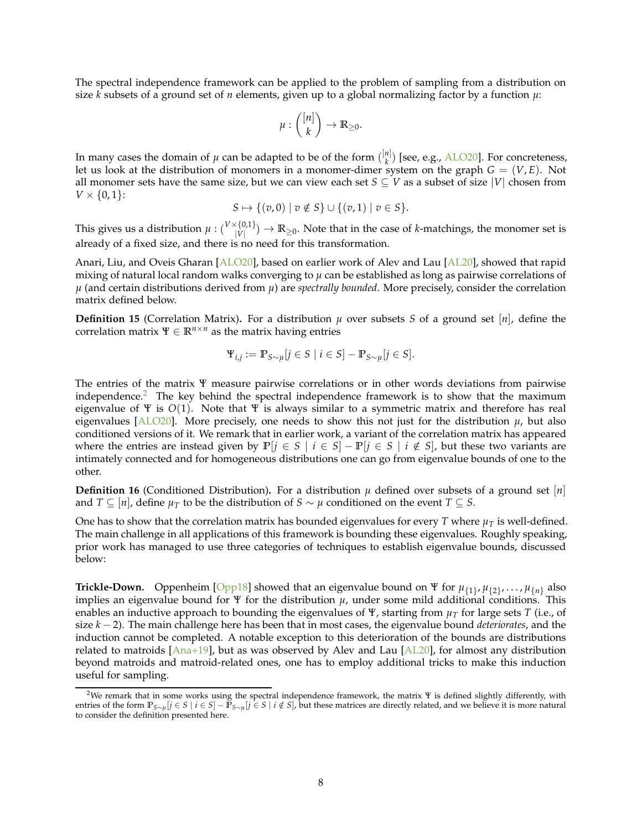The spectral independence framework can be applied to the problem of sampling from a distribution on size  $\vec{k}$  subsets of a ground set of *n* elements, given up to a global normalizing factor by a function  $\mu$ :

$$
\mu: \binom{[n]}{k} \to \mathbb{R}_{\geq 0}.
$$

In many cases the domain of  $\mu$  can be adapted to be of the form  $\binom{[n]}{k}$  $\binom{n_1}{k}$  [see, e.g., [ALO20\]](#page-32-0). For concreteness, let us look at the distribution of monomers in a monomer-dimer system on the graph  $G = (V, E)$ . Not all monomer sets have the same size, but we can view each set  $S \subseteq V$  as a subset of size |*V*| chosen from  $V \times \{0, 1\}$ :

$$
S \mapsto \{ (v, 0) \mid v \notin S \} \cup \{ (v, 1) \mid v \in S \}.
$$

This gives us a distribution  $\mu: \binom{V\times\{0,1\}}{\vert V\vert}$  $\binom{\{0,1\}}{|V|} \to \mathbb{R}_{\geq 0}$ . Note that in the case of *k*-matchings, the monomer set is already of a fixed size, and there is no need for this transformation.

Anari, Liu, and Oveis Gharan [\[ALO20](#page-32-0)], based on earlier work of Alev and Lau [\[AL20\]](#page-32-1), showed that rapid mixing of natural local random walks converging to *µ* can be established as long as pairwise correlations of  $\mu$  (and certain distributions derived from  $\mu$ ) are *spectrally bounded*. More precisely, consider the correlation matrix defined below.

<span id="page-7-2"></span>**Definition 15** (Correlation Matrix). For a distribution  $\mu$  over subsets *S* of a ground set  $[n]$ , define the correlation matrix  $\Psi \in \mathbb{R}^{n \times n}$  as the matrix having entries

$$
\Psi_{i,j} := \mathbb{P}_{S \sim \mu}[j \in S \mid i \in S] - \mathbb{P}_{S \sim \mu}[j \in S].
$$

The entries of the matrix Ψ measure pairwise correlations or in other words deviations from pairwise independence.<sup>[2](#page-7-0)</sup> The key behind the spectral independence framework is to show that the maximum eigenvalue of Ψ is *O*(1). Note that Ψ is always similar to a symmetric matrix and therefore has real eigenvalues [\[ALO20](#page-32-0)]. More precisely, one needs to show this not just for the distribution  $\mu$ , but also conditioned versions of it. We remark that in earlier work, a variant of the correlation matrix has appeared where the entries are instead given by  $\mathbb{P}[j \in S \mid i \in S] - \mathbb{P}[j \in S \mid i \notin S]$ , but these two variants are intimately connected and for homogeneous distributions one can go from eigenvalue bounds of one to the other.

<span id="page-7-1"></span>**Definition 16** (Conditioned Distribution). For a distribution  $\mu$  defined over subsets of a ground set  $[n]$ and *T* ⊆  $[n]$ , define  $\mu_T$  to be the distribution of *S* ∼  $\mu$  conditioned on the event *T* ⊆ *S*.

One has to show that the correlation matrix has bounded eigenvalues for every *T* where  $\mu_T$  is well-defined. The main challenge in all applications of this framework is bounding these eigenvalues. Roughly speaking, prior work has managed to use three categories of techniques to establish eigenvalue bounds, discussed below:

**Trickle-Down.** Oppenheim [\[Opp18\]](#page-35-15) showed that an eigenvalue bound on  $\Psi$  for  $\mu_{\{1\}}$ ,  $\mu_{\{2\}}$ , ...,  $\mu_{\{n\}}$  also implies an eigenvalue bound for  $\Psi$  for the distribution  $\mu$ , under some mild additional conditions. This enables an inductive approach to bounding the eigenvalues of Ψ, starting from *µ<sup>T</sup>* for large sets *T* (i.e., of size *k* − 2). The main challenge here has been that in most cases, the eigenvalue bound *deteriorates*, and the induction cannot be completed. A notable exception to this deterioration of the bounds are distributions related to matroids  $[Ana+19]$ , but as was observed by Alev and Lau  $[AL20]$ , for almost any distribution beyond matroids and matroid-related ones, one has to employ additional tricks to make this induction useful for sampling.

<span id="page-7-0"></span><sup>&</sup>lt;sup>2</sup>We remark that in some works using the spectral independence framework, the matrix  $\Psi$  is defined slightly differently, with entries of the form  $\mathbb{P}_{S \sim \mu}[j \in S \mid i \in S] - \mathbb{P}_{S \sim \mu}[j \in S \mid i \notin S]$ , but these matrices are directly related, and we believe it is more natural to consider the definition presented here.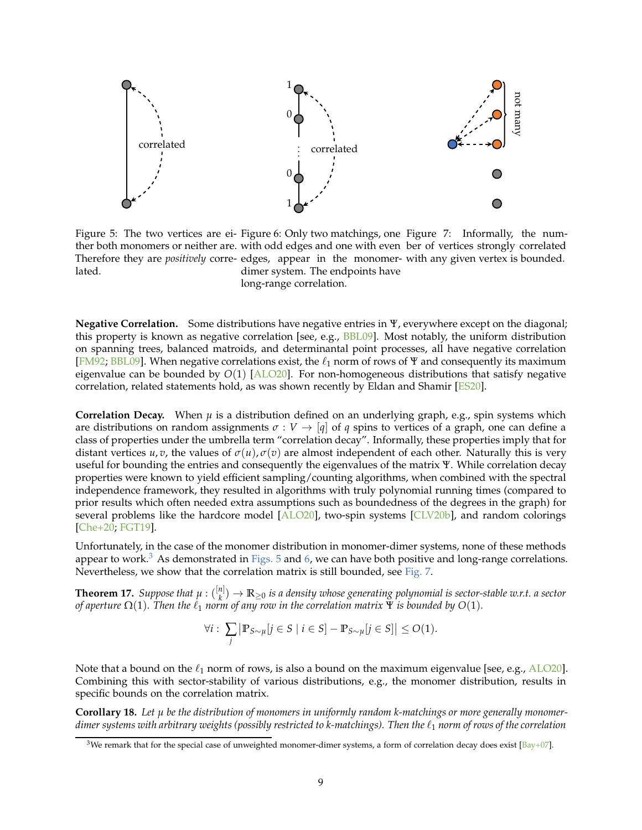

<span id="page-8-1"></span>Figure 5: The two vertices are ei-Figure 6: Only two matchings, one Figure 7: Informally, the numther both monomers or neither are. with odd edges and one with even ber of vertices strongly correlated Therefore they are *positively* corre-edges, appear in the monomer-with any given vertex is bounded. lated. dimer system. The endpoints have

<span id="page-8-3"></span><span id="page-8-2"></span>long-range correlation.

**Negative Correlation.** Some distributions have negative entries in Ψ, everywhere except on the diagonal; this property is known as negative correlation [see, e.g.,  $B B L 09$ ]. Most notably, the uniform distribution on spanning trees, balanced matroids, and determinantal point processes, all have negative correlation [\[FM92](#page-33-16); [BBL09\]](#page-33-5). When negative correlations exist, the  $\ell_1$  norm of rows of  $\Psi$  and consequently its maximum eigenvalue can be bounded by *O*(1) [\[ALO20\]](#page-32-0). For non-homogeneous distributions that satisfy negative correlation, related statements hold, as was shown recently by Eldan and Shamir [\[ES20\]](#page-33-17).

**Correlation Decay.** When  $\mu$  is a distribution defined on an underlying graph, e.g., spin systems which are distributions on random assignments  $\sigma : V \to [q]$  of q spins to vertices of a graph, one can define a class of properties under the umbrella term "correlation decay". Informally, these properties imply that for distant vertices *u*, *v*, the values of  $\sigma(u)$ ,  $\sigma(v)$  are almost independent of each other. Naturally this is very useful for bounding the entries and consequently the eigenvalues of the matrix Ψ. While correlation decay properties were known to yield efficient sampling/counting algorithms, when combined with the spectral independence framework, they resulted in algorithms with truly polynomial running times (compared to prior results which often needed extra assumptions such as boundedness of the degrees in the graph) for several problems like the hardcore model [\[ALO20](#page-32-0)], two-spin systems [\[CLV20b\]](#page-33-12), and random colorings [\[Che+20](#page-33-14); [FGT19\]](#page-33-2).

Unfortunately, in the case of the monomer distribution in monomer-dimer systems, none of these methods appear to work.<sup>[3](#page-8-0)</sup> As demonstrated in [Figs. 5](#page-8-1) and [6,](#page-8-2) we can have both positive and long-range correlations. Nevertheless, we show that the correlation matrix is still bounded, see [Fig. 7.](#page-8-3)

<span id="page-8-4"></span>**Theorem 17.** *Suppose that*  $\mu$  :  $\binom{[n]}{k}$ *k* ) → **R**≥<sup>0</sup> *is a density whose generating polynomial is sector-stable w.r.t. a sector of aperture*  $\Omega(1)$ . Then the  $\ell_1$  norm of any row in the correlation matrix  $\Psi$  is bounded by  $O(1)$ .

$$
\forall i: \sum_{j} \left| \mathbb{P}_{S \sim \mu}[j \in S \mid i \in S] - \mathbb{P}_{S \sim \mu}[j \in S] \right| \le O(1).
$$

Note that a bound on the  $\ell_1$  norm of rows, is also a bound on the maximum eigenvalue [see, e.g., [ALO20](#page-32-0)]. Combining this with sector-stability of various distributions, e.g., the monomer distribution, results in specific bounds on the correlation matrix.

**Corollary 18.** *Let µ be the distribution of monomers in uniformly random k-matchings or more generally monomerdimer systems with arbitrary weights (possibly restricted to k-matchings). Then the* ℓ<sup>1</sup> *norm of rows of the correlation*

<span id="page-8-0"></span><sup>&</sup>lt;sup>3</sup>We remark that for the special case of unweighted monomer-dimer systems, a form of correlation decay does exist [\[Bay+07\]](#page-32-6).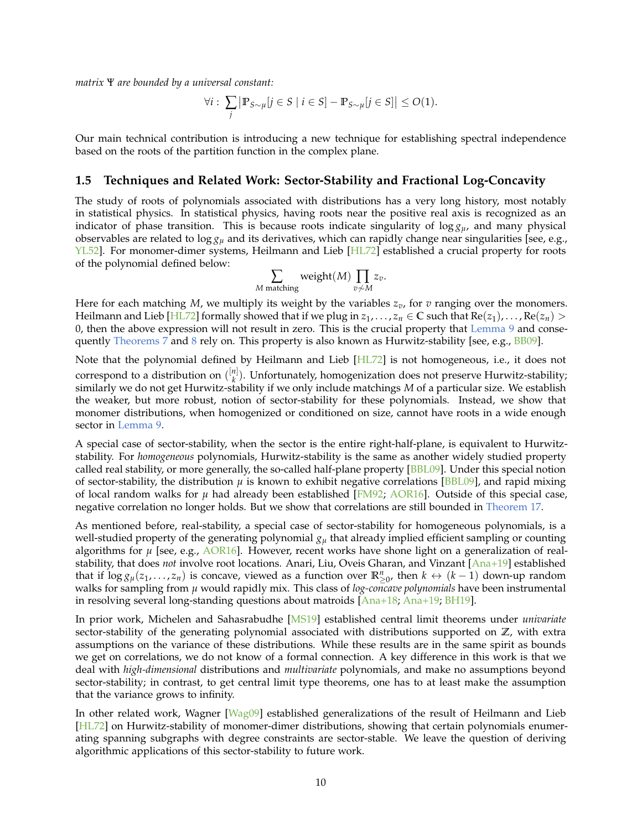*matrix* Ψ *are bounded by a universal constant:*

$$
\forall i: \sum_{j} \left| \mathbb{P}_{S \sim \mu}[j \in S \mid i \in S] - \mathbb{P}_{S \sim \mu}[j \in S] \right| \le O(1).
$$

Our main technical contribution is introducing a new technique for establishing spectral independence based on the roots of the partition function in the complex plane.

#### **1.5 Techniques and Related Work: Sector-Stability and Fractional Log-Concavity**

The study of roots of polynomials associated with distributions has a very long history, most notably in statistical physics. In statistical physics, having roots near the positive real axis is recognized as an indicator of phase transition. This is because roots indicate singularity of  $\log g_u$ , and many physical observables are related to log *g<sup>µ</sup>* and its derivatives, which can rapidly change near singularities [see, e.g., [YL52](#page-35-16)]. For monomer-dimer systems, Heilmann and Lieb [\[HL72\]](#page-34-12) established a crucial property for roots of the polynomial defined below:

$$
\sum_{M \text{ matching}} weight(M) \prod_{v \not\sim M} z_v.
$$

Here for each matching  $M$ , we multiply its weight by the variables  $z_v$ , for  $v$  ranging over the monomers. Heilmann and Lieb [\[HL72\]](#page-34-12) formally showed that if we plug in  $z_1,\ldots,z_n\in\mathbb{C}$  such that  $\text{Re}(z_1),\ldots,\text{Re}(z_n)>0$ 0, then the above expression will not result in zero. This is the crucial property that [Lemma 9](#page-4-0) and conse-quently [Theorems 7](#page-3-1) and [8](#page-3-2) rely on. This property is also known as Hurwitz-stability [see, e.g., [BB09\]](#page-33-18).

Note that the polynomial defined by Heilmann and Lieb [\[HL72](#page-34-12)] is not homogeneous, i.e., it does not correspond to a distribution on  $\binom{[n]}{k}$  $\mathbf{R}_k^{n_1}$ ). Unfortunately, homogenization does not preserve Hurwitz-stability; similarly we do not get Hurwitz-stability if we only include matchings *M* of a particular size. We establish the weaker, but more robust, notion of sector-stability for these polynomials. Instead, we show that monomer distributions, when homogenized or conditioned on size, cannot have roots in a wide enough sector in [Lemma 9.](#page-4-0)

A special case of sector-stability, when the sector is the entire right-half-plane, is equivalent to Hurwitzstability. For *homogeneous* polynomials, Hurwitz-stability is the same as another widely studied property called real stability, or more generally, the so-called half-plane property [\[BBL09](#page-33-5)]. Under this special notion of sector-stability, the distribution  $\mu$  is known to exhibit negative correlations [\[BBL09\]](#page-33-5), and rapid mixing of local random walks for *µ* had already been established [\[FM92;](#page-33-16) [AOR16](#page-32-3)]. Outside of this special case, negative correlation no longer holds. But we show that correlations are still bounded in [Theorem 17.](#page-8-4)

As mentioned before, real-stability, a special case of sector-stability for homogeneous polynomials, is a well-studied property of the generating polynomial *g<sup>µ</sup>* that already implied efficient sampling or counting algorithms for *µ* [see, e.g., [AOR16\]](#page-32-3). However, recent works have shone light on a generalization of realstability, that does *not* involve root locations. Anari, Liu, Oveis Gharan, and Vinzant [\[Ana+19\]](#page-32-5) established that if  $\log g_\mu(z_1,\ldots,z_n)$  is concave, viewed as a function over  $\mathbb{R}^n_{\geq 0}$ , then  $k \leftrightarrow (k-1)$  down-up random walks for sampling from *µ* would rapidly mix. This class of *log-concave polynomials* have been instrumental in resolving several long-standing questions about matroids [\[Ana+18](#page-32-7); [Ana+19](#page-32-5); [BH19\]](#page-33-19).

In prior work, Michelen and Sahasrabudhe [\[MS19](#page-35-17)] established central limit theorems under *univariate* sector-stability of the generating polynomial associated with distributions supported on **Z**, with extra assumptions on the variance of these distributions. While these results are in the same spirit as bounds we get on correlations, we do not know of a formal connection. A key difference in this work is that we deal with *high-dimensional* distributions and *multivariate* polynomials, and make no assumptions beyond sector-stability; in contrast, to get central limit type theorems, one has to at least make the assumption that the variance grows to infinity.

In other related work, Wagner [\[Wag09\]](#page-35-18) established generalizations of the result of Heilmann and Lieb [\[HL72\]](#page-34-12) on Hurwitz-stability of monomer-dimer distributions, showing that certain polynomials enumerating spanning subgraphs with degree constraints are sector-stable. We leave the question of deriving algorithmic applications of this sector-stability to future work.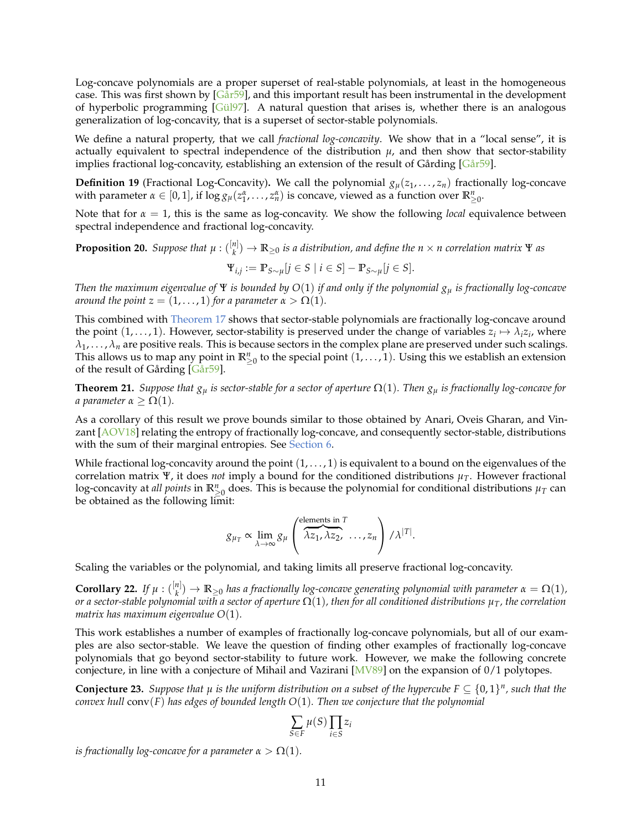Log-concave polynomials are a proper superset of real-stable polynomials, at least in the homogeneous case. This was first shown by  $[Gar59]$ , and this important result has been instrumental in the development of hyperbolic programming [\[Gül97](#page-34-21)]. A natural question that arises is, whether there is an analogous generalization of log-concavity, that is a superset of sector-stable polynomials.

We define a natural property, that we call *fractional log-concavity*. We show that in a "local sense", it is actually equivalent to spectral independence of the distribution  $\mu$ , and then show that sector-stability implies fractional log-concavity, establishing an extension of the result of Gårding [\[Går59\]](#page-34-1).

**Definition 19** (Fractional Log-Concavity). We call the polynomial  $g_{\mu}(z_1,\ldots,z_n)$  fractionally log-concave with parameter  $\alpha \in [0, 1]$ , if  $\log g_\mu(z_1^{\alpha}, \ldots, z_n^{\alpha})$  is concave, viewed as a function over  $\mathbb{R}^n_{\geq 0}$ .

Note that for  $\alpha = 1$ , this is the same as log-concavity. We show the following *local* equivalence between spectral independence and fractional log-concavity.

**Proposition 20.** *Suppose that*  $\mu$  :  $\binom{[n]}{k}$ *k* ) → **R**≥<sup>0</sup> *is a distribution, and define the n* × *n correlation matrix* Ψ *as*

$$
\Psi_{i,j} := \mathbb{P}_{S \sim \mu}[j \in S \mid i \in S] - \mathbb{P}_{S \sim \mu}[j \in S].
$$

*Then the maximum eigenvalue of* Ψ *is bounded by O*(1) *if and only if the polynomial g<sup>µ</sup> is fractionally log-concave around the point*  $z = (1, \ldots, 1)$  *for a parameter*  $\alpha > \Omega(1)$ *.* 

This combined with [Theorem 17](#page-8-4) shows that sector-stable polynomials are fractionally log-concave around the point  $(1, \ldots, 1)$ . However, sector-stability is preserved under the change of variables  $z_i \mapsto \lambda_i z_i$ , where  $\lambda_1, \ldots, \lambda_n$  are positive reals. This is because sectors in the complex plane are preserved under such scalings. This allows us to map any point in  $\mathbb{R}^n_{\geq 0}$  to the special point  $(1, \ldots, 1)$ . Using this we establish an extension of the result of Gårding [\[Går59\]](#page-34-1).

**Theorem 21.** *Suppose that*  $g_\mu$  *is sector-stable for a sector of aperture*  $\Omega(1)$ *. Then*  $g_\mu$  *is fractionally log-concave for a parameter*  $\alpha \geq \Omega(1)$ *.* 

As a corollary of this result we prove bounds similar to those obtained by Anari, Oveis Gharan, and Vinzant [\[AOV18](#page-32-8)] relating the entropy of fractionally log-concave, and consequently sector-stable, distributions with the sum of their marginal entropies. See [Section 6.](#page-26-0)

While fractional log-concavity around the point  $(1, \ldots, 1)$  is equivalent to a bound on the eigenvalues of the correlation matrix Ψ, it does *not* imply a bound for the conditioned distributions  $\mu_T$ . However fractional log-concavity at *all points* in  $\mathbb{R}^n_{\geq 0}$  does. This is because the polynomial for conditional distributions  $\mu_T$  can be obtained as the following limit:

$$
g_{\mu_T} \propto \lim_{\lambda \to \infty} g_{\mu} \left( \overbrace{\lambda z_1, \lambda z_2, \ldots, z_n}^{\text{elements in } T} \right) / \lambda^{|T|}.
$$

Scaling the variables or the polynomial, and taking limits all preserve fractional log-concavity.

**Corollary 22.** *If*  $\mu$  :  $\binom{[n]}{k}$  $\mathbb{R}^{n|N}_{k})\to \mathbb{R}_{\geq 0}$  *has a fractionally log-concave generating polynomial with parameter*  $\alpha = \Omega(1)$ *, or a sector-stable polynomial with a sector of aperture* Ω(1)*, then for all conditioned distributions µT, the correlation matrix has maximum eigenvalue O*(1)*.*

This work establishes a number of examples of fractionally log-concave polynomials, but all of our examples are also sector-stable. We leave the question of finding other examples of fractionally log-concave polynomials that go beyond sector-stability to future work. However, we make the following concrete conjecture, in line with a conjecture of Mihail and Vazirani [\[MV89](#page-35-19)] on the expansion of 0/1 polytopes.

**Conjecture 23.** Suppose that  $\mu$  is the uniform distribution on a subset of the hypercube  $F \subseteq \{0,1\}^n$ , such that the *convex hull* conv(*F*) *has edges of bounded length O*(1)*. Then we conjecture that the polynomial*

$$
\sum_{S \in F} \mu(S) \prod_{i \in S} z_i
$$

*is fractionally log-concave for a parameter*  $\alpha > \Omega(1)$ *.*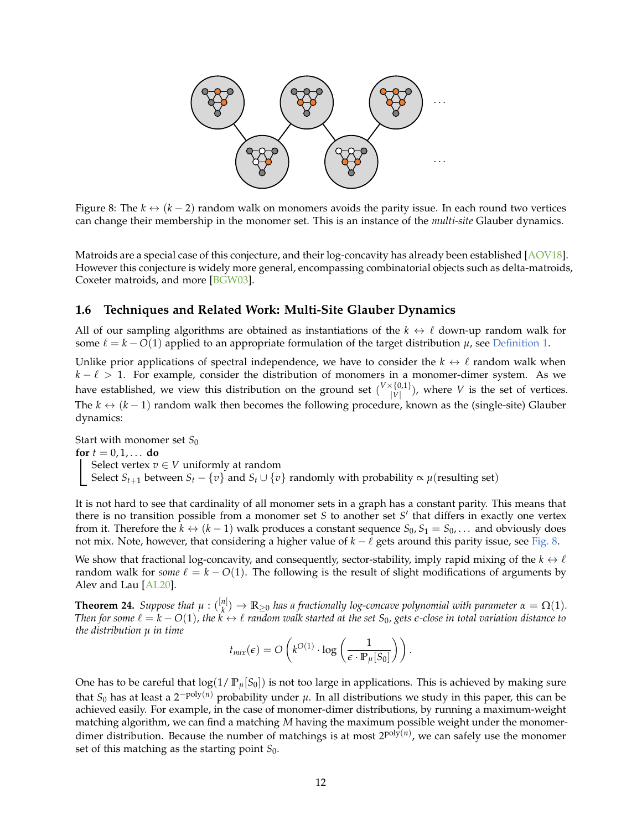

<span id="page-11-1"></span>Figure 8: The  $k \leftrightarrow (k-2)$  random walk on monomers avoids the parity issue. In each round two vertices can change their membership in the monomer set. This is an instance of the *multi-site* Glauber dynamics.

Matroids are a special case of this conjecture, and their log-concavity has already been established [\[AOV18](#page-32-8)]. However this conjecture is widely more general, encompassing combinatorial objects such as delta-matroids, Coxeter matroids, and more [\[BGW03\]](#page-33-20).

#### <span id="page-11-0"></span>**1.6 Techniques and Related Work: Multi-Site Glauber Dynamics**

All of our sampling algorithms are obtained as instantiations of the  $k \leftrightarrow \ell$  down-up random walk for some  $\ell = k - O(1)$  applied to an appropriate formulation of the target distribution  $\mu$ , see [Definition 1.](#page-0-0)

Unlike prior applications of spectral independence, we have to consider the  $k \leftrightarrow \ell$  random walk when  $k - \ell > 1$ . For example, consider the distribution of monomers in a monomer-dimer system. As we have established, we view this distribution on the ground set  $\binom{V \times \{0,1\}}{V}$  $\binom{\{0,1\}}{|V|}$ , where *V* is the set of vertices. The  $k \leftrightarrow (k-1)$  random walk then becomes the following procedure, known as the (single-site) Glauber dynamics:

Start with monomer set S<sub>0</sub> **for**  $t = 0, 1, ...$  **do** Select vertex  $v \in V$  uniformly at random Select *S*<sub>*t*+1</sub> between *S*<sub>*t*</sub> − {*v*} and *S*<sub>*t*</sub> ∪ {*v*} randomly with probability  $\propto \mu$ (resulting set)

It is not hard to see that cardinality of all monomer sets in a graph has a constant parity. This means that there is no transition possible from a monomer set *S* to another set *S* ′ that differs in exactly one vertex from it. Therefore the  $k \leftrightarrow (k-1)$  walk produces a constant sequence  $S_0, S_1 = S_0, \ldots$  and obviously does not mix. Note, however, that considering a higher value of *k* − ℓ gets around this parity issue, see [Fig. 8.](#page-11-1)

We show that fractional log-concavity, and consequently, sector-stability, imply rapid mixing of the  $k \leftrightarrow \ell$ random walk for *some*  $\ell = k - O(1)$ . The following is the result of slight modifications of arguments by Alev and Lau [\[AL20\]](#page-32-1).

**Theorem 24.** *Suppose that*  $\mu$  :  $\binom{[n]}{k}$  $\binom{n}{k} \to \mathbb{R}_{\geq 0}$  *has a fractionally log-concave polynomial with parameter*  $\alpha = \Omega(1)$ *. Then for some*  $\ell = k - O(1)$ , the  $k \leftrightarrow \ell$  *random walk started at the set*  $S_0$ , gets  $\epsilon$ -close in total variation distance to *the distribution µ in time*

$$
t_{mix}(\epsilon) = O\left(k^{O(1)} \cdot \log\left(\frac{1}{\epsilon \cdot \mathbb{P}_{\mu}[S_0]}\right)\right).
$$

One has to be careful that  $log(1/P_{\mu}[S_0])$  is not too large in applications. This is achieved by making sure that  $S_0$  has at least a 2<sup>−poly(n)</sup> probability under  $\mu$ . In all distributions we study in this paper, this can be achieved easily. For example, in the case of monomer-dimer distributions, by running a maximum-weight matching algorithm, we can find a matching *M* having the maximum possible weight under the monomerdimer distribution. Because the number of matchings is at most 2<sup>poly(n)</sup>, we can safely use the monomer set of this matching as the starting point  $S_0$ .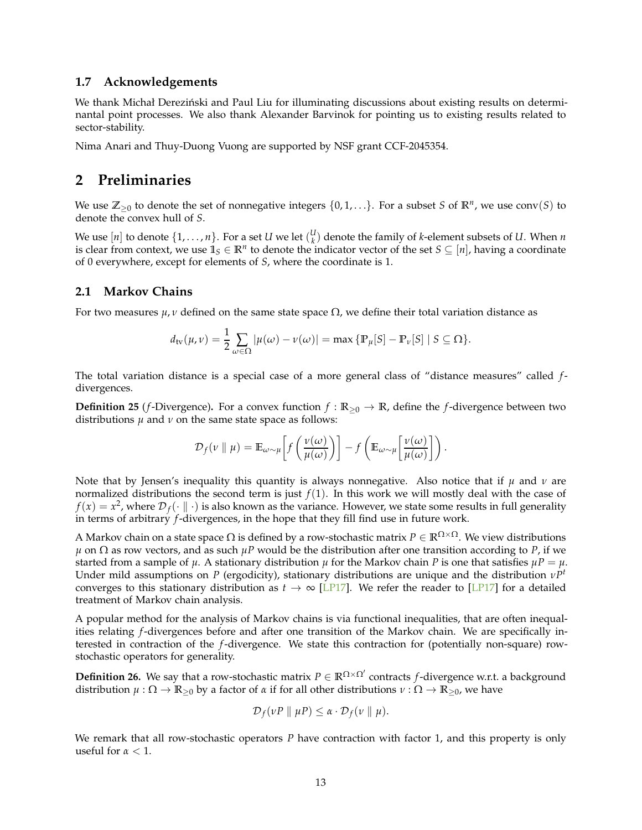#### **1.7 Acknowledgements**

We thank Michał Dereziński and Paul Liu for illuminating discussions about existing results on determinantal point processes. We also thank Alexander Barvinok for pointing us to existing results related to sector-stability.

Nima Anari and Thuy-Duong Vuong are supported by NSF grant CCF-2045354.

### **2 Preliminaries**

We use  $\mathbb{Z}_{\geq 0}$  to denote the set of nonnegative integers  $\{0,1,\ldots\}$ . For a subset *S* of  $\mathbb{R}^n$ , we use conv $(S)$  to denote the convex hull of *S*.

We use  $[n]$  to denote  $\{1,\ldots,n\}$ . For a set *U* we let  $\binom{U}{k}$  denote the family of *k*-element subsets of *U*. When *n* is clear from context, we use  $1 \in \mathbb{R}^n$  to denote the indicator vector of the set  $S \subseteq [n]$ , having a coordinate of 0 everywhere, except for elements of *S*, where the coordinate is 1.

#### **2.1 Markov Chains**

For two measures  $\mu$ , *v* defined on the same state space  $\Omega$ , we define their total variation distance as

$$
d_{\text{tv}}(\mu,\nu)=\frac{1}{2}\sum_{\omega\in\Omega}|\mu(\omega)-\nu(\omega)|=\max\left\{\mathbb{P}_{\mu}[S]-\mathbb{P}_{\nu}[S]\mid S\subseteq\Omega\right\}.
$$

The total variation distance is a special case of a more general class of "distance measures" called *f*divergences.

**Definition 25** (*f*-Divergence). For a convex function  $f : \mathbb{R}_{\geq 0} \to \mathbb{R}$ , define the *f*-divergence between two distributions  $\mu$  and  $\nu$  on the same state space as follows:

$$
\mathcal{D}_f(v \parallel \mu) = \mathbb{E}_{\omega \sim \mu} \bigg[ f\left(\frac{v(\omega)}{\mu(\omega)}\right) \bigg] - f\left(\mathbb{E}_{\omega \sim \mu} \bigg[\frac{v(\omega)}{\mu(\omega)}\bigg] \right).
$$

Note that by Jensen's inequality this quantity is always nonnegative. Also notice that if *µ* and *ν* are normalized distributions the second term is just  $f(1)$ . In this work we will mostly deal with the case of  $f(x) = x^2$ , where  $\mathcal{D}_f(\cdot \parallel \cdot)$  is also known as the variance. However, we state some results in full generality in terms of arbitrary *f*-divergences, in the hope that they fill find use in future work.

A Markov chain on a state space  $\Omega$  is defined by a row-stochastic matrix  $P \in \mathbb{R}^{\Omega \times \Omega}$ . We view distributions  $\mu$  on  $\Omega$  as row vectors, and as such  $\mu$ *P* would be the distribution after one transition according to *P*, if we started from a sample of  $\mu$ . A stationary distribution  $\mu$  for the Markov chain P is one that satisfies  $\mu P = \mu$ . Under mild assumptions on *P* (ergodicity), stationary distributions are unique and the distribution *νP t* converges to this stationary distribution as  $t \to \infty$  [\[LP17](#page-35-1)]. We refer the reader to [\[LP17](#page-35-1)] for a detailed treatment of Markov chain analysis.

A popular method for the analysis of Markov chains is via functional inequalities, that are often inequalities relating *f*-divergences before and after one transition of the Markov chain. We are specifically interested in contraction of the *f*-divergence. We state this contraction for (potentially non-square) rowstochastic operators for generality.

**Definition 26.** We say that a row-stochastic matrix *P* ∈ **R**Ω×Ω′ contracts *f*-divergence w.r.t. a background distribution  $\mu : \Omega \to \mathbb{R}_{\geq 0}$  by a factor of  $\alpha$  if for all other distributions  $\nu : \Omega \to \mathbb{R}_{\geq 0}$ , we have

$$
\mathcal{D}_f(\nu P \parallel \mu P) \leq \alpha \cdot \mathcal{D}_f(\nu \parallel \mu).
$$

<span id="page-12-0"></span>We remark that all row-stochastic operators *P* have contraction with factor 1, and this property is only useful for  $\alpha < 1$ .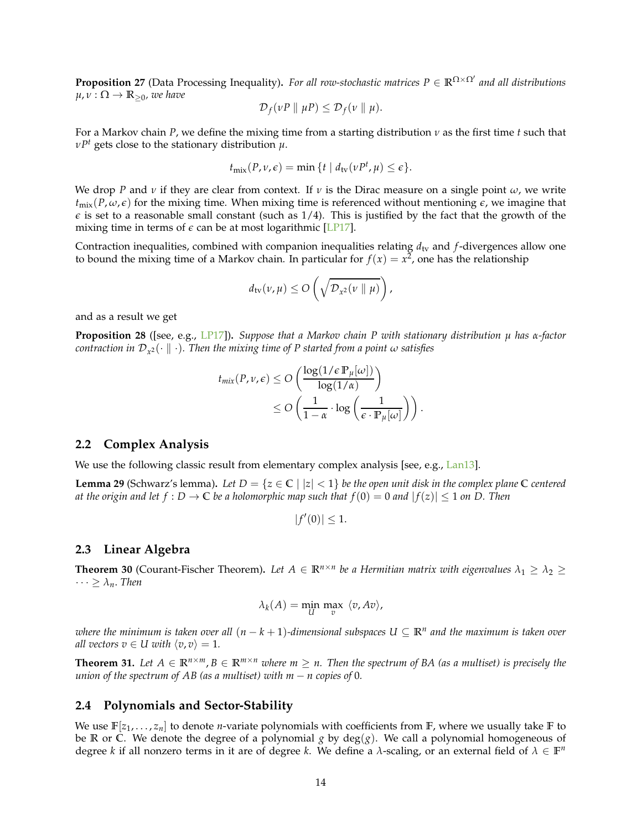**Proposition 27** (Data Processing Inequality)**.** *For all row-stochastic matrices P* ∈ **R**Ω×Ω′ *and all distributions*  $\mu, \nu : \Omega \to \mathbb{R}_{\geq 0}$ , we have

$$
\mathcal{D}_f(\nu P \parallel \mu P) \leq \mathcal{D}_f(\nu \parallel \mu).
$$

For a Markov chain *P*, we define the mixing time from a starting distribution *ν* as the first time *t* such that *νP <sup>t</sup>* gets close to the stationary distribution *µ*.

$$
t_{\text{mix}}(P, \nu, \epsilon) = \min \{ t \mid d_{\text{tv}}(\nu P^t, \mu) \le \epsilon \}.
$$

We drop *P* and *ν* if they are clear from context. If *ν* is the Dirac measure on a single point  $\omega$ , we write  $t_{\text{mix}}(P, \omega, \epsilon)$  for the mixing time. When mixing time is referenced without mentioning  $\epsilon$ , we imagine that  $\epsilon$  is set to a reasonable small constant (such as 1/4). This is justified by the fact that the growth of the mixing time in terms of  $\epsilon$  can be at most logarithmic [\[LP17\]](#page-35-1).

Contraction inequalities, combined with companion inequalities relating  $d_{\text{tv}}$  and  $f$ -divergences allow one to bound the mixing time of a Markov chain. In particular for  $f(x) = x^2$ , one has the relationship

$$
d_{\text{tv}}(\nu,\mu) \leq O\left(\sqrt{\mathcal{D}_{\chi^2}(\nu \parallel \mu)}\right),\,
$$

and as a result we get

**Proposition 28** ([see, e.g., [LP17\]](#page-35-1))**.** *Suppose that a Markov chain P with stationary distribution µ has α-factor*  $\mathit{contraction}$  in  $\mathcal{D}_{\mathit{x}^{\mathit{2}}}(\cdot \parallel \cdot)$ . Then the mixing time of P started from a point  $\omega$  satisfies

$$
t_{mix}(P, v, \epsilon) \le O\left(\frac{\log(1/\epsilon \mathbb{P}_{\mu}[\omega])}{\log(1/\alpha)}\right) \le O\left(\frac{1}{1-\alpha} \cdot \log\left(\frac{1}{\epsilon \cdot \mathbb{P}_{\mu}[\omega]}\right)\right).
$$

#### **2.2 Complex Analysis**

<span id="page-13-0"></span>We use the following classic result from elementary complex analysis [see, e.g., [Lan13\]](#page-34-22).

**Lemma 29** (Schwarz's lemma). Let  $D = \{z \in \mathbb{C} \mid |z| < 1\}$  be the open unit disk in the complex plane  $\mathbb{C}$  centered *at the origin and let*  $f: D \to \mathbb{C}$  *be a holomorphic map such that*  $f(0) = 0$  *and*  $|f(z)| \leq 1$  *on D. Then* 

$$
|f'(0)|\leq 1.
$$

#### **2.3 Linear Algebra**

**Theorem 30** (Courant-Fischer Theorem). Let  $A \in \mathbb{R}^{n \times n}$  be a Hermitian matrix with eigenvalues  $\lambda_1 \geq \lambda_2 \geq$  $\cdots \geq \lambda_n$ . *Then* 

$$
\lambda_k(A) = \min_{U} \max_{v} \langle v, Av \rangle,
$$

*where the minimum is taken over all* (*n* − *k* + 1)*-dimensional subspaces U* ⊆ **R***<sup>n</sup> and the maximum is taken over all vectors*  $v \in U$  *with*  $\langle v, v \rangle = 1$ *.* 

**Theorem 31.** Let  $A \in \mathbb{R}^{n \times m}$ ,  $B \in \mathbb{R}^{m \times n}$  where  $m \geq n$ . Then the spectrum of BA (as a multiset) is precisely the *union of the spectrum of AB (as a multiset) with*  $m - n$  *copies of 0.* 

#### **2.4 Polynomials and Sector-Stability**

We use  $\mathbb{F}[z_1,\ldots,z_n]$  to denote *n*-variate polynomials with coefficients from  $\mathbb{F}$ , where we usually take  $\mathbb{F}$  to be **R** or **C**. We denote the degree of a polynomial *g* by deg(*g*). We call a polynomial homogeneous of degree *k* if all nonzero terms in it are of degree *k*. We define a *λ*-scaling, or an external field of  $\lambda \in \mathbb{F}^n$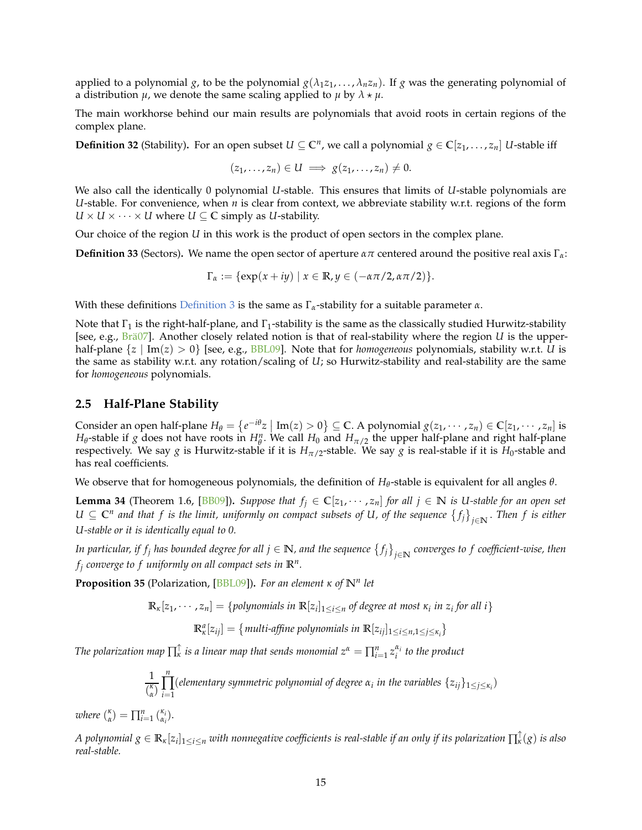applied to a polynomial  $g$ , to be the polynomial  $g(\lambda_1 z_1, \ldots, \lambda_n z_n)$ . If  $g$  was the generating polynomial of a distribution  $\mu$ , we denote the same scaling applied to  $\mu$  by  $\lambda \star \mu$ .

The main workhorse behind our main results are polynomials that avoid roots in certain regions of the complex plane.

**Definition 32** (Stability). For an open subset  $U \subseteq \mathbb{C}^n$ , we call a polynomial  $g \in \mathbb{C}[z_1, \ldots, z_n]$  *U*-stable iff

$$
(z_1,\ldots,z_n)\in U\implies g(z_1,\ldots,z_n)\neq 0.
$$

We also call the identically 0 polynomial *U*-stable. This ensures that limits of *U*-stable polynomials are *U*-stable. For convenience, when *n* is clear from context, we abbreviate stability w.r.t. regions of the form  $U \times U \times \cdots \times U$  where  $U \subseteq \mathbb{C}$  simply as *U*-stability.

Our choice of the region *U* in this work is the product of open sectors in the complex plane.

**Definition 33** (Sectors)**.** We name the open sector of aperture *απ* centered around the positive real axis Γ*α*:

$$
\Gamma_{\alpha} := \{ \exp(x+iy) \mid x \in \mathbb{R}, y \in (-\alpha\pi/2, \alpha\pi/2) \}.
$$

With these definitions [Definition 3](#page-1-2) is the same as Γ*α*-stability for a suitable parameter *α*.

Note that  $\Gamma_1$  is the right-half-plane, and  $\Gamma_1$ -stability is the same as the classically studied Hurwitz-stability [see, e.g., [Brä07](#page-33-21)]. Another closely related notion is that of real-stability where the region *U* is the upperhalf-plane {*z* | Im(*z*) > 0} [see, e.g., [BBL09\]](#page-33-5). Note that for *homogeneous* polynomials, stability w.r.t. *U* is the same as stability w.r.t. any rotation/scaling of *U*; so Hurwitz-stability and real-stability are the same for *homogeneous* polynomials.

#### **2.5 Half-Plane Stability**

Consider an open half-plane  $H_{\theta} = \{e^{-i\theta}z \mid \text{Im}(z) > 0\} \subseteq \mathbb{C}$ . A polynomial  $g(z_1, \dots, z_n) \in \mathbb{C}[z_1, \dots, z_n]$  is *H*<sup> $\theta$ </sup>-stable if *g* does not have roots in *H*<sup>*n*</sup>. We call *H*<sub>0</sub> and *H*<sub>*π*/2</sub> the upper half-plane and right half-plane respectively. We say *g* is Hurwitz-stable if it is  $H_{\pi/2}$ -stable. We say *g* is real-stable if it is  $H_0$ -stable and has real coefficients.

<span id="page-14-0"></span>We observe that for homogeneous polynomials, the definition of *H<sup>θ</sup>* -stable is equivalent for all angles *θ*.

**Lemma 34** (Theorem 1.6, [\[BB09\]](#page-33-18)). Suppose that  $f_j \in \mathbb{C}[z_1, \cdots, z_n]$  for all  $j \in \mathbb{N}$  is U-stable for an open set *U* ⊆ **C** *n and that f is the limit, uniformly on compact subsets of U, of the sequence fj j*∈**N** . *Then f is either U-stable or it is identically equal to 0.*

In particular, if  $f_j$  has bounded degree for all  $j \in \mathbb{N}$ , and the sequence  $\{f_j\}_{j\in \mathbb{N}}$  converges to  $f$  coefficient-wise, then  $f_j$  *converge to*  $f$  *uniformly on all compact sets in*  $\mathbb{R}^n$ *.* 

<span id="page-14-1"></span>**Proposition 35** (Polarization, [\[BBL09\]](#page-33-5))**.** *For an element κ of* **N***<sup>n</sup> let*

$$
\mathbb{R}_x[z_1,\dots,z_n] = \{polynomials in \mathbb{R}[z_i]_{1 \le i \le n} \text{ of degree at most } \kappa_i \text{ in } z_i \text{ for all } i \}
$$

 $\mathbb{R}_\kappa^a[z_{ij}] = \{$  multi-affine polynomials in  $\mathbb{R}[z_{ij}]_{1 \le i \le n, 1 \le j \le \kappa_i}\}$ 

*The polarization map*  $\prod_{k=1}^{n}$  *is a linear map that sends monomial*  $z^{\alpha} = \prod_{i=1}^{n} z_i^{\alpha_i}$  *to the product* 

$$
\frac{1}{\binom{\kappa}{\alpha}}\prod_{i=1}^n(elementary symmetric polynomial of degree \alpha_i in the variables \{z_{ij}\}_{1\leq j\leq \kappa_i})
$$

*where*  $\binom{\kappa}{\alpha} = \prod_{i=1}^n \binom{\kappa_i}{\alpha_i}$ .

A polynomial  $g\in\R_\kappa[z_i]_{1\le i\le n}$  with nonnegative coefficients is real-stable if an only if its polarization  $\prod^\uparrow_\kappa(g)$  is also *real-stable.*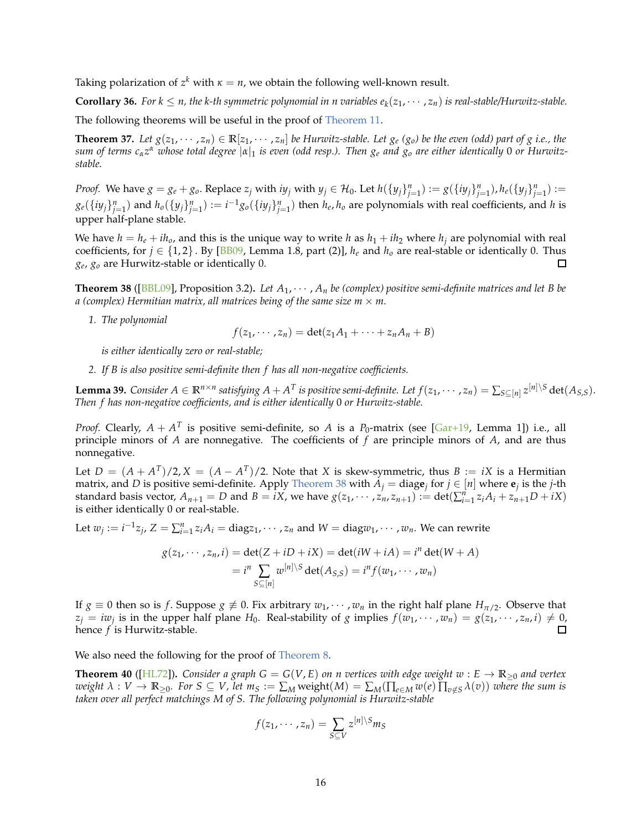<span id="page-15-1"></span>Taking polarization of  $z^k$  with  $\kappa = n$ , we obtain the following well-known result.

**Corollary 36.** For  $k \le n$ , the k-th symmetric polynomial in n variables  $e_k(z_1, \dots, z_n)$  is real-stable/Hurwitz-stable.

<span id="page-15-2"></span>The following theorems will be useful in the proof of [Theorem 11.](#page-5-0)

**Theorem 37.** Let  $g(z_1, \dots, z_n) \in \mathbb{R}[z_1, \dots, z_n]$  be Hurwitz-stable. Let  $g_e(g_o)$  be the even (odd) part of g i.e., the *sum of terms cαz <sup>α</sup> whose total degree* |*α*|<sup>1</sup> *is even (odd resp.). Then g<sup>e</sup> and g<sup>o</sup> are either identically* 0 *or Hurwitzstable.*

*Proof.* We have  $g = g_e + g_o$ . Replace  $z_j$  with  $iy_j$  with  $y_j \in H_0$ . Let  $h(\{y_j\}_{j=1}^n) := g(\{iy_j\}_{j=1}^n)$ ,  $h_e(\{y_j\}_{j=1}^n) :=$  $g_e(\{iy_j\}_{j=1}^n)$  and  $h_o(\{y_j\}_{j=1}^n) := i^{-1}g_o(\{iy_j\}_{j=1}^n)$  then  $h_e, h_o$  are polynomials with real coefficients, and h is upper half-plane stable.

We have  $h = h_e + ih_o$ , and this is the unique way to write h as  $h_1 + ih_2$  where  $h_j$  are polynomial with real coefficients, for  $j \in \{1, 2\}$ . By [\[BB09](#page-33-18), Lemma 1.8, part (2)],  $h_e$  and  $h_o$  are real-stable or identically 0. Thus *ge*, *g<sup>o</sup>* are Hurwitz-stable or identically 0. □

<span id="page-15-0"></span>**Theorem 38** ([\[BBL09](#page-33-5)], Proposition 3.2). Let  $A_1, \dots, A_n$  be (complex) positive semi-definite matrices and let B be *a* (complex) Hermitian matrix, all matrices being of the same size  $m \times m$ .

*1. The polynomial*

$$
f(z_1,\dots, z_n)=\det(z_1A_1+\dots+z_nA_n+B)
$$

*is either identically zero or real-stable;*

<span id="page-15-3"></span>*2. If B is also positive semi-definite then f has all non-negative coefficients.*

**Lemma 39.** Consider  $A \in \mathbb{R}^{n \times n}$  satisfying  $A + A^T$  is positive semi-definite. Let  $f(z_1, \cdots, z_n) = \sum_{S \subseteq [n]} z^{[n] \setminus S} \det(A_{S,S}).$ *Then f has non-negative coefficients, and is either identically* 0 *or Hurwitz-stable.*

*Proof.* Clearly,  $A + A^T$  is positive semi-definite, so  $A$  is a  $P_0$ -matrix (see [\[Gar+19](#page-33-9), Lemma 1]) i.e., all principle minors of *A* are nonnegative. The coefficients of *f* are principle minors of *A*, and are thus nonnegative.

Let  $D = (A + A^T)/2$ ,  $X = (A - A^T)/2$ . Note that *X* is skew-symmetric, thus  $B := iX$  is a Hermitian matrix, and *D* is positive semi-definite. Apply [Theorem 38](#page-15-0) with  $A_j = \text{diag} \mathbf{e}_j$  for  $j \in [n]$  where  $\mathbf{e}_j$  is the *j*-th standard basis vector,  $A_{n+1} = D$  and  $B = iX$ , we have  $g(z_1, \dots, z_n, z_{n+1}) := \det(\sum_{i=1}^n z_i A_i + z_{n+1} D + iX)$ is either identically 0 or real-stable.

Let  $w_j := i^{-1}z_j$ ,  $Z = \sum_{i=1}^n z_i A_i = diag z_1, \cdots, z_n$  and  $W = diag w_1, \cdots, w_n$ . We can rewrite

$$
g(z_1, \dots, z_n, i) = \det(Z + iD + iX) = \det(iW + iA) = i^n \det(W + A)
$$
  
=  $i^n \sum_{S \subseteq [n]} w^{[n] \setminus S} \det(A_{S,S}) = i^n f(w_1, \dots, w_n)$ 

If  $g \equiv 0$  then so is *f*. Suppose  $g \not\equiv 0$ . Fix arbitrary  $w_1, \dots, w_n$  in the right half plane  $H_{\pi/2}$ . Observe that  $z_j = iw_j$  is in the upper half plane  $H_0$ . Real-stability of *g* implies  $f(w_1, \dots, w_n) = g(z_1, \dots, z_n, i) \neq 0$ ,  $\Box$ hence *f* is Hurwitz-stable.

We also need the following for the proof of [Theorem 8.](#page-3-2)

**Theorem 40** ([\[HL72](#page-34-12)]). *Consider a graph G* =  $G(V, E)$  *on n vertices with edge weight w* :  $E \rightarrow \mathbb{R}_{\geq 0}$  *and vertex* weight  $\lambda: V \to \mathbb{R}_{\geq 0}$ . For  $S \subseteq V$ , let  $m_S := \sum_M \text{weight}(M) = \sum_M (\prod_{e \in M} w(e) \prod_{v \notin S} \lambda(v))$  where the sum is *taken over all perfect matchings M of S. The following polynomial is Hurwitz-stable*

$$
f(z_1,\dots,z_n)=\sum_{S\subseteq V}z^{[n]\setminus S}m_S
$$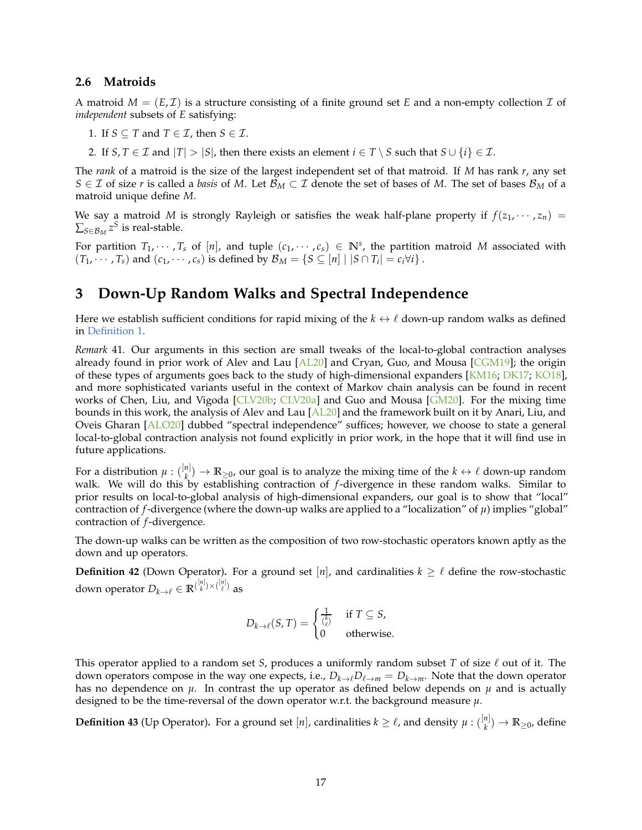#### **2.6 Matroids**

A matroid  $M = (E, \mathcal{I})$  is a structure consisting of a finite ground set E and a non-empty collection  $\mathcal{I}$  of *independent* subsets of *E* satisfying:

- 1. If *S*  $\subseteq$  *T* and *T*  $\in$  *T*, then *S*  $\in$  *T*.
- 2. If *S*, *T*  $\in$  *T* and  $|T|$  >  $|S|$ , then there exists an element *i*  $\in$  *T*  $\setminus$  *S* such that *S*  $\cup$  {*i*}  $\in$  *T*.

The *rank* of a matroid is the size of the largest independent set of that matroid. If *M* has rank *r*, any set *S* ∈ *I* of size *r* is called a *basis* of *M*. Let  $\mathcal{B}_M$  ⊂ *I* denote the set of bases of *M*. The set of bases  $\mathcal{B}_M$  of a matroid unique define *M*.

We say a matroid *M* is strongly Rayleigh or satisfies the weak half-plane property if  $f(z_1, \dots, z_n)$  =  $\sum_{S \in \mathcal{B}_M} z^S$  is real-stable.

For partition  $T_1, \dots, T_s$  of  $[n]$ , and tuple  $(c_1, \dots, c_s) \in \mathbb{N}^s$ , the partition matroid M associated with  $(T_1, \dots, T_s)$  and  $(c_1, \dots, c_s)$  is defined by  $\mathcal{B}_M = \{S \subseteq [n] \mid |S \cap T_i| = c_i \forall i\}$ .

### **3 Down-Up Random Walks and Spectral Independence**

Here we establish sufficient conditions for rapid mixing of the  $k \leftrightarrow \ell$  down-up random walks as defined in [Definition 1.](#page-0-0)

*Remark* 41*.* Our arguments in this section are small tweaks of the local-to-global contraction analyses already found in prior work of Alev and Lau [\[AL20\]](#page-32-1) and Cryan, Guo, and Mousa [\[CGM19](#page-33-22)]; the origin of these types of arguments goes back to the study of high-dimensional expanders [\[KM16](#page-34-4); [DK17;](#page-33-0) [KO18](#page-34-3)], and more sophisticated variants useful in the context of Markov chain analysis can be found in recent works of Chen, Liu, and Vigoda [\[CLV20b;](#page-33-12) [CLV20a\]](#page-33-15) and Guo and Mousa [\[GM20](#page-34-23)]. For the mixing time bounds in this work, the analysis of Alev and Lau [\[AL20](#page-32-1)] and the framework built on it by Anari, Liu, and Oveis Gharan [\[ALO20](#page-32-0)] dubbed "spectral independence" suffices; however, we choose to state a general local-to-global contraction analysis not found explicitly in prior work, in the hope that it will find use in future applications.

For a distribution  $\mu$  :  $\binom{[n]}{k}$  $\binom{n}{k}$   $\rightarrow$  **R**<sub>≥0</sub>, our goal is to analyze the mixing time of the *k*  $\leftrightarrow$  *l* down-up random walk. We will do this by establishing contraction of *f*-divergence in these random walks. Similar to prior results on local-to-global analysis of high-dimensional expanders, our goal is to show that "local" contraction of *f*-divergence (where the down-up walks are applied to a "localization" of  $\mu$ ) implies "global" contraction of *f*-divergence.

The down-up walks can be written as the composition of two row-stochastic operators known aptly as the down and up operators.

**Definition 42** (Down Operator). For a ground set [*n*], and cardinalities  $k \geq \ell$  define the row-stochastic down operator  $D_{k\to\ell}\in\mathbb{R}^{(\frac{[n]}{k})\times(\frac{[n]}{\ell})}$  as

$$
D_{k \to \ell}(S, T) = \begin{cases} \frac{1}{\binom{k}{\ell}} & \text{if } T \subseteq S, \\ 0 & \text{otherwise.} \end{cases}
$$

This operator applied to a random set *S*, produces a uniformly random subset *T* of size ℓ out of it. The down operators compose in the way one expects, i.e.,  $D_{k\to\ell}D_{\ell\to m}=D_{k\to m}$ . Note that the down operator has no dependence on  $\mu$ . In contrast the up operator as defined below depends on  $\mu$  and is actually designed to be the time-reversal of the down operator w.r.t. the background measure  $\mu$ .

**Definition 43** (Up Operator). For a ground set [n], cardinalities  $k \geq \ell$ , and density  $\mu$  :  $\binom{[n]}{k}$  $\binom{n}{k}$   $\rightarrow$   $\mathbb{R}_{\geq 0}$ , define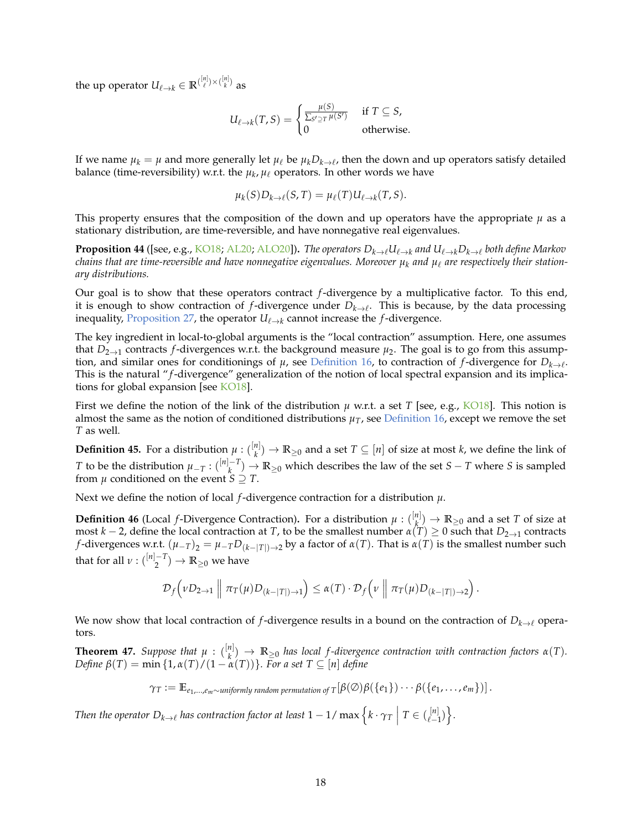the up operator  $U_{\ell \to k} \in \mathbb{R}^{(\frac{[n]}{\ell}) \times (\frac{[n]}{k})}$  as

$$
U_{\ell \to k}(T, S) = \begin{cases} \frac{\mu(S)}{\sum_{S' \supseteq T} \mu(S')} & \text{if } T \subseteq S, \\ 0 & \text{otherwise.} \end{cases}
$$

If we name  $\mu_k = \mu$  and more generally let  $\mu_\ell$  be  $\mu_k D_{k\to\ell}$ , then the down and up operators satisfy detailed balance (time-reversibility) w.r.t. the  $\mu_k$ ,  $\mu_\ell$  operators. In other words we have

$$
\mu_k(S)D_{k\to\ell}(S,T)=\mu_{\ell}(T)U_{\ell\to k}(T,S).
$$

This property ensures that the composition of the down and up operators have the appropriate  $\mu$  as a stationary distribution, are time-reversible, and have nonnegative real eigenvalues.

**Proposition 44** ([see, e.g., [KO18;](#page-34-3) [AL20](#page-32-1); [ALO20\]](#page-32-0)). *The operators*  $D_{k\to\ell}U_{\ell\to k}$  *and*  $U_{\ell\to k}D_{k\to\ell}$  *both define Markov chains that are time-reversible and have nonnegative eigenvalues. Moreover*  $\mu_k$  and  $\mu_\ell$  are respectively their station*ary distributions.*

Our goal is to show that these operators contract *f*-divergence by a multiplicative factor. To this end, it is enough to show contraction of *f*-divergence under *Dk*→<sup>ℓ</sup> . This is because, by the data processing inequality, [Proposition 27,](#page-12-0) the operator  $U_{\ell \to k}$  cannot increase the *f*-divergence.

The key ingredient in local-to-global arguments is the "local contraction" assumption. Here, one assumes that  $D_{2\to 1}$  contracts *f*-divergences w.r.t. the background measure  $\mu_2$ . The goal is to go from this assumption, and similar ones for conditionings of  $\mu$ , see [Definition 16,](#page-7-1) to contraction of  $f$ -divergence for  $D_{k\to\ell}$ . This is the natural "*f*-divergence" generalization of the notion of local spectral expansion and its implications for global expansion [see [KO18](#page-34-3)].

First we define the notion of the link of the distribution  $\mu$  w.r.t. a set *T* [see, e.g., [KO18\]](#page-34-3). This notion is almost the same as the notion of conditioned distributions  $\mu_T$ , see [Definition 16,](#page-7-1) except we remove the set *T* as well.

**Definition 45.** For a distribution  $\mu: \binom{[n]}{k} \to \mathbb{R}_{\geq 0}$  and a set  $T \subseteq [n]$  of size at most *k*, we define the link of *k T* to be the distribution  $\mu_{-T}$  :  $\binom{[n]-T}{k}$  $\binom{n-1}{k}$  → **R**<sub>≥0</sub> which describes the law of the set *S* − *T* where *S* is sampled from  $\mu$  conditioned on the event  $S \supseteq T$ .

Next we define the notion of local *f*-divergence contraction for a distribution *µ*.

**Definition 46** (Local *f*-Divergence Contraction). For a distribution  $\mu$  :  $\binom{n}{k}$  $\binom{n}{k}$  → **R**<sub>≥0</sub> and a set *T* of size at most *k* − 2, define the local contraction at *T*, to be the smallest number  $\alpha(T) \geq 0$  such that  $D_{2\to 1}$  contracts *f*-divergences w.r.t.  $(\mu_{-T})_2 = \mu_{-T}D_{(k-|T|)\to 2}$  by a factor of  $\alpha(T)$ . That is  $\alpha(T)$  is the smallest number such that for all  $\nu$  :  $\binom{[n]-T}{2}$  $\binom{-T}{2} \rightarrow \mathbb{R}_{\geq 0}$  we have

$$
\mathcal{D}_f\left(\nu D_{2\to 1}\,\middle\|\, \pi_T(\mu)D_{(k-|T|)\to 1}\right)\leq \alpha(T)\cdot \mathcal{D}_f\left(\nu\,\middle\|\, \pi_T(\mu)D_{(k-|T|)\to 2}\right).
$$

We now show that local contraction of *f*-divergence results in a bound on the contraction of *Dk*→<sup>ℓ</sup> operators.

**Theorem 47.** *Suppose that*  $\mu$  :  $\binom{[n]}{k}$  $\mathbb{R}^{n|1}_{k} \to \mathbb{R}_{\geq 0}$  *has local f-divergence contraction with contraction factors*  $\alpha(T)$ *. Define β*(*T*) = min {1, *α*(*T*)/(1 − *α*(*T*))}*. For a set T* ⊆ [*n*] *define*

$$
\gamma_T := \mathbb{E}_{e_1,\dots,e_m \sim \text{uniformly random permutation of } T}[\beta(\emptyset)\beta(\{e_1\})\cdots\beta(\{e_1,\dots,e_m\})].
$$

Then the operator  $D_{k\to\ell}$  has contraction factor at least  $1-1/\max\Big\{k\cdot\gamma_T\ \Big|\ T\in\binom{[n]}{\ell-1}\Big\}.$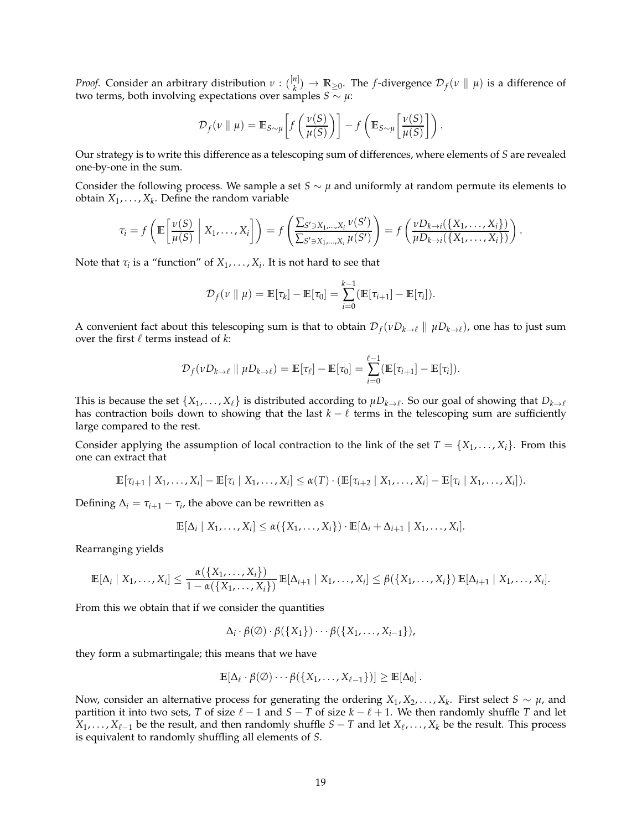*Proof.* Consider an arbitrary distribution *ν* : ( [*n*] *k*<sup>|</sup>  $\mapsto$  **R**≥0. The *f*-divergence  $\mathcal{D}_f(v \parallel \mu)$  is a difference of two terms, both involving expectations over samples  $S \sim \mu$ :

$$
\mathcal{D}_f(v \parallel \mu) = \mathbb{E}_{S \sim \mu} \left[ f\left(\frac{v(S)}{\mu(S)}\right) \right] - f\left(\mathbb{E}_{S \sim \mu} \left[\frac{v(S)}{\mu(S)}\right] \right).
$$

Our strategy is to write this difference as a telescoping sum of differences, where elements of *S* are revealed one-by-one in the sum.

Consider the following process. We sample a set *S*  $\sim \mu$  and uniformly at random permute its elements to obtain  $X_1, \ldots, X_k$ . Define the random variable

$$
\tau_i = f\left(\mathbb{E}\left[\frac{\nu(S)}{\mu(S)} \middle| X_1,\ldots,X_i\right]\right) = f\left(\frac{\sum_{S'\ni X_1,\ldots,X_i}\nu(S')}{\sum_{S'\ni X_1,\ldots,X_i}\mu(S')}\right) = f\left(\frac{\nu D_{k\to i}(\{X_1,\ldots,X_i\})}{\mu D_{k\to i}(\{X_1,\ldots,X_i\})}\right).
$$

Note that  $\tau_i$  is a "function" of  $X_1, \ldots, X_i$ . It is not hard to see that

$$
\mathcal{D}_f(v \parallel \mu) = \mathbb{E}[\tau_k] - \mathbb{E}[\tau_0] = \sum_{i=0}^{k-1} (\mathbb{E}[\tau_{i+1}] - \mathbb{E}[\tau_i]).
$$

A convenient fact about this telescoping sum is that to obtain  $\mathcal{D}_f(vD_{k\to \ell}\parallel \mu D_{k\to \ell})$ , one has to just sum over the first  $\ell$  terms instead of  $k$ :

$$
\mathcal{D}_f(\nu D_{k\to\ell} \parallel \mu D_{k\to\ell}) = \mathbb{E}[\tau_\ell] - \mathbb{E}[\tau_0] = \sum_{i=0}^{\ell-1} (\mathbb{E}[\tau_{i+1}] - \mathbb{E}[\tau_i]).
$$

This is because the set  $\{X_1,\ldots,X_\ell\}$  is distributed according to  $\mu D_{k\to\ell}$ . So our goal of showing that  $D_{k\to\ell}$ has contraction boils down to showing that the last  $k - \ell$  terms in the telescoping sum are sufficiently large compared to the rest.

Consider applying the assumption of local contraction to the link of the set  $T = \{X_1, \ldots, X_i\}$ . From this one can extract that

$$
\mathbb{E}[\tau_{i+1} | X_1,\ldots,X_i] - \mathbb{E}[\tau_i | X_1,\ldots,X_i] \leq \alpha(T) \cdot (\mathbb{E}[\tau_{i+2} | X_1,\ldots,X_i] - \mathbb{E}[\tau_i | X_1,\ldots,X_i]).
$$

Defining  $\Delta_i = \tau_{i+1} - \tau_i$ , the above can be rewritten as

$$
\mathbb{E}[\Delta_i \mid X_1,\ldots,X_i] \leq \alpha(\lbrace X_1,\ldots,X_i \rbrace) \cdot \mathbb{E}[\Delta_i+\Delta_{i+1} \mid X_1,\ldots,X_i].
$$

Rearranging yields

$$
\mathbb{E}[\Delta_i | X_1,\ldots,X_i] \leq \frac{\alpha(\{X_1,\ldots,X_i\})}{1-\alpha(\{X_1,\ldots,X_i\})} \mathbb{E}[\Delta_{i+1} | X_1,\ldots,X_i] \leq \beta(\{X_1,\ldots,X_i\}) \mathbb{E}[\Delta_{i+1} | X_1,\ldots,X_i].
$$

From this we obtain that if we consider the quantities

$$
\Delta_i \cdot \beta(\emptyset) \cdot \beta(\lbrace X_1 \rbrace) \cdots \beta(\lbrace X_1, \ldots, X_{i-1} \rbrace),
$$

they form a submartingale; this means that we have

$$
\mathbb{E}[\Delta_\ell \cdot \beta(\varnothing) \cdots \beta(\{X_1,\ldots,X_{\ell-1}\})] \geq \mathbb{E}[\Delta_0]\,.
$$

Now, consider an alternative process for generating the ordering  $X_1, X_2, \ldots, X_k$ . First select  $S \sim \mu$ , and partition it into two sets, *T* of size  $\ell - 1$  and  $S - T$  of size  $k - \ell + 1$ . We then randomly shuffle *T* and let  $X_1, \ldots, X_{\ell-1}$  be the result, and then randomly shuffle  $S-T$  and let  $X_{\ell}, \ldots, X_k$  be the result. This process is equivalent to randomly shuffling all elements of *S*.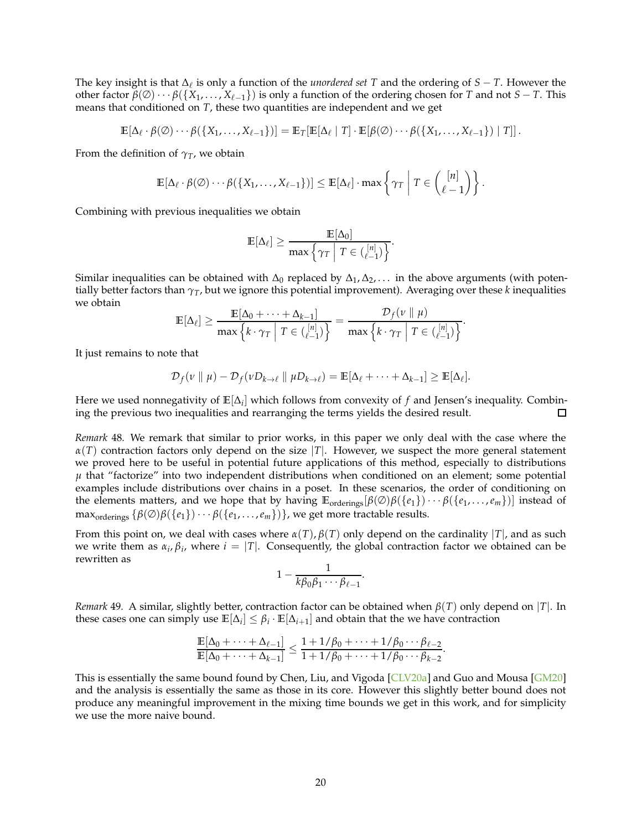The key insight is that ∆ℓ is only a function of the *unordered set T* and the ordering of *S* − *T*. However the other factor  $\beta(\emptyset) \cdots \beta(\{X_1, \ldots, X_{\ell-1}\})$  is only a function of the ordering chosen for *T* and not *S* − *T*. This means that conditioned on *T*, these two quantities are independent and we get

$$
\mathbb{E}[\Delta_{\ell} \cdot \beta(\emptyset) \cdots \beta(\{X_1,\ldots,X_{\ell-1}\})] = \mathbb{E}_T[\mathbb{E}[\Delta_{\ell} | T] \cdot \mathbb{E}[\beta(\emptyset) \cdots \beta(\{X_1,\ldots,X_{\ell-1}\}) | T]].
$$

From the definition of  $\gamma_T$ , we obtain

$$
\mathbb{E}[\Delta_{\ell} \cdot \beta(\emptyset) \cdots \beta(\{X_1,\ldots,X_{\ell-1}\})] \leq \mathbb{E}[\Delta_{\ell}] \cdot \max\left\{\gamma_T \middle| T \in \binom{[n]}{\ell-1}\right\}.
$$

Combining with previous inequalities we obtain

$$
\mathbb{E}[\Delta_{\ell}] \ge \frac{\mathbb{E}[\Delta_0]}{\max \left\{ \gamma_T \mid T \in \binom{[n]}{\ell-1} \right\}}.
$$

Similar inequalities can be obtained with  $\Delta_0$  replaced by  $\Delta_1, \Delta_2, \ldots$  in the above arguments (with potentially better factors than  $\gamma_T$ , but we ignore this potential improvement). Averaging over these *k* inequalities we obtain

$$
\mathbb{E}[\Delta_{\ell}] \geq \frac{\mathbb{E}[\Delta_0 + \cdots + \Delta_{k-1}]}{\max \left\{ k \cdot \gamma_T \middle| T \in \binom{[n]}{\ell-1} \right\}} = \frac{\mathcal{D}_f(v \parallel \mu)}{\max \left\{ k \cdot \gamma_T \middle| T \in \binom{[n]}{\ell-1} \right\}}.
$$

It just remains to note that

$$
\mathcal{D}_f(v \parallel \mu) - \mathcal{D}_f(vD_{k \to \ell} \parallel \mu D_{k \to \ell}) = \mathbb{E}[\Delta_\ell + \cdots + \Delta_{k-1}] \geq \mathbb{E}[\Delta_\ell].
$$

Here we used nonnegativity of  $\mathbb{E}[\Delta_i]$  which follows from convexity of *f* and Jensen's inequality. Combining the previous two inequalities and rearranging the terms yields the desired result. □

*Remark* 48*.* We remark that similar to prior works, in this paper we only deal with the case where the  $\alpha(T)$  contraction factors only depend on the size |*T*|. However, we suspect the more general statement we proved here to be useful in potential future applications of this method, especially to distributions  $\mu$  that "factorize" into two independent distributions when conditioned on an element; some potential examples include distributions over chains in a poset. In these scenarios, the order of conditioning on the elements matters, and we hope that by having **E**orderings[*β*(∅)*β*({*e*1})· · · *β*({*e*<sup>1</sup> , . . . ,*em*})] instead of  $\max_{\text{orderings}} {\{\beta(\emptyset)\beta(\{e_1\})\cdots\beta(\{e_1,\ldots,e_m\})\}}$ , we get more tractable results.

From this point on, we deal with cases where  $\alpha(T)$ ,  $\beta(T)$  only depend on the cardinality  $|T|$ , and as such we write them as  $\alpha_i, \beta_i$ , where  $i = |T|$ . Consequently, the global contraction factor we obtained can be rewritten as

$$
1-\frac{1}{k\beta_0\beta_1\cdots\beta_{\ell-1}}.
$$

*Remark* 49*.* A similar, slightly better, contraction factor can be obtained when *β*(*T*) only depend on |*T*|. In these cases one can simply use  $\mathbb{E}[\Delta_i] \leq \beta_i \cdot \mathbb{E}[\Delta_{i+1}]$  and obtain that the we have contraction

$$
\frac{\mathbb{E}[\Delta_0+\cdots+\Delta_{\ell-1}]}{\mathbb{E}[\Delta_0+\cdots+\Delta_{k-1}]} \leq \frac{1+1/\beta_0+\cdots+1/\beta_0\cdots\beta_{\ell-2}}{1+1/\beta_0+\cdots+1/\beta_0\cdots\beta_{k-2}}.
$$

This is essentially the same bound found by Chen, Liu, and Vigoda [\[CLV20a\]](#page-33-15) and Guo and Mousa [\[GM20\]](#page-34-23) and the analysis is essentially the same as those in its core. However this slightly better bound does not produce any meaningful improvement in the mixing time bounds we get in this work, and for simplicity we use the more naive bound.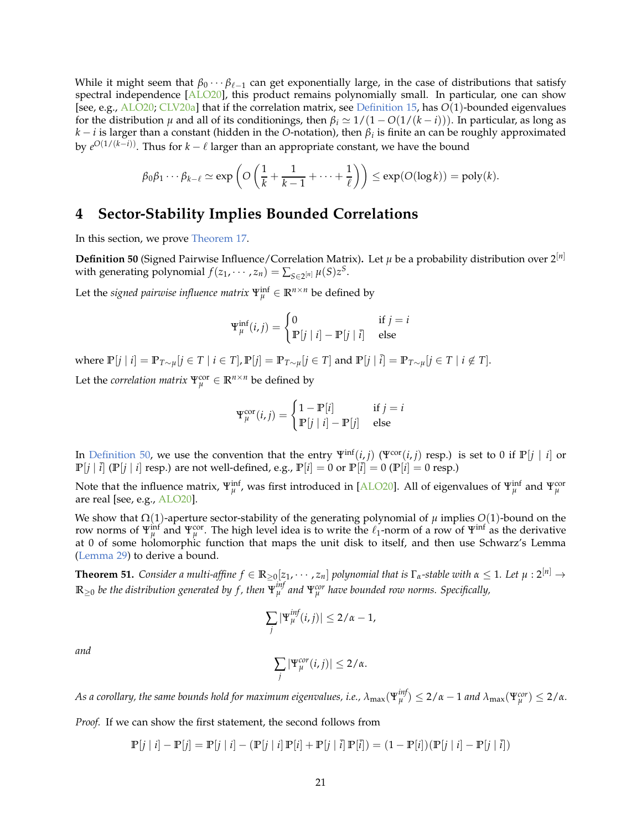While it might seem that  $\beta_0 \cdots \beta_{\ell-1}$  can get exponentially large, in the case of distributions that satisfy spectral independence  $[ALO20]$  $[ALO20]$ , this product remains polynomially small. In particular, one can show [see, e.g., [ALO20;](#page-32-0) [CLV20a\]](#page-33-15) that if the correlation matrix, see [Definition 15,](#page-7-2) has *O*(1)-bounded eigenvalues for the distribution  $\mu$  and all of its conditionings, then  $\beta_i \simeq 1/(1 - O(1/(k - i)))$ . In particular, as long as *k* − *i* is larger than a constant (hidden in the *O*-notation), then *β<sup>i</sup>* is finite an can be roughly approximated by *e <sup>O</sup>*(1/(*k*−*i*)). Thus for *k* − ℓ larger than an appropriate constant, we have the bound

$$
\beta_0 \beta_1 \cdots \beta_{k-\ell} \simeq \exp\left( O\left(\frac{1}{k} + \frac{1}{k-1} + \cdots + \frac{1}{\ell}\right) \right) \leq \exp(O(\log k)) = \text{poly}(k).
$$

### **4 Sector-Stability Implies Bounded Correlations**

<span id="page-20-0"></span>In this section, we prove [Theorem 17.](#page-8-4)

**Definition 50** (Signed Pairwise Influence/Correlation Matrix). Let  $\mu$  be a probability distribution over  $2^{[n]}$ with generating polynomial  $f(z_1, \dots, z_n) = \sum_{S \in 2^{[n]}} \mu(S) z^S$ .

Let the *signed pairwise influence matrix*  $\Psi_{\mu}^{\text{inf}} \in \mathbb{R}^{n \times n}$  be defined by

$$
\Psi_{\mu}^{\text{inf}}(i,j) = \begin{cases} 0 & \text{if } j = i \\ \mathbb{P}[j | i] - \mathbb{P}[j | \bar{i}] & \text{else} \end{cases}
$$

where  $\mathbb{P}[j | i] = \mathbb{P}_{T \sim \mu}[j \in T | i \in T]$ ,  $\mathbb{P}[j] = \mathbb{P}_{T \sim \mu}[j \in T]$  and  $\mathbb{P}[j | i] = \mathbb{P}_{T \sim \mu}[j \in T | i \notin T]$ .

Let the *correlation matrix*  $\Psi_{\mu}^{cor} \in \mathbb{R}^{n \times n}$  be defined by

$$
\Psi_{\mu}^{\text{cor}}(i,j) = \begin{cases} 1 - \mathbb{P}[i] & \text{if } j = i \\ \mathbb{P}[j | i] - \mathbb{P}[j] & \text{else} \end{cases}
$$

In [Definition 50,](#page-20-0) we use the convention that the entry  $\Psi^{\text{inf}}(i, j)$  ( $\Psi^{\text{cor}}(i, j)$  resp.) is set to 0 if  $\mathbb{P}[j | i]$  or  $\mathbb{P}[j | i]$  ( $\mathbb{P}[j | i]$  resp.) are not well-defined, e.g.,  $\mathbb{P}[i] = 0$  or  $\mathbb{P}[i] = 0$  ( $\mathbb{P}[i] = 0$  resp.)

Note that the influence matrix,  $\Psi_\mu^{\text{inf}}$ , was first introduced in [\[ALO20](#page-32-0)]. All of eigenvalues of  $\Psi_\mu^{\text{inf}}$  and  $\Psi_\mu^{\text{cor}}$ are real [see, e.g., [ALO20\]](#page-32-0).

We show that Ω(1)-aperture sector-stability of the generating polynomial of *µ* implies *O*(1)-bound on the row norms of  $\Psi_{\mu}^{\text{inf}}$  and  $\Psi_{\mu}^{\text{cor}}$ . The high level idea is to write the  $\ell_1$ -norm of a row of  $\Psi^{\text{inf}}$  as the derivative at 0 of some holomorphic function that maps the unit disk to itself, and then use Schwarz's Lemma [\(Lemma 29\)](#page-13-0) to derive a bound.

<span id="page-20-1"></span>**Theorem 51.** *Consider a multi-affine*  $f \in \mathbb{R}_{\geq 0}[z_1, \dots, z_n]$  *polynomial that is*  $\Gamma_\alpha$ -stable with  $\alpha \leq 1$ *. Let*  $\mu: 2^{[n]} \to$  $\mathbb{R}_{\geq 0}$  be the distribution generated by  $f$ , then  $\Psi^{inf}_\mu$  and  $\Psi^{cor}_\mu$  have bounded row norms. Specifically,

$$
\sum_j |\Psi_\mu^{inf}(i,j)| \leq 2/\alpha - 1,
$$

*and*

$$
\sum_j |\Psi_{\mu}^{cor}(i,j)| \leq 2/\alpha.
$$

As a corollary, the same bounds hold for maximum eigenvalues, i.e.,  $\lambda_{\max}(\Psi_\mu^{inf})\leq 2/\alpha-1$  and  $\lambda_{\max}(\Psi_\mu^{cor})\leq 2/\alpha.$ 

*Proof.* If we can show the first statement, the second follows from

$$
\mathbb{P}[j \mid i] - \mathbb{P}[j] = \mathbb{P}[j \mid i] - (\mathbb{P}[j \mid i] \, \mathbb{P}[i] + \mathbb{P}[j \mid \overline{i}] \, \mathbb{P}[\overline{i}]) = (1 - \mathbb{P}[i]) (\mathbb{P}[j \mid i] - \mathbb{P}[j \mid \overline{i}])
$$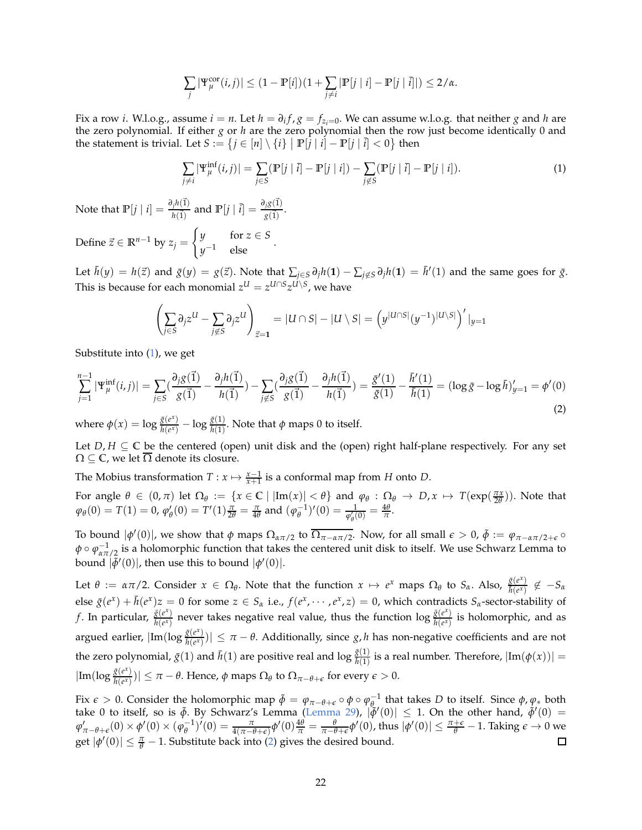$$
\sum_j |\Psi_\mu^{\text{cor}}(i,j)| \le (1 - \mathbb{P}[i])(1 + \sum_{j \ne i} |\mathbb{P}[j \mid i] - \mathbb{P}[j \mid \overline{i}]|) \le 2/\alpha.
$$

Fix a row *i*. W.l.o.g., assume  $i = n$ . Let  $h = \partial_i f$ ,  $g = f_{z_i=0}$ . We can assume w.l.o.g. that neither *g* and *h* are the zero polynomial. If either *g* or *h* are the zero polynomial then the row just become identically 0 and the statement is trivial. Let  $S := \{j \in [n] \setminus \{i\} \mid \mathbb{P}[\hat{j} | i] - \mathbb{P}[j | \hat{i}] < 0\}$  then

<span id="page-21-0"></span>
$$
\sum_{j \neq i} |\Psi_{\mu}^{\text{inf}}(i,j)| = \sum_{j \in S} (|\mathbb{P}[j \mid \overline{i}] - \mathbb{P}[j \mid i]) - \sum_{j \notin S} (|\mathbb{P}[j \mid \overline{i}] - \mathbb{P}[j \mid i]). \tag{1}
$$

Note that  $\mathbb{P}[j | i] = \frac{\partial_j h(\vec{1})}{h(\vec{1})}$  and  $\mathbb{P}[j | \vec{i}] = \frac{\partial_j g(\vec{1})}{g(\vec{1})}$ .

Define  $\vec{z} \in \mathbb{R}^{n-1}$  by  $z_j =$  $\int y$  for  $z \in S$  $y^{-1}$  else  $y^{-1}$ .

Let  $\bar{h}(y) = h(\vec{z})$  and  $\bar{g}(y) = g(\vec{z})$ . Note that  $\sum_{j \in S} \partial_j h(1) - \sum_{j \notin S} \partial_j h(1) = \bar{h}'(1)$  and the same goes for  $\bar{g}$ . This is because for each monomial  $z^U = z^{U \cap S} z^{U \setminus S}$ , we have

$$
\left(\sum_{j\in S}\partial_j z^U - \sum_{j\notin S}\partial_j z^U\right)_{\vec{z}=1} = |U\cap S| - |U\setminus S| = \left(y^{|U\cap S|}(y^{-1})^{|U\setminus S|}\right)'|_{y=1}
$$

Substitute into [\(1\)](#page-21-0), we get

<span id="page-21-1"></span>
$$
\sum_{j=1}^{n-1} |\Psi_{\mu}^{\text{inf}}(i,j)| = \sum_{j \in S} (\frac{\partial_j g(\vec{1})}{g(\vec{1})} - \frac{\partial_j h(\vec{1})}{h(\vec{1})}) - \sum_{j \notin S} (\frac{\partial_j g(\vec{1})}{g(\vec{1})} - \frac{\partial_j h(\vec{1})}{h(\vec{1})}) = \frac{\bar{g}'(1)}{\bar{g}(1)} - \frac{\bar{h}'(1)}{\bar{h}(1)} = (\log \bar{g} - \log \bar{h})'_{y=1} = \phi'(0)
$$
\n(2)

where  $\phi(x) = \log \frac{\bar{g}(e^x)}{\bar{h}(e^x)} - \log \frac{\bar{g}(1)}{\bar{h}(1)}$ . Note that  $\phi$  maps 0 to itself.

Let  $D, H \subseteq \mathbb{C}$  be the centered (open) unit disk and the (open) right half-plane respectively. For any set  $\Omega \subseteq \mathbb{C}$ , we let  $\Omega$  denote its closure.

The Mobius transformation  $T : x \mapsto \frac{x-1}{x+1}$  is a conformal map from *H* onto *D*.

For angle  $\theta \in (0, \pi)$  let  $\Omega_{\theta} := \{x \in \mathbb{C} \mid |\text{Im}(x)| < \theta\}$  and  $\varphi_{\theta} : \Omega_{\theta} \to D, x \mapsto T(\exp(\frac{\pi x}{2\theta}))$ . Note that  $\varphi_{\theta}(0) = T(1) = 0$ ,  $\varphi'_{\theta}(0) = T'(1)\frac{\pi}{2\theta} = \frac{\pi}{4\theta}$  and  $(\varphi_{\theta}^{-1})'(0) = \frac{1}{\varphi'_{\theta}(0)} = \frac{4\theta}{\pi}$ .

To bound  $|\phi'(0)|$ , we show that  $\phi$  maps  $\Omega_{\alpha\pi/2}$  to  $\overline{\Omega_{\pi-\alpha\pi/2}}$ . Now, for all small  $\epsilon > 0$ ,  $\tilde{\phi} := \varphi_{\pi-\alpha\pi/2+\epsilon} \circ$ *φ* ∘ *φ*<sub>απ/2</sub> is a holomorphic function that takes the centered unit disk to itself. We use Schwarz Lemma to bound  $|\tilde{\phi}'(0)|$ , then use this to bound  $|\phi'(0)|$ .

Let  $\theta := \alpha \pi/2$ . Consider  $x \in \Omega_{\theta}$ . Note that the function  $x \mapsto e^x$  maps  $\Omega_{\theta}$  to  $S_{\alpha}$ . Also,  $\frac{\tilde{g}(e^x)}{\tilde{h}(e^x)} \notin -S_{\alpha}$ else  $\bar{g}(e^x) + \bar{h}(e^x)z = 0$  for some  $z \in S_\alpha$  i.e.,  $f(e^x, \dots, e^x, z) = 0$ , which contradicts  $S_\alpha$ -sector-stability of *f*. In particular,  $\frac{\bar{g}(e^x)}{h(e^x)}$  never takes negative real value, thus the function log  $\frac{\bar{g}(e^x)}{h(e^x)}$  is holomorphic, and as  $\arg$ ued earlier,  $|\text{Im}(\log \frac{\tilde{g}(e^x)}{h(e^x)})|\leq \pi-\theta$ . Additionally, since *g*, *h* has non-negative coefficients and are not the zero polynomial,  $\bar{g}(1)$  and  $\bar{h}(1)$  are positive real and  $\log \frac{\bar{g}(1)}{\bar{h}(1)}$  is a real number. Therefore,  $|\text{Im}(\phi(x))|$  =  $|\text{Im}(\log \frac{\tilde{g}(e^x)}{h(e^x)})| \leq \pi - \theta$ . Hence,  $\phi$  maps  $\Omega_{\theta}$  to  $\Omega_{\pi-\theta+\epsilon}$  for every  $\epsilon > 0$ .

Fix  $\epsilon > 0$ . Consider the holomorphic map  $\tilde{\phi} = \varphi_{\pi-\theta+\epsilon} \circ \phi \circ \varphi_{\theta}^{-1}$  that takes *D* to itself. Since  $\phi, \varphi_*$  both take 0 to itself, so is  $\tilde{\phi}$ . By Schwarz's Lemma [\(Lemma 29\)](#page-13-0),  $|\tilde{\phi}'(0)| \leq 1$ . On the other hand,  $\tilde{\phi}'(0)$  =  $\varphi_{\pi-\theta+\epsilon}'(0)\times\phi'(0)\times(\varphi_\theta^{-1})'(0)=\frac{\pi}{4(\pi-\theta+\epsilon)}\phi'(0)\frac{4\theta}{\pi}=\frac{\theta}{\pi-\theta+\epsilon}\phi'(0)$ , thus  $|\phi'(0)|\leq\frac{\pi+\epsilon}{\theta}-1.$  Taking  $\epsilon\to 0$  we get  $|\phi'(0)| \leq \frac{\pi}{\theta} - 1$ . Substitute back into [\(2\)](#page-21-1) gives the desired bound.  $\Box$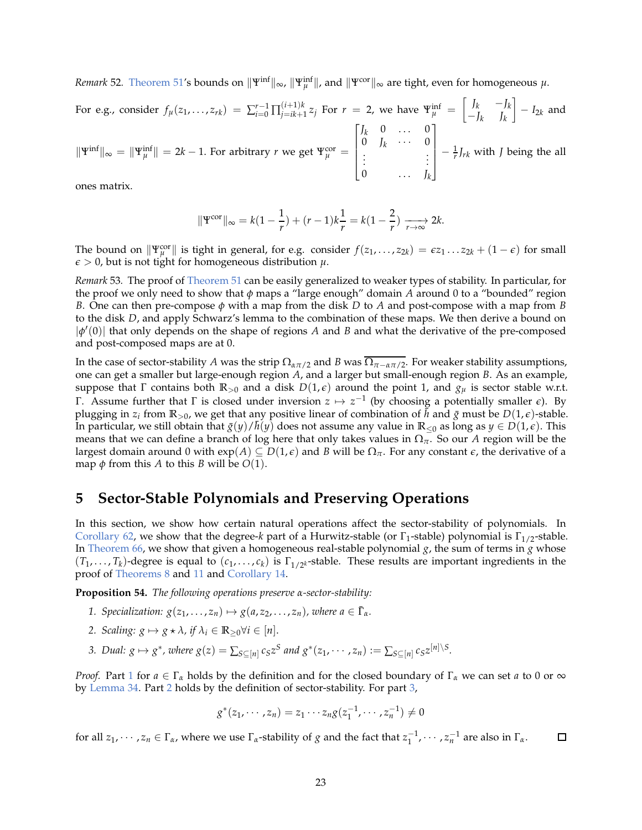*Remark* 52. Theorem 51′s bounds on  $\|\Psi^{\text{inf}}\|_{\infty}$ ,  $\|\Psi^{\text{inf}}_{\mu}\|$ , and  $\|\Psi^{\text{cor}}\|_{\infty}$  are tight, even for homogeneous  $\mu$ .

For e.g., consider 
$$
f_{\mu}(z_1,...,z_{rk}) = \sum_{i=0}^{r-1} \prod_{j=ik+1}^{(i+1)k} z_j
$$
 For  $r = 2$ , we have  $\Psi_{\mu}^{\text{inf}} = \begin{bmatrix} J_k & -J_k \ -J_k & J_k \end{bmatrix} - I_{2k}$  and  $\|\Psi^{\text{inf}}\|_{\infty} = \|\Psi_{\mu}^{\text{inf}}\| = 2k - 1$ . For arbitrary  $r$  we get  $\Psi_{\mu}^{\text{cor}} = \begin{bmatrix} J_k & 0 & \cdots & 0 \\ 0 & J_k & \cdots & 0 \\ \vdots & & & \vdots \\ 0 & \cdots & J_k \end{bmatrix} - \frac{1}{r} J_{rk}$  with  $J$  being the all

ones matrix.

$$
\|\Psi^{\text{cor}}\|_{\infty} = k(1 - \frac{1}{r}) + (r - 1)k\frac{1}{r} = k(1 - \frac{2}{r}) \xrightarrow[r \to \infty]{} 2k.
$$

<span id="page-22-0"></span>The bound on  $\|\Psi_{\mu}^{\text{cor}}\|$  is tight in general, for e.g. consider  $f(z_1,\ldots,z_{2k}) = \epsilon z_1 \ldots z_{2k} + (1-\epsilon)$  for small  $\epsilon > 0$ , but is not tight for homogeneous distribution  $\mu$ .

*Remark* 53*.* The proof of [Theorem 51](#page-20-1) can be easily generalized to weaker types of stability. In particular, for the proof we only need to show that *φ* maps a "large enough" domain *A* around 0 to a "bounded" region *B*. One can then pre-compose *φ* with a map from the disk *D* to *A* and post-compose with a map from *B* to the disk *D*, and apply Schwarz's lemma to the combination of these maps. We then derive a bound on |*φ* ′ (0)| that only depends on the shape of regions *A* and *B* and what the derivative of the pre-composed and post-composed maps are at 0.

In the case of sector-stability *A* was the strip  $\Omega_{\alpha\pi/2}$  and *B* was  $\overline{\Omega_{\pi-\alpha\pi/2}}$ . For weaker stability assumptions, one can get a smaller but large-enough region *A*, and a larger but small-enough region *B*. As an example, suppose that  $\Gamma$  contains both  $\mathbb{R}_{>0}$  and a disk  $D(1,\epsilon)$  around the point 1, and  $g_\mu$  is sector stable w.r.t. Γ. Assume further that Γ is closed under inversion  $z$   $\mapsto$   $z^{-1}$  (by choosing a potentially smaller *ε*). By plugging in  $z_i$  from  $\mathbb{R}_{>0}$ , we get that any positive linear of combination of  $\tilde{h}$  and  $\bar{g}$  must be  $D(1,\epsilon)$ -stable. In particular, we still obtain that  $\bar{g}(y)/\bar{h}(y)$  does not assume any value in  $\mathbb{R}_{\leq 0}$  as long as  $y \in D(1,\epsilon)$ . This means that we can define a branch of log here that only takes values in Ω*π*. So our *A* region will be the largest domain around 0 with  $exp(A) \subseteq D(1,\epsilon)$  and *B* will be  $\Omega_{\pi}$ . For any constant  $\epsilon$ , the derivative of a map  $\phi$  from this *A* to this *B* will be  $O(1)$ .

### **5 Sector-Stable Polynomials and Preserving Operations**

In this section, we show how certain natural operations affect the sector-stability of polynomials. In [Corollary 62,](#page-24-0) we show that the degree-*k* part of a Hurwitz-stable (or  $\Gamma_1$ -stable) polynomial is  $\Gamma_{1/2}$ -stable. In [Theorem 66,](#page-25-0) we show that given a homogeneous real-stable polynomial  $g$ , the sum of terms in  $g$  whose  $(T_1, \ldots, T_k)$ -degree is equal to  $(c_1, \ldots, c_k)$  is  $\Gamma_{1/2^k}$ -stable. These results are important ingredients in the proof of [Theorems 8](#page-3-2) and [11](#page-5-0) and [Corollary 14.](#page-6-2)

<span id="page-22-4"></span><span id="page-22-1"></span>**Proposition 54.** *The following operations preserve α-sector-stability:*

- <span id="page-22-2"></span>*1. Specialization:*  $g(z_1, \ldots, z_n) \mapsto g(a, z_2, \ldots, z_n)$ , where  $a \in \Gamma_a$ .
- <span id="page-22-3"></span>*2. Scaling:*  $g \mapsto g \star \lambda$ *, if*  $\lambda_i \in \mathbb{R}_{\geq 0} \forall i \in [n]$ .
- 3. Dual:  $g \mapsto g^*$ , where  $g(z) = \sum_{S \subseteq [n]} c_S z^S$  and  $g^*(z_1, \dots, z_n) := \sum_{S \subseteq [n]} c_S z^{[n] \setminus S}$ .

*Proof.* Part [1](#page-22-1) for *a* ∈ Γ<sub>α</sub> holds by the definition and for the closed boundary of Γ<sub>α</sub> we can set *a* to 0 or ∞ by [Lemma 34.](#page-14-0) Part [2](#page-22-2) holds by the definition of sector-stability. For part [3,](#page-22-3)

$$
g^*(z_1, \cdots, z_n) = z_1 \cdots z_n g(z_1^{-1}, \cdots, z_n^{-1}) \neq 0
$$

for all  $z_1, \dots, z_n \in \Gamma_\alpha$ , where we use  $\Gamma_\alpha$ -stability of *g* and the fact that  $z_1^{-1}, \dots, z_n^{-1}$  are also in  $\Gamma_\alpha$ .  $\Box$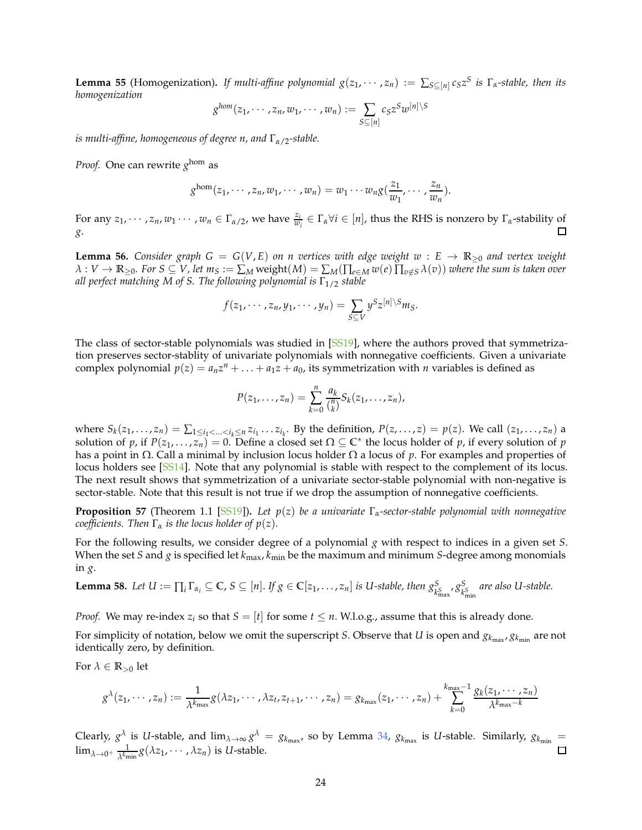**Lemma 55** (Homogenization). If multi-affine polynomial  $g(z_1, \dots, z_n) := \sum_{S \subseteq [n]} c_S z^S$  is  $\Gamma_\alpha$ -stable, then its *homogenization*

$$
g^{hom}(z_1,\dots,z_n,w_1,\dots,w_n):=\sum_{S\subseteq[n]}c_Sz^Sw^{[n]\setminus S}
$$

*is multi-affine, homogeneous of degree n, and* Γ*α*/2*-stable.*

*Proof.* One can rewrite *g* hom as

$$
g^{\text{hom}}(z_1,\dots,z_n,w_1,\dots,w_n)=w_1\cdots w_ng(\frac{z_1}{w_1},\dots,\frac{z_n}{w_n}).
$$

For any  $z_1, \dots, z_n, w_1 \dots, w_n \in \Gamma_{\alpha/2}$ , we have  $\frac{z_i}{w_i} \in \Gamma_{\alpha} \forall i \in [n]$ , thus the RHS is nonzero by  $\Gamma_{\alpha}$ -stability of П *g*.

<span id="page-23-1"></span>**Lemma 56.** *Consider graph*  $G = G(V, E)$  *on n vertices with edge weight*  $w : E \rightarrow \mathbb{R}_{\geq 0}$  *and vertex weight*  $\lambda:V\to\mathbb{R}_{\geq0}$ . For  $S\subseteq V$ , let  $m_S:=\sum_M \text{weight}(M)=\sum_M (\prod_{e\in M} w(e)\prod_{v\notin S} \lambda(v))$  where the sum is taken over *all perfect matching M of S. The following polynomial is*  $\Gamma_{1/2}$  *stable* 

$$
f(z_1,\dots,z_n,y_1,\dots,y_n)=\sum_{S\subseteq V}y^Sz^{[n]\setminus S}m_S.
$$

The class of sector-stable polynomials was studied in [\[SS19](#page-35-20)], where the authors proved that symmetrization preserves sector-stablity of univariate polynomials with nonnegative coefficients. Given a univariate complex polynomial  $p(z) = a_n z^n + \ldots + a_1 z + a_0$ , its symmetrization with *n* variables is defined as

$$
P(z_1,\ldots,z_n)=\sum_{k=0}^n\frac{a_k}{\binom{n}{k}}S_k(z_1,\ldots,z_n),
$$

where  $S_k(z_1,\ldots,z_n)=\sum_{1\leq i_1<\ldots. By the definition,  $P(z,\ldots,z)=p(z)$ . We call  $(z_1,\ldots,z_n)$  a$ solution of *p*, if  $P(z_1, \ldots, z_n) = 0$ . Define a closed set  $\Omega \subseteq \mathbb{C}^*$  the locus holder of *p*, if every solution of *p* has a point in Ω. Call a minimal by inclusion locus holder Ω a locus of *p*. For examples and properties of locus holders see [\[SS14\]](#page-35-21). Note that any polynomial is stable with respect to the complement of its locus. The next result shows that symmetrization of a univariate sector-stable polynomial with non-negative is sector-stable. Note that this result is not true if we drop the assumption of nonnegative coefficients.

**Proposition 57** (Theorem 1.1 [\[SS19](#page-35-20)])**.** *Let p*(*z*) *be a univariate* Γ*α-sector-stable polynomial with nonnegative coefficients. Then*  $\Gamma_{\alpha}$  *is the locus holder of*  $p(z)$ *.* 

For the following results, we consider degree of a polynomial *g* with respect to indices in a given set *S*. When the set *S* and *g* is specified let *k*max, *k*min be the maximum and minimum *S*-degree among monomials in *g*.

<span id="page-23-0"></span>**Lemma 58.** Let 
$$
U := \prod_i \Gamma_{\alpha_i} \subseteq \mathbb{C}
$$
,  $S \subseteq [n]$ . If  $g \in \mathbb{C}[z_1, \ldots, z_n]$  is *U*-stable, then  $g_{k_{\text{max}}}^S$ ,  $g_{k_{\text{min}}}^S$  are also *U*-stable.

*Proof.* We may re-index  $z_i$  so that  $S = [t]$  for some  $t \le n$ . W.l.o.g., assume that this is already done.

For simplicity of notation, below we omit the superscript *S*. Observe that *U* is open and  $g_{k_{\max}}, g_{k_{\min}}$  are not identically zero, by definition.

For  $\lambda \in \mathbb{R}_{>0}$  let

$$
g^{\lambda}(z_1,\dots,z_n):=\frac{1}{\lambda^{k_{\max}}}g(\lambda z_1,\dots,\lambda z_t,z_{t+1},\dots,z_n)=g_{k_{\max}}(z_1,\dots,z_n)+\sum_{k=0}^{k_{\max}-1}\frac{g_k(z_1,\dots,z_n)}{\lambda^{k_{\max}-k}}
$$

Clearly,  $g^{\lambda}$  is *U*-stable, and  $\lim_{\lambda\to\infty} g^{\lambda} = g_{k_{\max}}$ , so by Lemma [34,](#page-14-0)  $g_{k_{\max}}$  is *U*-stable. Similarly,  $g_{k_{\min}} =$  $\lim_{\lambda\to 0^+} \frac{1}{\lambda^{k_\mathfrak{m}}}$  $\frac{1}{\lambda^{k_{\text{min}}}} g(\lambda z_1, \cdots, \lambda z_n)$  is *U*-stable.  $\Box$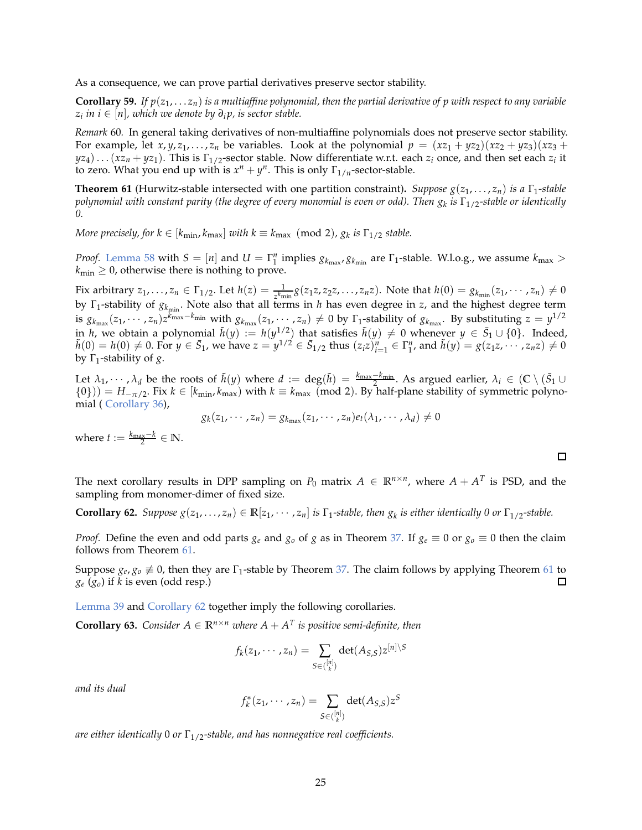As a consequence, we can prove partial derivatives preserve sector stability.

 ${\bf Corollary~59.}$  If  $p(z_1, \ldots z_n)$  is a multiaffine polynomial, then the partial derivative of  $p$  with respect to any variable *zi in i* ∈ [*n*]*, which we denote by ∂<sup>i</sup> p, is sector stable.*

*Remark* 60*.* In general taking derivatives of non-multiaffine polynomials does not preserve sector stability. For example, let  $x, y, z_1, \ldots, z_n$  be variables. Look at the polynomial  $p = (xz_1 + yz_2)(xz_2 + yz_3)(xz_3 +$  $yz_4$ )... $(xz_n + yz_1)$ . This is  $\Gamma_{1/2}$ -sector stable. Now differentiate w.r.t. each  $z_i$  once, and then set each  $z_i$  it to zero. What you end up with is  $x^n + y^n$ . This is only  $\Gamma_{1/n}$ -sector-stable.

<span id="page-24-1"></span>**Theorem 61** (Hurwitz-stable intersected with one partition constraint)**.** *Suppose g*(*z*1, . . . , *zn*) *is a* Γ1*-stable polynomial with constant parity (the degree of every monomial is even or odd). Then g<sup>k</sup> is* Γ1/2*-stable or identically 0.*

*More precisely, for*  $k \in [k_{\min}, k_{\max}]$  *with*  $k \equiv k_{\max} \pmod{2}$ ,  $g_k$  *is*  $\Gamma_{1/2}$  *stable.* 

*Proof.* [Lemma 58](#page-23-0) with  $S = [n]$  and  $U = \Gamma_1^n$  implies  $g_{k_{\text{max}}} g_{k_{\text{min}}}$  are  $\Gamma_1$ -stable. W.l.o.g., we assume  $k_{\text{max}} >$  $k_{\text{min}} \geq 0$ , otherwise there is nothing to prove.

Fix arbitrary  $z_1, \ldots, z_n \in \Gamma_{1/2}$ . Let  $h(z) = \frac{1}{z^{k_{\min}}} g(z_1 z, z_2 z, \ldots, z_n z)$ . Note that  $h(0) = g_{k_{\min}}(z_1, \ldots, z_n) \neq 0$ by Γ<sub>1</sub>-stability of  $g_{k_{min}}$ . Note also that all terms in *h* has even degree in *z*, and the highest degree term is  $g_{k_{\max}}(z_1,\cdots,z_n)z^{k_{\max}-k_{\min}}$  with  $g_{k_{\max}}(z_1,\cdots,z_n)\neq 0$  by  $\Gamma_1$ -stability of  $g_{k_{\max}}$ . By substituting  $z=y^{1/2}$ in *h*, we obtain a polynomial  $\tilde{h}(y) := h(y^{1/2})$  that satisfies  $\tilde{h}(y) \neq 0$  whenever  $y \in \bar{S}_1 \cup \{0\}$ . Indeed,  $\tilde{h}(0) = h(0) \neq 0$ . For  $y \in \bar{S}_1$ , we have  $z = y^{1/2} \in \bar{S}_{1/2}$  thus  $(z_i z)_{i=1}^n \in \Gamma_1^n$ , and  $\tilde{h}(y) = g(z_1 z, \dots, z_n z) \neq 0$ by Γ<sup>1</sup> -stability of *g*.

Let  $\lambda_1, \dots, \lambda_d$  be the roots of  $\tilde{h}(y)$  where  $d := \deg(\tilde{h}) = \frac{k_{\max} - k_{\min}}{2}$ . As argued earlier,  $\lambda_i \in (\mathbb{C} \setminus (\bar{S}_1 \cup$  $(0)$ )) =  $H_{-\pi/2}$ . Fix  $k \in [k_{min}, k_{max})$  with  $k \equiv k_{max}$  (mod 2). By half-plane stability of symmetric polynomial ( [Corollary 36\)](#page-15-1),

$$
g_k(z_1,\dots,z_n)=g_{k_{\max}}(z_1,\dots,z_n)e_t(\lambda_1,\dots,\lambda_d)\neq 0
$$

where  $t := \frac{k_{\text{max}} - k}{2} \in \mathbb{N}$ .

The next corollary results in DPP sampling on  $P_0$  matrix  $A \in \mathbb{R}^{n \times n}$ , where  $A + A^T$  is PSD, and the sampling from monomer-dimer of fixed size.

<span id="page-24-0"></span>**Corollary 62.** Suppose  $g(z_1, \ldots, z_n) \in \mathbb{R}[z_1, \cdots, z_n]$  is  $\Gamma_1$ -stable, then  $g_k$  is either identically 0 or  $\Gamma_{1/2}$ -stable.

*Proof.* Define the even and odd parts  $g_e$  and  $g_o$  of  $g$  as in Theorem [37.](#page-15-2) If  $g_e \equiv 0$  or  $g_o \equiv 0$  then the claim follows from Theorem [61.](#page-24-1)

Suppose  $g_e$ ,  $g_o \neq 0$ , then they are  $\Gamma_1$ -stable by Theorem [37.](#page-15-2) The claim follows by applying Theorem [61](#page-24-1) to *g<sup>e</sup>* (*go*) if *k* is even (odd resp.)  $\square$ 

<span id="page-24-3"></span>[Lemma 39](#page-15-3) and [Corollary 62](#page-24-0) together imply the following corollaries.

**Corollary 63.** *Consider*  $A \in \mathbb{R}^{n \times n}$  *where*  $A + A^T$  *is positive semi-definite, then* 

$$
f_k(z_1,\dots,z_n)=\sum_{S\in\binom{[n]}{k}}\det(A_{S,S})z^{[n]\setminus S}
$$

*and its dual*

$$
f_k^*(z_1,\dots, z_n)=\sum_{S\in\binom{[n]}{k}}\det(A_{S,S})z^S
$$

<span id="page-24-2"></span>*are either identically* 0 *or* Γ1/2*-stable, and has nonnegative real coefficients.*

 $\Box$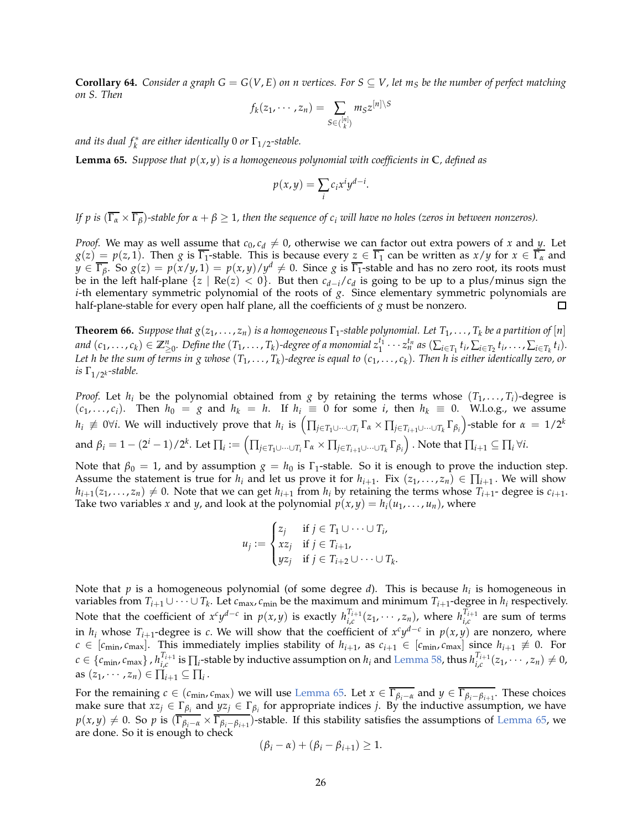**Corollary 64.** *Consider a graph G* =  $G(V, E)$  *on n vertices. For*  $S \subseteq V$ *, let*  $m_S$  *be the number of perfect matching on S. Then*

$$
f_k(z_1,\dots,z_n)=\sum_{S\in\binom{[n]}{k}}m_Sz^{[n]\setminus S}
$$

<span id="page-25-1"></span>and its dual  $f_k^*$  are either identically 0 or  $\Gamma_{1/2}$ -stable.

**Lemma 65.** *Suppose that*  $p(x, y)$  *is a homogeneous polynomial with coefficients in*  $\mathbb{C}$ *, defined as* 

$$
p(x,y) = \sum_{i} c_i x^i y^{d-i}.
$$

*If p is*  $(\overline{\Gamma_{\alpha}} \times \overline{\Gamma_{\beta}})$ -stable for  $\alpha + \beta \geq 1$ , then the sequence of  $c_i$  will have no holes (zeros in between nonzeros).

*Proof.* We may as well assume that  $c_0$ ,  $c_d \neq 0$ , otherwise we can factor out extra powers of *x* and *y*. Let  $g(z) = p(z, 1)$ . Then *g* is  $\overline{\Gamma_1}$ -stable. This is because every  $z \in \overline{\Gamma_1}$  can be written as  $x/y$  for  $x \in \overline{\Gamma_\alpha}$  and  $y \in \overline{\Gamma_{\beta}}$ . So  $g(z) = p(x/y, 1) = p(x, y)/y^d \neq 0$ . Since *g* is  $\overline{\Gamma_1}$ -stable and has no zero root, its roots must be in the left half-plane  $\{z \mid \text{Re}(z) < 0\}$ . But then  $c_{d-i}/c_d$  is going to be up to a plus/minus sign the *i*-th elementary symmetric polynomial of the roots of *g*. Since elementary symmetric polynomials are half-plane-stable for every open half plane, all the coefficients of *g* must be nonzero.  $\Box$ 

<span id="page-25-0"></span>**Theorem 66.** *Suppose that*  $g(z_1, \ldots, z_n)$  *is a homogeneous*  $\Gamma_1$ -stable polynomial. Let  $T_1, \ldots, T_k$  be a partition of [n] and  $(c_1,\ldots,c_k)\in \mathbb{Z}_{\geq 0}^n$ . Define the  $(T_1,\ldots,T_k)$ -degree of a monomial  $z_1^{t_1}\cdots z_n^{t_n}$  as  $(\sum_{i\in T_1}t_i,\sum_{i\in T_2}t_i,\ldots,\sum_{i\in T_k}t_i)$ . *Let h be the sum of terms in g whose* (*T*1, . . . , *T<sup>k</sup>* )*-degree is equal to* (*c*1, . . . , *c<sup>k</sup>* )*. Then h is either identically zero, or is*  $\Gamma_{1/2}$ *k*-*stable.* 

*Proof.* Let  $h_i$  be the polynomial obtained from *g* by retaining the terms whose  $(T_1, \ldots, T_i)$ -degree is  $(c_1, \ldots, c_i)$ . Then  $h_0 = g$  and  $h_k = h$ . If  $h_i \equiv 0$  for some *i*, then  $h_k \equiv 0$ . W.l.o.g., we assume  $h_i\neq 0$ ∀ $i$ . We will inductively prove that  $h_i$  is  $\left(\prod_{j\in T_1\cup\dots\cup T_i}\Gamma_\alpha\times\prod_{j\in T_{i+1}\cup\dots\cup T_k}\Gamma_{\beta_i}\right)$ -stable for  $\alpha\,=\,1/2^k$ and  $\beta_i=1-(2^i-1)/2^k$ . Let  $\prod_i:=\left(\prod_{j\in T_1\cup\dots\cup T_i}\Gamma_\alpha\times \prod_{j\in T_{i+1}\cup\dots\cup T_k}\Gamma_{\beta_i}\right)$  . Note that  $\prod_{i+1}\subseteq\prod_i\forall i.$ 

Note that  $\beta_0 = 1$ , and by assumption  $g = h_0$  is  $\Gamma_1$ -stable. So it is enough to prove the induction step. Assume the statement is true for  $h_i$  and let us prove it for  $h_{i+1}$ . Fix  $(z_1, ..., z_n) \in \prod_{i+1}$ . We will show  $h_{i+1}(z_1,\ldots,z_n) \neq 0$ . Note that we can get  $h_{i+1}$  from  $h_i$  by retaining the terms whose  $T_{i+1}$ - degree is  $c_{i+1}$ . Take two variables *x* and *y*, and look at the polynomial  $p(x, y) = h_i(u_1, \ldots, u_n)$ , where

$$
u_j := \begin{cases} z_j & \text{if } j \in T_1 \cup \dots \cup T_i, \\ xz_j & \text{if } j \in T_{i+1}, \\ yz_j & \text{if } j \in T_{i+2} \cup \dots \cup T_k. \end{cases}
$$

Note that *p* is a homogeneous polynomial (of some degree *d*). This is because *h<sup>i</sup>* is homogeneous in variables from  $T_{i+1} \cup \cdots \cup T_k$ . Let  $c_{\max}, c_{\min}$  be the maximum and minimum  $T_{i+1}$ -degree in  $h_i$  respectively. Note that the coefficient of  $x^cy^{d-c}$  in  $p(x,y)$  is exactly  $h_{i,c}^{T_{i+1}}(z_1,\cdots,z_n)$ , where  $h_{i,c}^{T_{i+1}}$  are sum of terms in  $h_i$  whose  $T_{i+1}$ -degree is *c*. We will show that the coefficient of  $x^c y^{d-c}$  in  $p(x, y)$  are nonzero, where *c* ∈ [ $c$ <sub>min</sub>,  $c$ <sub>max</sub>]. This immediately implies stability of  $h_{i+1}$ , as  $c_{i+1}$  ∈ [ $c$ <sub>min</sub>,  $c$ <sub>max</sub>] since  $h_{i+1}$  ≢ 0. For  $c\in\{c_{\min},c_{\max}\}$  ,  $h_{i,c}^{T_{i+1}}$  is  $\prod_i$ -stable by inductive assumption on  $h_i$  and [Lemma 58,](#page-23-0) thus  $h_{i,c}^{T_{i+1}}(z_1,\cdots,z_n)\neq 0$ , as  $(z_1, \dots, z_n) \in \prod_{i+1} \subseteq \prod_i$ .

For the remaining  $c \in (c_{\min}, c_{\max})$  we will use [Lemma 65.](#page-25-1) Let  $x \in \overline{\Gamma_{\beta_i - \alpha}}$  and  $y \in \overline{\Gamma_{\beta_i - \beta_{i+1}}}$ . These choices make sure that  $xz_j \in \Gamma_{\beta_i}$  and  $yz_j \in \Gamma_{\beta_i}$  for appropriate indices *j*. By the inductive assumption, we have  $p(x,y) \neq 0$ . So *p* is  $(\overline{\Gamma_{\beta_i-\alpha}} \times \overline{\Gamma_{\beta_i-\beta_{i+1}}})$ -stable. If this stability satisfies the assumptions of [Lemma 65,](#page-25-1) we are done. So it is enough to check

$$
(\beta_i - \alpha) + (\beta_i - \beta_{i+1}) \geq 1.
$$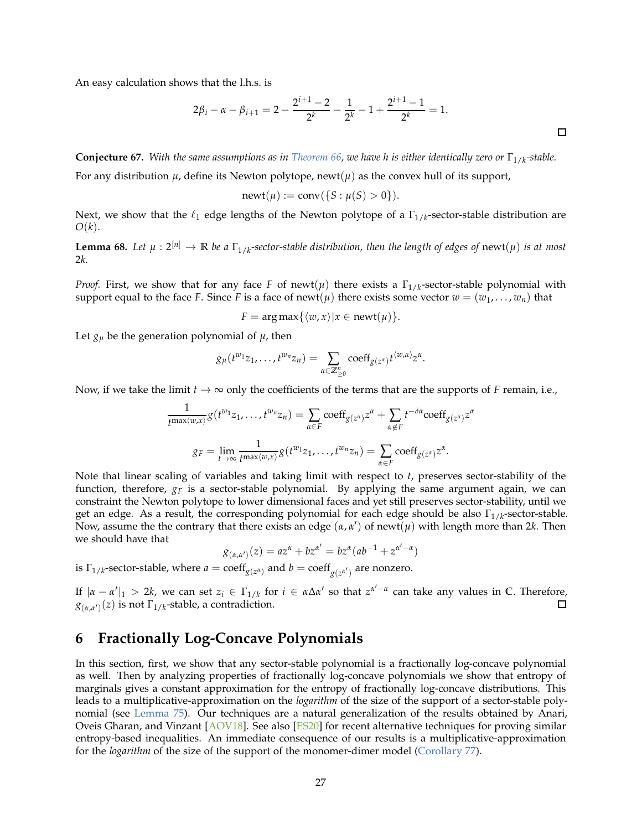An easy calculation shows that the l.h.s. is

$$
2\beta_i - \alpha - \beta_{i+1} = 2 - \frac{2^{i+1} - 2}{2^k} - \frac{1}{2^k} - 1 + \frac{2^{i+1} - 1}{2^k} = 1.
$$

*α*

**Conjecture 67.** With the same assumptions as in [Theorem 66,](#page-25-0) we have h is either identically zero or Γ<sub>1/k</sub>-stable.

For any distribution  $\mu$ , define its Newton polytope, newt( $\mu$ ) as the convex hull of its support,

$$
newt(\mu) := conv({S : \mu(S) > 0}).
$$

<span id="page-26-2"></span>Next, we show that the  $\ell_1$  edge lengths of the Newton polytope of a  $\Gamma_{1/k}$ -sector-stable distribution are *O*(*k*).

**Lemma 68.** Let  $\mu: 2^{[n]} \to \mathbb{R}$  be a  $\Gamma_{1/k}$ -sector-stable distribution, then the length of edges of  $\mathrm{newt}(\mu)$  is at most 2*k.*

*Proof.* First, we show that for any face *F* of newt( $\mu$ ) there exists a  $\Gamma_{1/k}$ -sector-stable polynomial with support equal to the face *F*. Since *F* is a face of newt( $\mu$ ) there exists some vector  $w = (w_1, \dots, w_n)$  that

$$
F = \arg \max \{ \langle w, x \rangle | x \in \text{newt}(\mu) \}.
$$

Let  $g_{\mu}$  be the generation polynomial of  $\mu$ , then

$$
g_{\mu}(t^{w_1}z_1,\ldots,t^{w_n}z_n)=\sum_{\alpha\in\mathbb{Z}_{\geq 0}^n}\mathrm{coeff}_{g(z^{\alpha})}t^{\langle w,\alpha\rangle}z^{\alpha}.
$$

Now, if we take the limit  $t \to \infty$  only the coefficients of the terms that are the supports of *F* remain, i.e.,

$$
\frac{1}{t^{\max\langle w,x\rangle}} g(t^{w_1}z_1,\ldots,t^{w_n}z_n) = \sum_{\alpha \in F} \mathrm{coeff}_{g(z^{\alpha})} z^{\alpha} + \sum_{\alpha \notin F} t^{-\delta \alpha} \mathrm{coeff}_{g(z^{\alpha})} z
$$

$$
g_F = \lim_{t \to \infty} \frac{1}{t^{\max\langle w,x\rangle}} g(t^{w_1}z_1,\ldots,t^{w_n}z_n) = \sum_{\alpha \in F} \mathrm{coeff}_{g(z^{\alpha})} z^{\alpha}.
$$

Note that linear scaling of variables and taking limit with respect to *t*, preserves sector-stability of the function, therefore,  $g_F$  is a sector-stable polynomial. By applying the same argument again, we can constraint the Newton polytope to lower dimensional faces and yet still preserves sector-stability, until we get an edge. As a result, the corresponding polynomial for each edge should be also Γ<sub>1/k</sub>-sector-stable. Now, assume the the contrary that there exists an edge  $(\alpha, \alpha')$  of newt $(\mu)$  with length more than 2*k*. Then we should have that

$$
g_{(\alpha,\alpha')}(z) = az^{\alpha} + bz^{\alpha'} = bz^{\alpha}(ab^{-1} + z^{\alpha'-\alpha})
$$

is  $\Gamma_{1/k}$ -sector-stable, where  $a = \text{coeff}_{g(z^{\alpha})}$  and  $b = \text{coeff}_{g(z^{\alpha'})}$  are nonzero.

If |*α* − *α* ′ |<sup>1</sup> > 2*k*, we can set *z<sup>i</sup>* ∈ Γ1/*<sup>k</sup>* for *i* ∈ *α*∆*α* ′ so that *z α* ′−*α* can take any values in **C**. Therefore,  $g_{(\alpha,\alpha')}(z)$  is not  $\Gamma_{1/k}$ -stable, a contradiction.  $\Box$ 

## <span id="page-26-0"></span>**6 Fractionally Log-Concave Polynomials**

<span id="page-26-1"></span>In this section, first, we show that any sector-stable polynomial is a fractionally log-concave polynomial as well. Then by analyzing properties of fractionally log-concave polynomials we show that entropy of marginals gives a constant approximation for the entropy of fractionally log-concave distributions. This leads to a multiplicative-approximation on the *logarithm* of the size of the support of a sector-stable polynomial (see [Lemma 75\)](#page-29-0). Our techniques are a natural generalization of the results obtained by Anari, Oveis Gharan, and Vinzant [\[AOV18\]](#page-32-8). See also [\[ES20](#page-33-17)] for recent alternative techniques for proving similar entropy-based inequalities. An immediate consequence of our results is a multiplicative-approximation for the *logarithm* of the size of the support of the monomer-dimer model [\(Corollary 77\)](#page-30-0).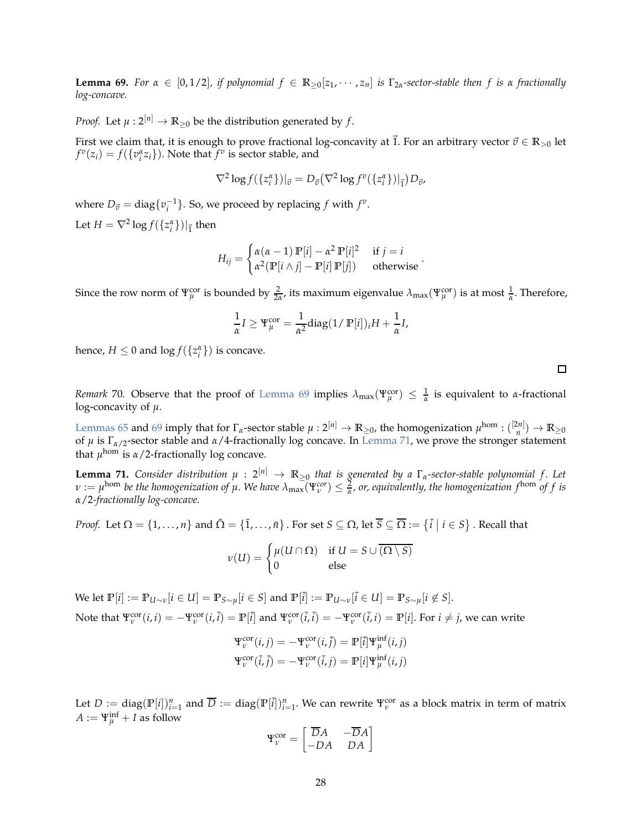**Lemma 69.** For  $\alpha \in [0, 1/2]$ , if polynomial  $f \in \mathbb{R}_{\geq 0}[z_1, \dots, z_n]$  is  $\Gamma_{2\alpha}$ -sector-stable then f is  $\alpha$  fractionally *log-concave.*

*Proof.* Let  $\mu$  :  $2^{[n]} \rightarrow \mathbb{R}_{\geq 0}$  be the distribution generated by *f*.

First we claim that, it is enough to prove fractional log-concavity at  $\vec{1}$ . For an arbitrary vector  $\vec{v} \in \mathbb{R}_{>0}$  let  $f^v(z_i) = f(\lbrace v_i^{\alpha} z_i \rbrace)$ . Note that  $f^v$  is sector stable, and

$$
\nabla^2 \log f(\lbrace z_i^{\alpha} \rbrace)|_{\vec{v}} = D_{\vec{v}}(\nabla^2 \log f^v(\lbrace z_i^{\alpha} \rbrace)|_{\vec{1}}) D_{\vec{v}},
$$

where  $D_{\vec{v}} = \text{diag}\{v_i^{-1}\}$ . So, we proceed by replacing  $f$  with  $f^v$ . Let  $H = \nabla^2 \log f(\{z_i^{\alpha}\})|_{\vec{1}}$  then

$$
H_{ij} = \begin{cases} \alpha(\alpha - 1) \mathbb{P}[i] - \alpha^2 \mathbb{P}[i]^2 & \text{if } j = i \\ \alpha^2(\mathbb{P}[i \wedge j] - \mathbb{P}[i] \mathbb{P}[j]) & \text{otherwise} \end{cases}.
$$

Since the row norm of  $\Psi_{\mu}^{\rm cor}$  is bounded by  $\frac{2}{2\alpha}$ , its maximum eigenvalue  $\lambda_{\rm max}(\Psi_{\mu}^{\rm cor})$  is at most  $\frac{1}{\alpha}$ . Therefore,

$$
\frac{1}{\alpha}I \ge \Psi_{\mu}^{\text{cor}} = \frac{1}{\alpha^2} \text{diag}(1/\ \mathbb{P}[i])_i H + \frac{1}{\alpha}I,
$$

hence,  $H \leq 0$  and  $\log f(\lbrace z_i^{\alpha} \rbrace)$  is concave.

*Remark* 70. Observe that the proof of [Lemma 69](#page-26-1) implies  $\lambda_{\max}(\Psi_\mu^{\rm cor}) \leq \frac{1}{\alpha}$  is equivalent to *α*-fractional log-concavity of *µ*.

[Lemmas 65](#page-25-1) and [69](#page-26-1) imply that for  $\Gamma_{\alpha}$ -sector stable  $\mu: 2^{[n]} \to \mathbb{R}_{\geq 0}$ , the homogenization  $\mu^{\text{hom}}: \binom{[2n]}{n} \to \mathbb{R}_{\geq 0}$ of *µ* is Γ*α*/2-sector stable and *α*/4-fractionally log concave. In [Lemma 71,](#page-27-0) we prove the stronger statement that *µ* hom is *α*/2-fractionally log concave.

<span id="page-27-0"></span>**Lemma 71.** Consider distribution  $\mu: 2^{[n]} \to \mathbb{R}_{\geq 0}$  that is generated by a  $\Gamma_\alpha$ -sector-stable polynomial f. Let  $\nu := \mu^{\text{hom}}$  be the homogenization of  $\mu$ . We have  $\lambda_{\max}(\Psi_\nu^{\text{cor}}) \leq \frac{2}{\alpha}$ , or, equivalently, the homogenization  $f^{\text{hom}}$  of  $f$  is *α*/2*-fractionally log-concave.*

*Proof.* Let  $\Omega = \{1, \ldots, n\}$  and  $\bar{\Omega} = \{\bar{1}, \ldots, \bar{n}\}$ . For set  $S \subseteq \Omega$ , let  $\bar{S} \subseteq \overline{\Omega} := \{\bar{i} \mid i \in S\}$ . Recall that

$$
\nu(U) = \begin{cases} \mu(U \cap \Omega) & \text{if } U = S \cup \overline{(\Omega \setminus S)} \\ 0 & \text{else} \end{cases}
$$

We let  $\mathbb{P}[i] := \mathbb{P}_{U \sim \nu}[i \in U] = \mathbb{P}_{S \sim \mu}[i \in S]$  and  $\mathbb{P}[i] := \mathbb{P}_{U \sim \nu}[i \in U] = \mathbb{P}_{S \sim \mu}[i \notin S].$ Note that  $\Psi_v^{\rm cor}(i,i) = -\Psi_v^{\rm cor}(i,\overline{i}) = \mathbb{P}[\overline{i}]$  and  $\Psi_v^{\rm cor}(\overline{i},\overline{i}) = -\Psi_v^{\rm cor}(\overline{i},i) = \mathbb{P}[i]$ . For  $i \neq j$ , we can write

$$
\Psi_{\nu}^{\text{cor}}(i,j) = -\Psi_{\nu}^{\text{cor}}(i,\overline{j}) = \mathbb{P}[\overline{i}]\Psi_{\mu}^{\text{inf}}(i,j)
$$

$$
\Psi_{\nu}^{\text{cor}}(\overline{i},\overline{j}) = -\Psi_{\nu}^{\text{cor}}(\overline{i},j) = \mathbb{P}[i]\Psi_{\mu}^{\text{inf}}(i,j)
$$

Let  $D := \text{diag}(\mathbb{P}[i])_{i=1}^n$  and  $\overline{D} := \text{diag}(\mathbb{P}[i])_{i=1}^n$ . We can rewrite  $\Psi_{\nu}^{\text{cor}}$  as a block matrix in term of matrix  $A := \Psi_{\mu}^{\text{inf}} + I$  as follow

$$
\Psi_{\nu}^{\text{cor}} = \begin{bmatrix} \overline{D}A & -\overline{D}A \\ -DA & DA \end{bmatrix}
$$

 $\Box$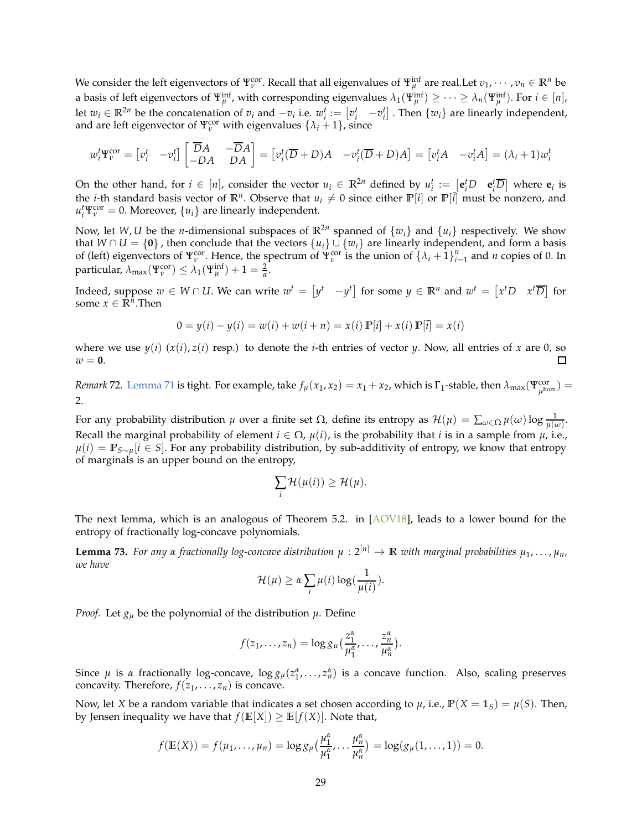We consider the left eigenvectors of  $\Psi_v^{\rm cor}$ . Recall that all eigenvalues of  $\Psi_\mu^{\rm inf}$  are real.Let  $v_1,\cdots,v_n\in\mathbb R^n$  be a basis of left eigenvectors of  $\Psi_{\mu}^{\text{inf}}$ , with corresponding eigenvalues  $\lambda_1(\Psi_{\mu}^{\text{inf}}) \geq \cdots \geq \lambda_n(\Psi_{\mu}^{\text{inf}})$ . For  $i \in [n]$ , let  $w_i \in \mathbb{R}^{2n}$  be the concatenation of  $v_i$  and  $-v_i$  i.e.  $w_i^t := \begin{bmatrix} v_i^t & -v_i^t \end{bmatrix}$ . Then  $\{w_i\}$  are linearly independent, and are left eigenvector of  $\Psi_{\nu}^{cor}$  with eigenvalues  $\{\lambda_i + 1\}$ , since

$$
w_i^t \mathbf{\Psi}_v^{\text{cor}} = \begin{bmatrix} v_i^t & -v_i^t \end{bmatrix} \begin{bmatrix} \overline{D}A & -\overline{D}A \\ -DA & DA \end{bmatrix} = \begin{bmatrix} v_i^t(\overline{D}+D)A & -v_i^t(\overline{D}+D)A \end{bmatrix} = \begin{bmatrix} v_i^tA & -v_i^tA \end{bmatrix} = (\lambda_i + 1)w_i^t
$$

On the other hand, for  $i \in [n]$ , consider the vector  $u_i \in \mathbb{R}^{2n}$  defined by  $u_i^t := [\mathbf{e}_i^t D \quad \mathbf{e}_i^t \overline{D}]$  where  $\mathbf{e}_i$  is the *i*-th standard basis vector of  $\mathbb{R}^n$ . Observe that  $u_i \neq 0$  since either  $\mathbb{P}[i]$  or  $\mathbb{P}[i]$  must be nonzero, and  $u_i^t \Psi_v^{\text{cor}} = 0$ . Moreover,  $\{u_i\}$  are linearly independent.

Now, let W, U be the *n*-dimensional subspaces of  $\mathbb{R}^{2n}$  spanned of  $\{w_i\}$  and  $\{u_i\}$  respectively. We show that  $W \cap U = \{0\}$ , then conclude that the vectors  $\{u_i\} \cup \{w_i\}$  are linearly independent, and form a basis of (left) eigenvectors of  $\Psi_{\nu}^{\text{cor}}$ . Hence, the spectrum of  $\Psi_{\nu}^{\text{cor}}$  is the union of  $\{\lambda_i + 1\}_{i=1}^n$  and *n* copies of 0. In particular,  $\lambda_{\max}(\Psi^{\text{cor}}_{\nu}) \leq \lambda_1(\Psi^{\text{inf}}_{\mu}) + 1 = \frac{2}{\alpha}.$ 

Indeed, suppose  $w \in W \cap U$ . We can write  $w^t = \begin{bmatrix} y^t & -y^t \end{bmatrix}$  for some  $y \in \mathbb{R}^n$  and  $w^t = \begin{bmatrix} x^t D & x^t \overline{D} \end{bmatrix}$  for some  $x \in \mathbb{R}^{\hat{n}}$ . Then

$$
0 = y(i) - y(i) = w(i) + w(i + n) = x(i) \mathbb{P}[i] + x(i) \mathbb{P}[i] = x(i)
$$

where we use  $y(i)$   $(x(i), z(i)$  resp.) to denote the *i*-th entries of vector *y*. Now, all entries of *x* are 0, so  $w = 0$ .  $\Box$ 

*Remark* 72. [Lemma 71](#page-27-0) is tight. For example, take  $f_\mu(x_1, x_2) = x_1 + x_2$ , which is  $\Gamma_1$ -stable, then  $\lambda_{\max}(\Psi_{\mu^{\text{hom}}}^{\text{cor}}) =$ 2.

For any probability distribution  $\mu$  over a finite set  $\Omega$ , define its entropy as  $\mathcal{H}(\mu) = \sum_{\omega \in \Omega} \mu(\omega) \log \frac{1}{\mu(\omega)}$ . Recall the marginal probability of element  $i \in \Omega$ ,  $\mu(i)$ , is the probability that *i* is in a sample from  $\mu$ , i.e., *µ*(*i*) = **P***S*∼*µ*[*i* ∈ *S*]. For any probability distribution, by sub-additivity of entropy, we know that entropy of marginals is an upper bound on the entropy,

$$
\sum_i \mathcal{H}(\mu(i)) \geq \mathcal{H}(\mu).
$$

<span id="page-28-0"></span>The next lemma, which is an analogous of Theorem 5.2. in  $[AOVI8]$ , leads to a lower bound for the entropy of fractionally log-concave polynomials.

**Lemma 73.** For any  $\alpha$  fractionally log-concave distribution  $\mu$  :  $2^{[n]} \to \mathbb{R}$  with marginal probabilities  $\mu_1, \ldots, \mu_n$ , *we have*

$$
\mathcal{H}(\mu) \geq \alpha \sum_{i} \mu(i) \log(\frac{1}{\mu(i)}).
$$

*Proof.* Let  $g_{\mu}$  be the polynomial of the distribution  $\mu$ . Define

$$
f(z_1,\ldots,z_n)=\log g_\mu(\frac{z_1^\alpha}{\mu_1^\alpha},\ldots,\frac{z_n^\alpha}{\mu_n^\alpha}).
$$

Since  $\mu$  is  $\alpha$  fractionally log-concave,  $\log g_{\mu}(z_1^{\alpha},...,z_n^{\alpha})$  is a concave function. Also, scaling preserves concavity. Therefore,  $f(z_1, \ldots, z_n)$  is concave.

Now, let *X* be a random variable that indicates a set chosen according to  $\mu$ , i.e.,  $\mathbb{P}(X = 1_S) = \mu(S)$ . Then, by Jensen inequality we have that  $f(\mathbb{E}[X]) \geq \mathbb{E}[f(X)]$ . Note that,

$$
f(\mathbb{E}(X)) = f(\mu_1, ..., \mu_n) = \log g_{\mu}(\frac{\mu_1^{\alpha}}{\mu_1^{\alpha}}, ..., \frac{\mu_n^{\alpha}}{\mu_n^{\alpha}}) = \log (g_{\mu}(1, ..., 1)) = 0.
$$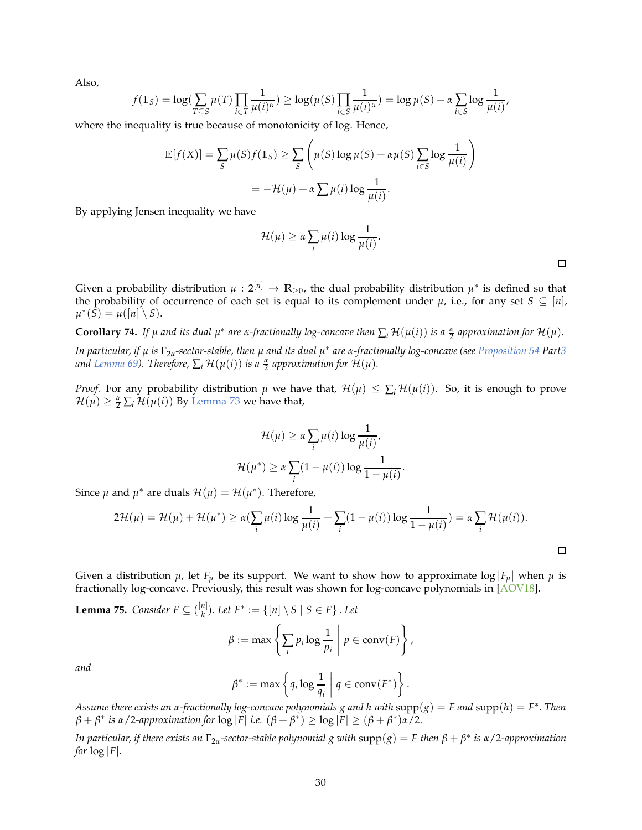Also,

$$
f(\mathbb{1}_S) = \log \left( \sum_{T \subseteq S} \mu(T) \prod_{i \in T} \frac{1}{\mu(i)^{\alpha}} \right) \ge \log \left( \mu(S) \prod_{i \in S} \frac{1}{\mu(i)^{\alpha}} \right) = \log \mu(S) + \alpha \sum_{i \in S} \log \frac{1}{\mu(i)}
$$

where the inequality is true because of monotonicity of log. Hence,

$$
\mathbb{E}[f(X)] = \sum_{S} \mu(S)f(\mathbb{1}_S) \ge \sum_{S} \left(\mu(S)\log\mu(S) + \alpha\mu(S)\sum_{i \in S} \log\frac{1}{\mu(i)}\right)
$$

$$
= -\mathcal{H}(\mu) + \alpha\sum \mu(i)\log\frac{1}{\mu(i)}.
$$

By applying Jensen inequality we have

$$
\mathcal{H}(\mu) \geq \alpha \sum_{i} \mu(i) \log \frac{1}{\mu(i)}.
$$

Given a probability distribution  $\mu: 2^{[n]} \to \mathbb{R}_{\geq 0}$ , the dual probability distribution  $\mu^*$  is defined so that the probability of occurrence of each set is equal to its complement under  $\mu$ , i.e., for any set  $S \subseteq [n]$ ,  $\mu^*(\tilde{S}) = \mu([n] \setminus S).$ 

**Corollary 74.** If  $\mu$  and its dual  $\mu^*$  are  $\alpha$ -fractionally log-concave then  $\sum_i \mathcal{H}(\mu(i))$  is a  $\frac{\alpha}{2}$  approximation for  $\mathcal{H}(\mu)$ .

*In particular, if µ is* Γ2*α-sector-stable, then µ and its dual µ* ∗ *are α-fractionally log-concave (see [Proposition 54](#page-22-4) Par[t3](#page-22-3) and Lemma* 69). Therefore,  $\sum_i \mathcal{H}(\mu(i))$  *is a*  $\frac{\alpha}{2}$  *approximation for*  $\mathcal{H}(\mu)$ *.* 

*Proof.* For any probability distribution  $\mu$  we have that,  $\mathcal{H}(\mu) \leq \sum_i \mathcal{H}(\mu(i))$ . So, it is enough to prove  $\mathcal{H}(\mu) \geq \frac{\alpha}{2} \sum_i \mathcal{H}(\mu(i))$  By [Lemma 73](#page-28-0) we have that,

$$
\mathcal{H}(\mu) \ge \alpha \sum_{i} \mu(i) \log \frac{1}{\mu(i)},
$$

$$
\mathcal{H}(\mu^*) \ge \alpha \sum_{i} (1 - \mu(i)) \log \frac{1}{1 - \mu(i)}.
$$

Since  $\mu$  and  $\mu^*$  are duals  $\mathcal{H}(\mu) = \mathcal{H}(\mu^*)$ . Therefore,

$$
2\mathcal{H}(\mu) = \mathcal{H}(\mu) + \mathcal{H}(\mu^*) \ge \alpha \left( \sum_i \mu(i) \log \frac{1}{\mu(i)} + \sum_i (1 - \mu(i)) \log \frac{1}{1 - \mu(i)} \right) = \alpha \sum_i \mathcal{H}(\mu(i)).
$$

<span id="page-29-0"></span>Given a distribution  $\mu$ , let  $F_{\mu}$  be its support. We want to show how to approximate log  $|F_{\mu}|$  when  $\mu$  is fractionally log-concave. Previously, this result was shown for log-concave polynomials in [\[AOV18](#page-32-8)].

**Lemma 75.** *Consider*  $F \subseteq \binom{[n]}{k}$  $\binom{n}{k}$ . Let  $F^* := \{ [n] \setminus S \mid S \in F \}$ . Let

$$
\beta := \max \left\{ \sum_i p_i \log \frac{1}{p_i} \middle| p \in \text{conv}(F) \right\},\
$$

*and*

$$
\beta^* := \max \left\{ q_i \log \frac{1}{q_i} \mid q \in \operatorname{conv}(F^*) \right\}.
$$

*Assume there exists an α-fractionally log-concave polynomials g and h with* supp(*g*) = *F and* supp(*h*) = *F* ∗ . *Then β* + *β*<sup>\*</sup> is α/2-approximation for  $\log |\overline{F}|$  i.e.  $(\beta + \beta^*) \ge \log |\overline{F}| \ge (\beta + \beta^*)\alpha/2$ .

*In particular, if there exists an* Γ2*α-sector-stable polynomial g with* supp(*g*) = *F then β* + *β* ∗ *is α*/2*-approximation for*  $log |F|$ .

口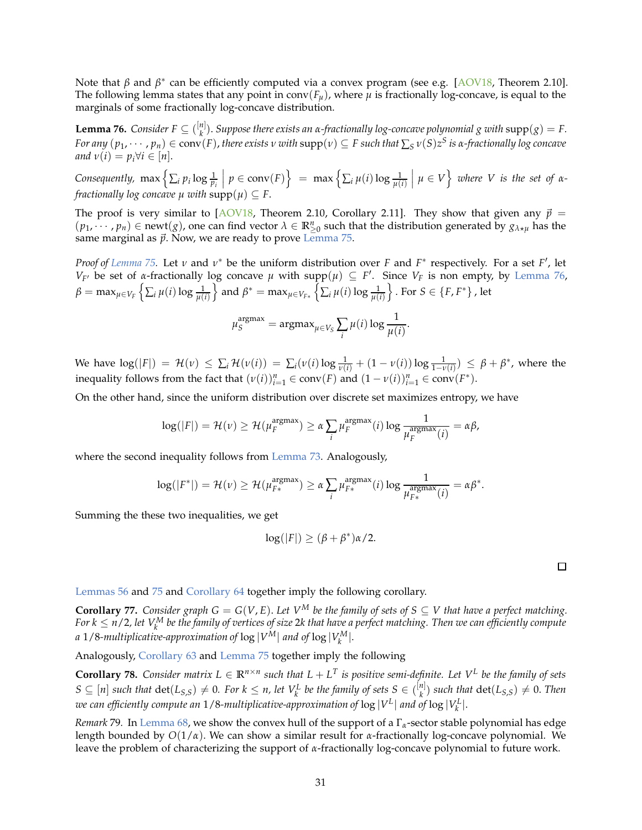Note that *β* and *β*<sup>\*</sup> can be efficiently computed via a convex program (see e.g. [\[AOV18](#page-32-8), Theorem 2.10]. The following lemma states that any point in conv $(F_\mu)$ , where  $\mu$  is fractionally log-concave, is equal to the marginals of some fractionally log-concave distribution.

<span id="page-30-1"></span>**Lemma 76.** *Consider*  $F \subseteq \binom{[n]}{k}$ *k* ). *Suppose there exists an α-fractionally log-concave polynomial g with* supp(*g*) = *F.* For any  $(p_1,\cdots,p_n)\in \mathrm{conv}(F)$  , there exists  $v$  with  $\mathrm{supp}(v)\subseteq F$  such that  $\sum_S v(S)z^S$  is a-fractionally log concave *and*  $v(i) = p_i \forall i \in [n]$ .

Consequently,  $\max\left\{\sum_i p_i \log \frac{1}{p_i}\right\}$  $p \in \text{conv}(F)$  = max  $\left\{\sum_i \mu(i) \log \frac{1}{\mu(i)}\right\}$  $\left\{\mu \in V\right\}$  where V is the set of  $\alpha$ *fractionally log concave*  $\mu$  *with*  $supp(\mu) \subseteq F$ .

The proof is very similar to  $[AOVI8,$  Theorem 2.10, Corollary 2.11]. They show that given any  $\vec{p}$  =  $(p_1, \dots, p_n) \in newt(g)$ , one can find vector  $\lambda \in \mathbb{R}_{\geq 0}^n$  such that the distribution generated by  $g_{\lambda * \mu}$  has the same marginal as  $\vec{p}$ . Now, we are ready to prove [Lemma 75.](#page-29-0)

*Proof of Lemma 75*. Let *ν* and *ν*<sup>∗</sup> be the uniform distribution over *F* and *F*<sup>∗</sup> respectively. For a set *F*', let *V<sub>F'</sub>* be set of *α*-fractionally log concave  $\mu$  with supp $(\mu) \subseteq F'$ . Since *V<sub>F</sub>* is non empty, by [Lemma 76,](#page-30-1)  $β = max_{μ ∈ V_F} \left\{ \sum_i μ(i) \log \frac{1}{μ(i)} \right\}$  $\partial$  and  $\beta^* = \max_{\mu \in V_{F*}} \left\{ \sum_i \mu(i) \log \frac{1}{\mu(i)} \right\}$  $\}$ . For  $S \in \{F, F^*\}$ , let

$$
\mu_S^{\text{argmax}} = \text{argmax}_{\mu \in V_S} \sum_i \mu(i) \log \frac{1}{\mu(i)}.
$$

We have  $\log(|F|) = \mathcal{H}(\nu) \le \sum_i \mathcal{H}(\nu(i)) = \sum_i (\nu(i) \log \frac{1}{\nu(i)} + (1 - \nu(i)) \log \frac{1}{1 - \nu(i)}) \le \beta + \beta^*$ , where the inequality follows from the fact that  $(v(i))_{i=1}^n \in \text{conv}(F)$  and  $(1 - v(i))_{i=1}^n \in \text{conv}(F^*)$ .

On the other hand, since the uniform distribution over discrete set maximizes entropy, we have

$$
\log(|F|) = \mathcal{H}(\nu) \ge \mathcal{H}(\mu_F^{\text{argmax}}) \ge \alpha \sum_i \mu_F^{\text{argmax}}(i) \log \frac{1}{\mu_F^{\text{argmax}}(i)} = \alpha \beta,
$$

where the second inequality follows from [Lemma 73.](#page-28-0) Analogously,

$$
\log(|F^*|) = \mathcal{H}(\nu) \geq \mathcal{H}(\mu_{F*}^{\text{argmax}}) \geq \alpha \sum_i \mu_{F*}^{\text{argmax}}(i) \log \frac{1}{\mu_{F*}^{\text{argmax}}(i)} = \alpha \beta^*.
$$

Summing the these two inequalities, we get

$$
\log(|F|) \ge (\beta + \beta^*)\alpha/2.
$$

<span id="page-30-0"></span>[Lemmas 56](#page-23-1) and [75](#page-29-0) and [Corollary 64](#page-24-2) together imply the following corollary.

**Corollary 77.** *Consider graph G* =  $G(V, E)$ *. Let V*<sup>M</sup> *be the family of sets of*  $S \subseteq V$  *that have a perfect matching.* For k  $\leq$  n/2, let V $_{k}^{M}$  be the family of vertices of size 2k that have a perfect matching. Then we can efficiently compute *a* 1/8-multiplicative-approximation of  $\log |V^M|$  and of  $\log |V^M_k|$ .

Analogously, [Corollary 63](#page-24-3) and [Lemma 75](#page-29-0) together imply the following

**Corollary 78.** Consider matrix  $L \in \mathbb{R}^{n \times n}$  such that  $L + L^T$  is positive semi-definite. Let  $V^L$  be the family of sets  $S \subseteq [n]$  *such that*  $\det(L_{S,S}) \neq 0$ . For  $k \leq n$ , let  $V_k^L$  be the family of sets  $S \in \binom{[n]}{k}$  $\binom{n_1}{k}$  *such that*  $\det(L_{S,S}) \neq 0$ . *Then* we can efficiently compute an  $1/8$ -multiplicative-approximation of  $\log |V^L|$  and of  $\log |V^L_k|$ .

*Remark* 79*.* In [Lemma 68,](#page-26-2) we show the convex hull of the support of a Γ*α*-sector stable polynomial has edge length bounded by *O*(1/*α*). We can show a similar result for *α*-fractionally log-concave polynomial. We leave the problem of characterizing the support of *α*-fractionally log-concave polynomial to future work.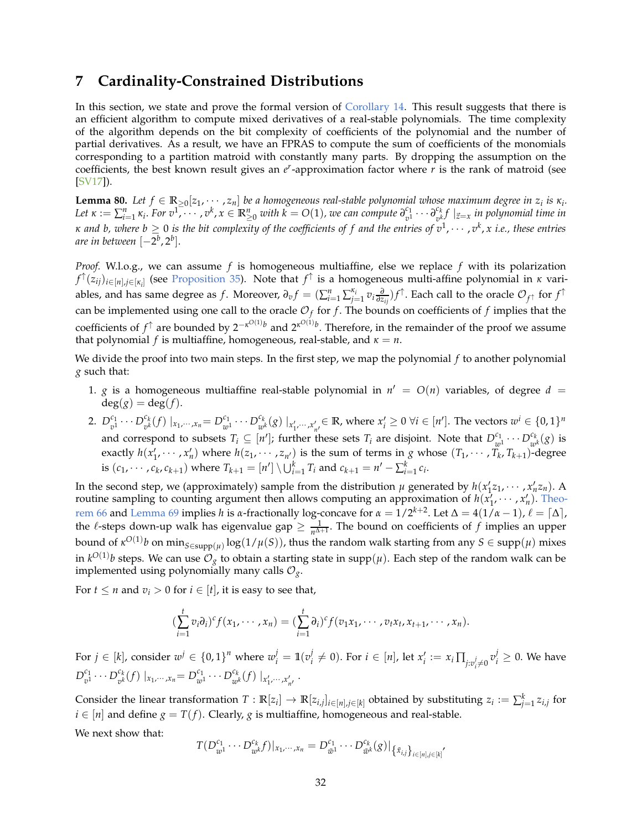### **7 Cardinality-Constrained Distributions**

In this section, we state and prove the formal version of [Corollary 14.](#page-6-2) This result suggests that there is an efficient algorithm to compute mixed derivatives of a real-stable polynomials. The time complexity of the algorithm depends on the bit complexity of coefficients of the polynomial and the number of partial derivatives. As a result, we have an FPRAS to compute the sum of coefficients of the monomials corresponding to a partition matroid with constantly many parts. By dropping the assumption on the coefficients, the best known result gives an *e r* -approximation factor where *r* is the rank of matroid (see [\[SV17\]](#page-35-14)).

**Lemma 80.** Let  $f \in \mathbb{R}_{\geq 0}[z_1, \dots, z_n]$  be a homogeneous real-stable polynomial whose maximum degree in  $z_i$  is  $\kappa_i$ . Let  $\kappa := \sum_{i=1}^n \kappa_i$ . For  $v^1, \dots, v^k, x \in \mathbb{R}_{\geq 0}^n$  with  $k = O(1)$ , we can compute  $\partial_{v^1}^{c_1}$  $\frac{c_1}{v^1} \cdots \frac{\partial}{\partial v^k}$  $\int_{v^k}^{c_k} f \mid_{\vec{z}=x}$  *in polynomial time in κ and b, where b ≥ 0 is the bit complexity of the coefficients of f and the entries of v<sup>1</sup>, ⋅ ⋅ , v<sup>k</sup>, x i.e., these entries are in between* [−2 *b* , 2*<sup>b</sup>* ].

*Proof.* W.l.o.g., we can assume *f* is homogeneous multiaffine, else we replace *f* with its polarization *f* ↑ (*zij*)*i*∈[*n*],*j*∈[*κ<sup>i</sup>* ] (see [Proposition 35\)](#page-14-1). Note that *f* ↑ is a homogeneous multi-affine polynomial in *κ* variables, and has same degree as f. Moreover,  $\partial_v f = (\sum_{i=1}^n \sum_{j=1}^{\kappa_i} v_i \frac{\partial}{\partial z_{ij}}) f^{\uparrow}$ . Each call to the oracle  $\mathcal{O}_{f^{\uparrow}}$  for  $f^{\uparrow}$ can be implemented using one call to the oracle  $\mathcal{O}_f$  for  $f$ . The bounds on coefficients of  $f$  implies that the coefficients of  $f^{\uparrow}$  are bounded by  $2^{-\kappa^{O(1)}b}$  and  $2^{\kappa^{O(1)}b}$ . Therefore, in the remainder of the proof we assume that polynomial *f* is multiaffine, homogeneous, real-stable, and  $\kappa = n$ .

We divide the proof into two main steps. In the first step, we map the polynomial *f* to another polynomial *g* such that:

- 1. *g* is a homogeneous multiaffine real-stable polynomial in  $n' = O(n)$  variables, of degree  $d =$  $deg(g) = deg(f).$
- 2.  $D_{n1}^{c_1}$  $v_1^{c_1} \cdots D_{v^k}^{c_k}$  $v_k^{c_k}(f) \mid x_1, \dots, x_n = D_{w}^{c_1}$  $\frac{c_1}{w^1} \cdots D_w^{c_k}$  $\{x_k^{c_k}(g) \mid_{x'_1, \cdots, x'_{n'}} \in \mathbb{R}$ , where  $x'_i \geq 0 \ \forall i \in [n']$ . The vectors  $w^i \in \{0,1\}^n$ and correspond to subsets  $T_i \subseteq [n']$ ; further these sets  $T_i$  are disjoint. Note that  $D_{n'}^{c_1}$  $\frac{c_1}{w^1} \cdots D_w^{c_k}$  $\int_{w^k}^{\mathfrak{c}_k}(g)$  is exactly  $h(x'_1, \dots, x'_n)$  where  $h(z_1, \dots, z_{n'})$  is the sum of terms in *g* whose  $(T_1, \dots, T_k, T_{k+1})$ -degree is  $(c_1, \dots, c_k, c_{k+1})$  where  $T_{k+1} = [n'] \setminus \bigcup_{i=1}^{k} T_i$  and  $c_{k+1} = n' - \sum_{i=1}^{k} c_i$ .

In the second step, we (approximately) sample from the distribution  $\mu$  generated by  $h(x'_1z_1, \dots, x'_nz_n)$ . A routin[e sampling to counting argument then allows computing an approximation of](#page-25-0)  $h(x_1', \dots, x_n')$ . Theo-rem 66 and [Lemma 69](#page-26-1) implies *h* is *α*-fractionally log-concave for  $\alpha = 1/2^{k+2}$ . Let  $\Delta = 4(1/\alpha - 1)$ ,  $\ell = [\Delta]$ , the  $\ell$ -steps down-up walk has eigenvalue gap  $\geq \frac{1}{n^{\Delta+1}}$ . The bound on coefficients of  $f$  implies an upper bound of  $\kappa^{O(1)}b$  on  $\min_{S \in \text{supp}(\mu)} \log(1/\mu(S))$ , thus the random walk starting from any  $S \in \text{supp}(\mu)$  mixes in  $k^{O(1)}b$  steps. We can use  $\mathcal{O}_g$  to obtain a starting state in supp $(\mu).$  Each step of the random walk can be implemented using polynomially many calls  $\mathcal{O}_g$ .

For  $t \leq n$  and  $v_i > 0$  for  $i \in [t]$ , it is easy to see that,

$$
(\sum_{i=1}^t v_i\partial_i)^c f(x_1,\cdots,x_n) = (\sum_{i=1}^t \partial_i)^c f(v_1x_1,\cdots,v_tx_t,x_{t+1},\cdots,x_n).
$$

For  $j \in [k]$ , consider  $w^j \in \{0,1\}^n$  where  $w^j_i = \mathbb{1}(v^j_i)$  $\mathbf{y}_i^j \neq 0$ ). For  $i \in [n]$ , let  $x_i^j := x_i \prod_{j : v_i^j \neq 0} v_i^j \geq 0$ . We have  $D_{n}^{c_1}$  $v_1^{c_1} \cdots D_{v^k}^{c_k}$  $v_k^{c_k}(f) \mid x_1, \dots, x_n = D_{w}^{c_1}$  $\frac{c_1}{w^1} \cdots D_{w^l}^{c_k}$  $\int_{w^k}^{c_k} (f) \mid_{x'_1, \cdots, x'_{n'}}$ .

Consider the linear transformation  $T: \mathbb{R}[z_i] \to \mathbb{R}[z_{i,j}]_{i \in [n], j \in [k]}$  obtained by substituting  $z_i := \sum_{j=1}^k z_{i,j}$  for *i* ∈  $[n]$  and define *g* = *T*(*f*). Clearly, *g* is multiaffine, homogeneous and real-stable. We next show that:

$$
T(D_{w^{1}}^{c_{1}}\cdots D_{w^{k}}^{c_{k}}f)|_{x_{1},\cdots,x_{n}}=D_{\bar{w}^{1}}^{c_{1}}\cdots D_{\bar{w}^{k}}^{c_{k}}(g)|_{\{\tilde{x}_{i,j}\}_{i\in[n],j\in[k]}}
$$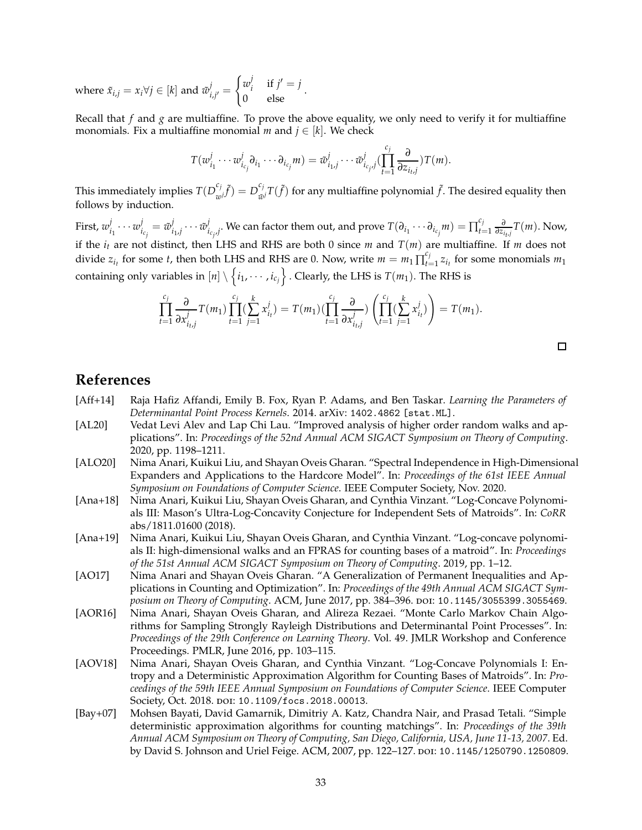where  $\tilde{x}_{i,j} = x_i \forall j \in [k]$  and  $\tilde{w}_i^j$  $j'_{i,j'} =$  $\int w_i^j$  $j_i$ <sup>*i*</sup> if  $j' = j$ 0 else .

Recall that *f* and *g* are multiaffine. To prove the above equality, we only need to verify it for multiaffine monomials. Fix a multiaffine monomial *m* and  $j \in [k]$ . We check

$$
T(w_{i_1}^j \cdots w_{i_{c_j}}^j \partial_{i_1} \cdots \partial_{i_{c_j}} m) = \tilde{w}_{i_1,j}^j \cdots \tilde{w}_{i_{c_j},j}^j \left( \prod_{t=1}^{c_j} \frac{\partial}{\partial z_{i_t,j}} \right) T(m).
$$

This immediately implies  $T(D_{\text{on}}^{c_j})$  $\left(\begin{matrix}c_j\\w^j\end{matrix}\right)\tilde{f}$  =  $D_{\tilde{w}}^{c_j}$  $\int_{\tilde{w}^j}^{\tilde{c}_j} T(\tilde{f})$  for any multiaffine polynomial  $\tilde{f}$ . The desired equality then follows by induction.

First, *w j*  $\frac{j}{i_1} \cdots w_i^j$  $i_{c_j} = \tilde{w}_i^j$  $\tilde{y}_{i_1,j}\cdots\tilde{w}_i^j$  $\int_{i_{c_{i'}}j}^{j}$ . We can factor them out, and prove  $T(\partial_{i_1}\cdots\partial_{i_{c_j}}m)=\prod_{i=1}^{c_j}$  $\sum_{t=1}^{c_j} \frac{\partial}{\partial z_{i_t,j}} T(m)$ . Now, if the  $i_t$  are not distinct, then LHS and RHS are both 0 since *m* and  $T(m)$  are multiaffine. If *m* does not divide  $z_{i_t}$  for some *t*, then both LHS and RHS are 0. Now, write  $m = m_1 \prod_{t=1}^{c} f_t^{\epsilon}$  $t_{t=1}^{c} z_{i_t}$  for some monomials  $m_1$ containing only variables in  $[n] \setminus \left\{ i_1, \cdots, i_{c_j} \right\}$  . Clearly, the LHS is  $T(m_1)$ . The RHS is

$$
\prod_{t=1}^{c_j} \frac{\partial}{\partial x_{i_{t,j}}^j} T(m_1) \prod_{t=1}^{c_j} (\sum_{j=1}^k x_{i_t}^j) = T(m_1) (\prod_{t=1}^{c_j} \frac{\partial}{\partial x_{i_{t,j}}^j}) \left( \prod_{t=1}^{c_j} (\sum_{j=1}^k x_{i_t}^j) \right) = T(m_1).
$$

### <span id="page-32-2"></span>**References**

- <span id="page-32-1"></span>[Aff+14] Raja Hafiz Affandi, Emily B. Fox, Ryan P. Adams, and Ben Taskar. *Learning the Parameters of Determinantal Point Process Kernels*. 2014. arXiv: [1402.4862 \[stat.ML\]](https://arxiv.org/abs/1402.4862).
- [AL20] Vedat Levi Alev and Lap Chi Lau. "Improved analysis of higher order random walks and applications". In: *Proceedings of the 52nd Annual ACM SIGACT Symposium on Theory of Computing*. 2020, pp. 1198–1211.
- <span id="page-32-0"></span>[ALO20] Nima Anari, Kuikui Liu, and Shayan Oveis Gharan. "Spectral Independence in High-Dimensional Expanders and Applications to the Hardcore Model". In: *Proceedings of the 61st IEEE Annual Symposium on Foundations of Computer Science*. IEEE Computer Society, Nov. 2020.
- <span id="page-32-7"></span>[Ana+18] Nima Anari, Kuikui Liu, Shayan Oveis Gharan, and Cynthia Vinzant. "Log-Concave Polynomials III: Mason's Ultra-Log-Concavity Conjecture for Independent Sets of Matroids". In: *CoRR* abs/1811.01600 (2018).
- <span id="page-32-5"></span>[Ana+19] Nima Anari, Kuikui Liu, Shayan Oveis Gharan, and Cynthia Vinzant. "Log-concave polynomials II: high-dimensional walks and an FPRAS for counting bases of a matroid". In: *Proceedings of the 51st Annual ACM SIGACT Symposium on Theory of Computing*. 2019, pp. 1–12.
- <span id="page-32-4"></span>[AO17] Nima Anari and Shayan Oveis Gharan. "A Generalization of Permanent Inequalities and Applications in Counting and Optimization". In: *Proceedings of the 49th Annual ACM SIGACT Symposium on Theory of Computing*. ACM, June 2017, pp. 384–396. doi: [10.1145/3055399.3055469](https://doi.org/10.1145/3055399.3055469).
- <span id="page-32-3"></span>[AOR16] Nima Anari, Shayan Oveis Gharan, and Alireza Rezaei. "Monte Carlo Markov Chain Algorithms for Sampling Strongly Rayleigh Distributions and Determinantal Point Processes". In: *Proceedings of the 29th Conference on Learning Theory*. Vol. 49. JMLR Workshop and Conference Proceedings. PMLR, June 2016, pp. 103–115.
- <span id="page-32-8"></span>[AOV18] Nima Anari, Shayan Oveis Gharan, and Cynthia Vinzant. "Log-Concave Polynomials I: Entropy and a Deterministic Approximation Algorithm for Counting Bases of Matroids". In: *Proceedings of the 59th IEEE Annual Symposium on Foundations of Computer Science*. IEEE Computer Society, Oct. 2018. doi: [10.1109/focs.2018.00013](https://doi.org/10.1109/focs.2018.00013).
- <span id="page-32-6"></span>[Bay+07] Mohsen Bayati, David Gamarnik, Dimitriy A. Katz, Chandra Nair, and Prasad Tetali. "Simple deterministic approximation algorithms for counting matchings". In: *Proceedings of the 39th Annual ACM Symposium on Theory of Computing, San Diego, California, USA, June 11-13, 2007*. Ed. by David S. Johnson and Uriel Feige. ACM, 2007, pp. 122-127. poi: [10.1145/1250790.1250809](https://doi.org/10.1145/1250790.1250809).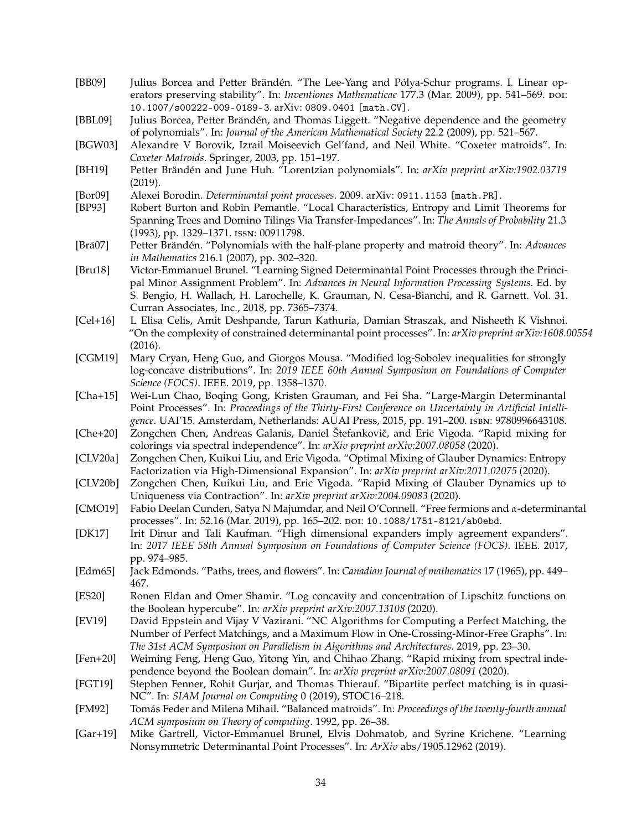- <span id="page-33-18"></span>[BB09] Julius Borcea and Petter Brändén. "The Lee-Yang and Pólya-Schur programs. I. Linear operators preserving stability". In: *Inventiones Mathematicae* 177.3 (Mar. 2009), pp. 541–569. poi: [10.1007/s00222-009-0189-3](https://doi.org/10.1007/s00222-009-0189-3). arXiv: [0809.0401 \[math.CV\]](https://arxiv.org/abs/0809.0401).
- <span id="page-33-5"></span>[BBL09] Julius Borcea, Petter Brändén, and Thomas Liggett. "Negative dependence and the geometry of polynomials". In: *Journal of the American Mathematical Society* 22.2 (2009), pp. 521–567.
- <span id="page-33-20"></span>[BGW03] Alexandre V Borovik, Izrail Moiseevich Gel'fand, and Neil White. "Coxeter matroids". In: *Coxeter Matroids*. Springer, 2003, pp. 151–197.
- <span id="page-33-19"></span>[BH19] Petter Brändén and June Huh. "Lorentzian polynomials". In: *arXiv preprint arXiv:1902.03719* (2019).
- <span id="page-33-8"></span><span id="page-33-6"></span>[Bor09] Alexei Borodin. *Determinantal point processes*. 2009. arXiv: [0911.1153 \[math.PR\]](https://arxiv.org/abs/0911.1153).
- [BP93] Robert Burton and Robin Pemantle. "Local Characteristics, Entropy and Limit Theorems for Spanning Trees and Domino Tilings Via Transfer-Impedances". In: *The Annals of Probability* 21.3 (1993), pp. 1329–1371. issn: 00911798.
- <span id="page-33-21"></span>[Brä07] Petter Brändén. "Polynomials with the half-plane property and matroid theory". In: *Advances in Mathematics* 216.1 (2007), pp. 302–320.
- <span id="page-33-10"></span>[Bru18] Victor-Emmanuel Brunel. "Learning Signed Determinantal Point Processes through the Principal Minor Assignment Problem". In: *Advances in Neural Information Processing Systems*. Ed. by S. Bengio, H. Wallach, H. Larochelle, K. Grauman, N. Cesa-Bianchi, and R. Garnett. Vol. 31. Curran Associates, Inc., 2018, pp. 7365–7374.
- <span id="page-33-11"></span>[Cel+16] L Elisa Celis, Amit Deshpande, Tarun Kathuria, Damian Straszak, and Nisheeth K Vishnoi. "On the complexity of constrained determinantal point processes". In: *arXiv preprint arXiv:1608.00554* (2016).
- <span id="page-33-22"></span>[CGM19] Mary Cryan, Heng Guo, and Giorgos Mousa. "Modified log-Sobolev inequalities for strongly log-concave distributions". In: *2019 IEEE 60th Annual Symposium on Foundations of Computer Science (FOCS)*. IEEE. 2019, pp. 1358–1370.
- <span id="page-33-7"></span>[Cha+15] Wei-Lun Chao, Boqing Gong, Kristen Grauman, and Fei Sha. "Large-Margin Determinantal Point Processes". In: *Proceedings of the Thirty-First Conference on Uncertainty in Artificial Intelligence*. UAI'15. Amsterdam, Netherlands: AUAI Press, 2015, pp. 191–200. isbn: 9780996643108.
- <span id="page-33-14"></span>[Che+20] Zongchen Chen, Andreas Galanis, Daniel Štefankoviˇc, and Eric Vigoda. "Rapid mixing for colorings via spectral independence". In: *arXiv preprint arXiv:2007.08058* (2020).
- <span id="page-33-15"></span>[CLV20a] Zongchen Chen, Kuikui Liu, and Eric Vigoda. "Optimal Mixing of Glauber Dynamics: Entropy Factorization via High-Dimensional Expansion". In: *arXiv preprint arXiv:2011.02075* (2020).
- <span id="page-33-12"></span>[CLV20b] Zongchen Chen, Kuikui Liu, and Eric Vigoda. "Rapid Mixing of Glauber Dynamics up to Uniqueness via Contraction". In: *arXiv preprint arXiv:2004.09083* (2020).
- <span id="page-33-4"></span>[CMO19] Fabio Deelan Cunden, Satya N Majumdar, and Neil O'Connell. "Free fermions and *α*-determinantal processes". In: 52.16 (Mar. 2019), pp. 165-202. poi: [10.1088/1751-8121/ab0ebd](https://doi.org/10.1088/1751-8121/ab0ebd).
- <span id="page-33-0"></span>[DK17] Irit Dinur and Tali Kaufman. "High dimensional expanders imply agreement expanders". In: *2017 IEEE 58th Annual Symposium on Foundations of Computer Science (FOCS)*. IEEE. 2017, pp. 974–985.
- <span id="page-33-17"></span><span id="page-33-1"></span>[Edm65] Jack Edmonds. "Paths, trees, and flowers". In: *Canadian Journal of mathematics* 17 (1965), pp. 449– 467.
- [ES20] Ronen Eldan and Omer Shamir. "Log concavity and concentration of Lipschitz functions on the Boolean hypercube". In: *arXiv preprint arXiv:2007.13108* (2020).
- <span id="page-33-3"></span>[EV19] David Eppstein and Vijay V Vazirani. "NC Algorithms for Computing a Perfect Matching, the Number of Perfect Matchings, and a Maximum Flow in One-Crossing-Minor-Free Graphs". In: *The 31st ACM Symposium on Parallelism in Algorithms and Architectures*. 2019, pp. 23–30.
- <span id="page-33-13"></span>[Fen+20] Weiming Feng, Heng Guo, Yitong Yin, and Chihao Zhang. "Rapid mixing from spectral independence beyond the Boolean domain". In: *arXiv preprint arXiv:2007.08091* (2020).
- <span id="page-33-2"></span>[FGT19] Stephen Fenner, Rohit Gurjar, and Thomas Thierauf. "Bipartite perfect matching is in quasi-NC". In: *SIAM Journal on Computing* 0 (2019), STOC16–218.
- <span id="page-33-16"></span>[FM92] Tomás Feder and Milena Mihail. "Balanced matroids". In: *Proceedings of the twenty-fourth annual ACM symposium on Theory of computing*. 1992, pp. 26–38.
- <span id="page-33-9"></span>[Gar+19] Mike Gartrell, Victor-Emmanuel Brunel, Elvis Dohmatob, and Syrine Krichene. "Learning Nonsymmetric Determinantal Point Processes". In: *ArXiv* abs/1905.12962 (2019).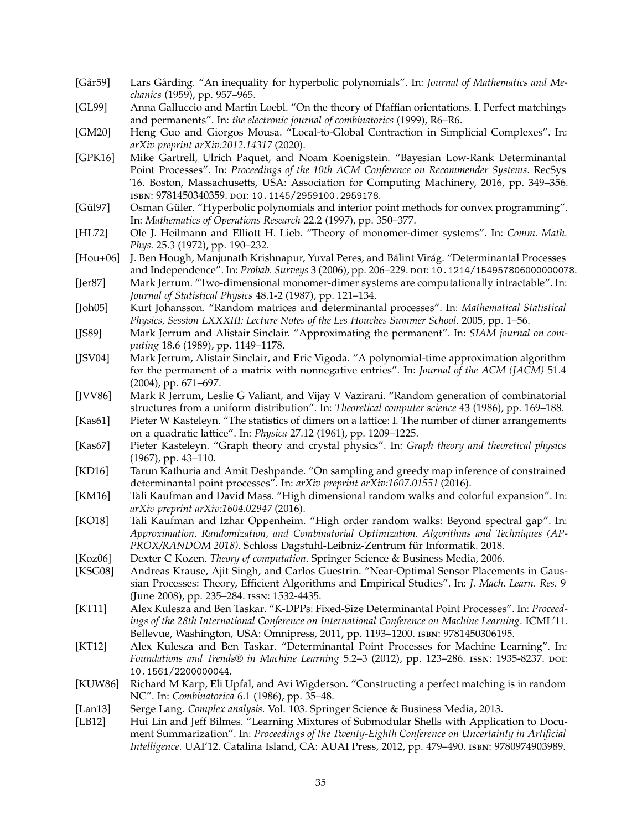- <span id="page-34-1"></span>[Går59] Lars Gårding. "An inequality for hyperbolic polynomials". In: *Journal of Mathematics and Mechanics* (1959), pp. 957–965.
- <span id="page-34-11"></span>[GL99] Anna Galluccio and Martin Loebl. "On the theory of Pfaffian orientations. I. Perfect matchings and permanents". In: *the electronic journal of combinatorics* (1999), R6–R6.
- <span id="page-34-23"></span>[GM20] Heng Guo and Giorgos Mousa. "Local-to-Global Contraction in Simplicial Complexes". In: *arXiv preprint arXiv:2012.14317* (2020).
- <span id="page-34-15"></span>[GPK16] Mike Gartrell, Ulrich Paquet, and Noam Koenigstein. "Bayesian Low-Rank Determinantal Point Processes". In: *Proceedings of the 10th ACM Conference on Recommender Systems*. RecSys '16. Boston, Massachusetts, USA: Association for Computing Machinery, 2016, pp. 349–356. isbn: 9781450340359. doi: [10.1145/2959100.2959178](https://doi.org/10.1145/2959100.2959178).
- <span id="page-34-21"></span>[Gül97] Osman Güler. "Hyperbolic polynomials and interior point methods for convex programming". In: *Mathematics of Operations Research* 22.2 (1997), pp. 350–377.
- <span id="page-34-12"></span>[HL72] Ole J. Heilmann and Elliott H. Lieb. "Theory of monomer-dimer systems". In: *Comm. Math. Phys.* 25.3 (1972), pp. 190–232.
- <span id="page-34-19"></span>[Hou+06] J. Ben Hough, Manjunath Krishnapur, Yuval Peres, and Bálint Virág. "Determinantal Processes and Independence". In: *Probab. Surveys* 3 (2006), pp. 206-229. DOI: [10.1214/154957806000000078](https://doi.org/10.1214/154957806000000078).
- <span id="page-34-0"></span>[Jer87] Mark Jerrum. "Two-dimensional monomer-dimer systems are computationally intractable". In: *Journal of Statistical Physics* 48.1-2 (1987), pp. 121–134.
- <span id="page-34-13"></span>[Joh05] Kurt Johansson. "Random matrices and determinantal processes". In: *Mathematical Statistical Physics, Session LXXXIII: Lecture Notes of the Les Houches Summer School*. 2005, pp. 1–56.
- <span id="page-34-10"></span>[JS89] Mark Jerrum and Alistair Sinclair. "Approximating the permanent". In: *SIAM journal on computing* 18.6 (1989), pp. 1149–1178.
- <span id="page-34-5"></span>[JSV04] Mark Jerrum, Alistair Sinclair, and Eric Vigoda. "A polynomial-time approximation algorithm for the permanent of a matrix with nonnegative entries". In: *Journal of the ACM (JACM)* 51.4 (2004), pp. 671–697.
- <span id="page-34-2"></span>[JVV86] Mark R Jerrum, Leslie G Valiant, and Vijay V Vazirani. "Random generation of combinatorial structures from a uniform distribution". In: *Theoretical computer science* 43 (1986), pp. 169–188.
- <span id="page-34-6"></span>[Kas61] Pieter W Kasteleyn. "The statistics of dimers on a lattice: I. The number of dimer arrangements on a quadratic lattice". In: *Physica* 27.12 (1961), pp. 1209–1225.
- <span id="page-34-7"></span>[Kas67] Pieter Kasteleyn. "Graph theory and crystal physics". In: *Graph theory and theoretical physics* (1967), pp. 43–110.
- <span id="page-34-20"></span>[KD16] Tarun Kathuria and Amit Deshpande. "On sampling and greedy map inference of constrained determinantal point processes". In: *arXiv preprint arXiv:1607.01551* (2016).
- <span id="page-34-4"></span>[KM16] Tali Kaufman and David Mass. "High dimensional random walks and colorful expansion". In: *arXiv preprint arXiv:1604.02947* (2016).
- <span id="page-34-3"></span>[KO18] Tali Kaufman and Izhar Oppenheim. "High order random walks: Beyond spectral gap". In: *Approximation, Randomization, and Combinatorial Optimization. Algorithms and Techniques (AP-PROX/RANDOM 2018)*. Schloss Dagstuhl-Leibniz-Zentrum für Informatik. 2018.
- <span id="page-34-17"></span><span id="page-34-8"></span>[Koz06] Dexter C Kozen. *Theory of computation*. Springer Science & Business Media, 2006.
- [KSG08] Andreas Krause, Ajit Singh, and Carlos Guestrin. "Near-Optimal Sensor Placements in Gaussian Processes: Theory, Efficient Algorithms and Empirical Studies". In: *J. Mach. Learn. Res.* 9 (June 2008), pp. 235–284. issn: 1532-4435.
- <span id="page-34-16"></span>[KT11] Alex Kulesza and Ben Taskar. "K-DPPs: Fixed-Size Determinantal Point Processes". In: *Proceedings of the 28th International Conference on International Conference on Machine Learning*. ICML'11. Bellevue, Washington, USA: Omnipress, 2011, pp. 1193–1200. isbn: 9781450306195.
- <span id="page-34-18"></span>[KT12] Alex Kulesza and Ben Taskar. "Determinantal Point Processes for Machine Learning". In: *Foundations and Trends® in Machine Learning* 5.2–3 (2012), pp. 123–286. issn: 1935-8237. doi: [10.1561/2200000044](https://doi.org/10.1561/2200000044).
- <span id="page-34-9"></span>[KUW86] Richard M Karp, Eli Upfal, and Avi Wigderson. "Constructing a perfect matching is in random NC". In: *Combinatorica* 6.1 (1986), pp. 35–48.
- <span id="page-34-22"></span><span id="page-34-14"></span>[Lan13] Serge Lang. *Complex analysis*. Vol. 103. Springer Science & Business Media, 2013.
- [LB12] Hui Lin and Jeff Bilmes. "Learning Mixtures of Submodular Shells with Application to Document Summarization". In: *Proceedings of the Twenty-Eighth Conference on Uncertainty in Artificial Intelligence*. UAI'12. Catalina Island, CA: AUAI Press, 2012, pp. 479–490. isbn: 9780974903989.